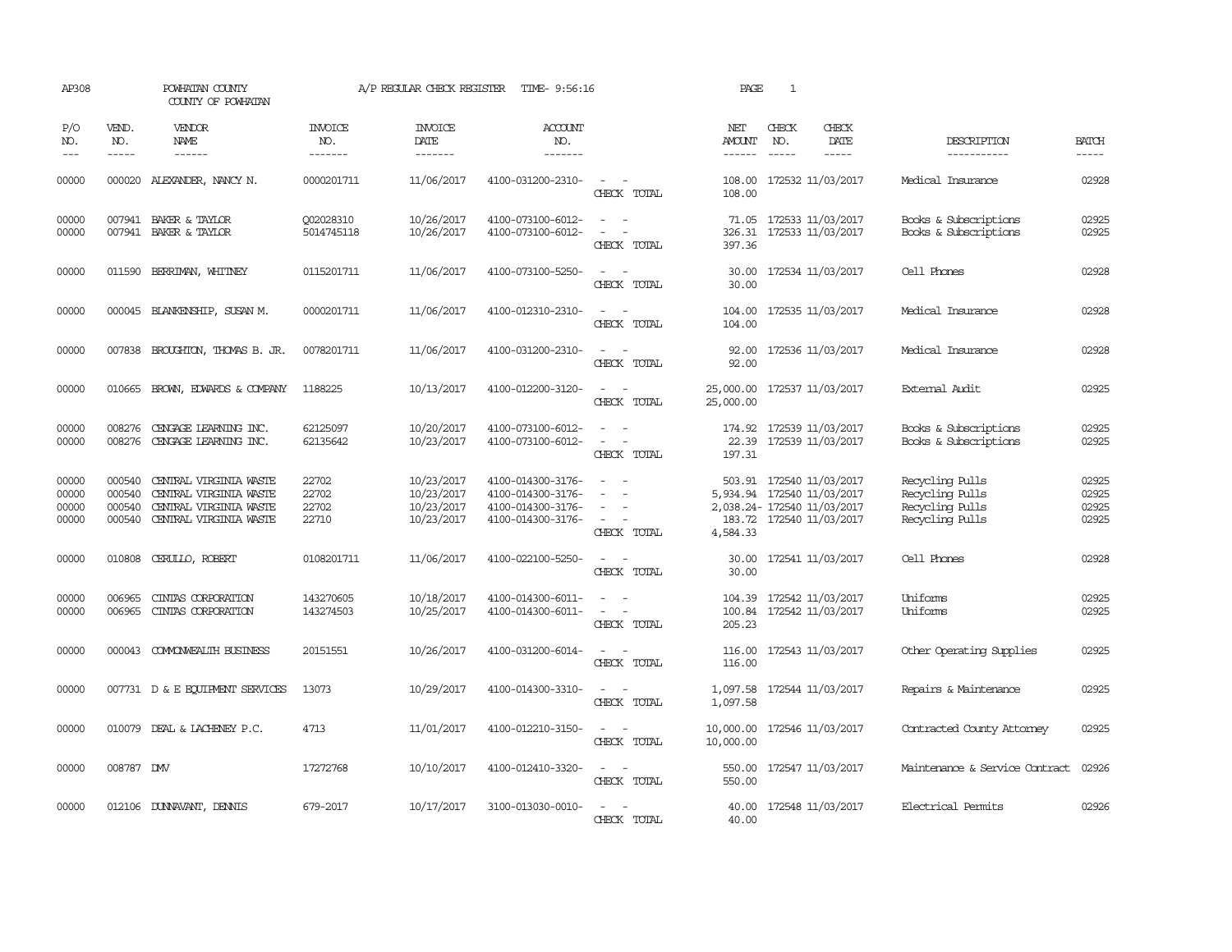| AP308                            |                                      | POWHATAN COUNTY<br>COUNTY OF POWHATAN                                                                |                                  | A/P REGULAR CHECK REGISTER                           | TIME- 9:56:16                                                                    |                                                                                                                                                               | PAGE                                                                 | 1                                                   |                              |                                                                          |                                  |
|----------------------------------|--------------------------------------|------------------------------------------------------------------------------------------------------|----------------------------------|------------------------------------------------------|----------------------------------------------------------------------------------|---------------------------------------------------------------------------------------------------------------------------------------------------------------|----------------------------------------------------------------------|-----------------------------------------------------|------------------------------|--------------------------------------------------------------------------|----------------------------------|
| P/O<br>NO.<br>$---$              | VEND.<br>NO.<br>$\frac{1}{2}$        | VENDOR<br><b>NAME</b><br>$- - - - - -$                                                               | <b>INVOICE</b><br>NO.<br>------- | <b>INVOICE</b><br><b>DATE</b><br>-------             | <b>ACCOUNT</b><br>NO.<br>-------                                                 |                                                                                                                                                               | NET<br><b>AMOUNT</b><br>$- - - - - -$                                | CHECK<br>NO.<br>$\frac{1}{2}$                       | CHECK<br>DATE<br>$- - - - -$ | DESCRIPTION<br>-----------                                               | <b>BATCH</b><br>-----            |
| 00000                            |                                      | 000020 ALEXANDER, NANCY N.                                                                           | 0000201711                       | 11/06/2017                                           | 4100-031200-2310-                                                                | $\sim$<br>$\sim$<br>CHECK TOTAL                                                                                                                               | 108.00<br>108.00                                                     |                                                     | 172532 11/03/2017            | Medical Insurance                                                        | 02928                            |
| 00000<br>00000                   |                                      | 007941 BAKER & TAYLOR<br>007941 BAKER & TAYLOR                                                       | Q02028310<br>5014745118          | 10/26/2017<br>10/26/2017                             | 4100-073100-6012-<br>4100-073100-6012-                                           | $\sim$ 100 $\sim$<br>$\frac{1}{2} \left( \frac{1}{2} \right) \left( \frac{1}{2} \right) \left( \frac{1}{2} \right) \left( \frac{1}{2} \right)$<br>CHECK TOTAL | 397.36                                                               | 71.05 172533 11/03/2017                             | 326.31 172533 11/03/2017     | Books & Subscriptions<br>Books & Subscriptions                           | 02925<br>02925                   |
| 00000                            |                                      | 011590 BERRIMAN, WHITNEY                                                                             | 0115201711                       | 11/06/2017                                           | 4100-073100-5250-                                                                | $\sim$ $ \sim$<br>CHECK TOTAL                                                                                                                                 | 30.00<br>30.00                                                       | 172534 11/03/2017                                   |                              | Cell Phones                                                              | 02928                            |
| 00000                            |                                      | 000045 BLANKENSHIP, SUSAN M.                                                                         | 0000201711                       | 11/06/2017                                           | 4100-012310-2310-                                                                | CHECK TOTAL                                                                                                                                                   | 104.00<br>104.00                                                     |                                                     | 172535 11/03/2017            | Medical Insurance                                                        | 02928                            |
| 00000                            |                                      | 007838 BROUGHTON, THOMAS B. JR.                                                                      | 0078201711                       | 11/06/2017                                           | 4100-031200-2310-                                                                | $\sim$<br>$\overline{\phantom{a}}$<br>CHECK TOTAL                                                                                                             | 92.00<br>92.00                                                       |                                                     | 172536 11/03/2017            | Medical Insurance                                                        | 02928                            |
| 00000                            | 010665                               | BROWN, EDWARDS & COMPANY                                                                             | 1188225                          | 10/13/2017                                           | 4100-012200-3120-                                                                | $\overline{\phantom{a}}$<br>$\sim$<br>CHECK TOTAL                                                                                                             | 25,000.00<br>25,000.00                                               |                                                     | 172537 11/03/2017            | External Audit                                                           | 02925                            |
| 00000<br>00000                   | 008276<br>008276                     | CENGAGE LEARNING INC.<br>CENGAGE LEARNING INC.                                                       | 62125097<br>62135642             | 10/20/2017<br>10/23/2017                             | 4100-073100-6012-<br>4100-073100-6012-                                           | CHECK TOTAL                                                                                                                                                   | 197.31                                                               | 174.92 172539 11/03/2017<br>22.39 172539 11/03/2017 |                              | Books & Subscriptions<br>Books & Subscriptions                           | 02925<br>02925                   |
| 00000<br>00000<br>00000<br>00000 | 000540<br>000540<br>000540<br>000540 | CENTRAL VIRGINIA WASTE<br>CENTRAL VIRGINIA WASTE<br>CENTRAL VIRGINIA WASTE<br>CENTRAL VIRGINIA WASTE | 22702<br>22702<br>22702<br>22710 | 10/23/2017<br>10/23/2017<br>10/23/2017<br>10/23/2017 | 4100-014300-3176-<br>4100-014300-3176-<br>4100-014300-3176-<br>4100-014300-3176- | $\sim$<br>$\sim$<br>CHECK TOTAL                                                                                                                               | 5,934.94 172540 11/03/2017<br>2,038.24-172540 11/03/2017<br>4,584.33 | 503.91 172540 11/03/2017                            | 183.72 172540 11/03/2017     | Recycling Pulls<br>Recycling Pulls<br>Recycling Pulls<br>Recycling Pulls | 02925<br>02925<br>02925<br>02925 |
| 00000                            | 010808                               | CERULLO, ROBERT                                                                                      | 0108201711                       | 11/06/2017                                           | 4100-022100-5250-                                                                | $\overline{\phantom{a}}$<br>CHECK TOTAL                                                                                                                       | 30.00<br>30.00                                                       |                                                     | 172541 11/03/2017            | Cell Phones                                                              | 02928                            |
| 00000<br>00000                   | 006965<br>006965                     | CINIAS CORPORATION<br>CINIAS CORPORATION                                                             | 143270605<br>143274503           | 10/18/2017<br>10/25/2017                             | 4100-014300-6011-<br>4100-014300-6011-                                           | $\sim$<br>$\sim$<br>CHECK TOTAL                                                                                                                               | 104.39<br>205.23                                                     | 100.84 172542 11/03/2017                            | 172542 11/03/2017            | Uniforms<br>Uniforms                                                     | 02925<br>02925                   |
| 00000                            |                                      | 000043 COMONWEALTH BUSINESS                                                                          | 20151551                         | 10/26/2017                                           | 4100-031200-6014-                                                                | $\sim$ $ -$<br>CHECK TOTAL                                                                                                                                    | 116.00<br>116.00                                                     | 172543 11/03/2017                                   |                              | Other Operating Supplies                                                 | 02925                            |
| 00000                            |                                      | 007731 D & E EQUIPMENT SERVICES                                                                      | 13073                            | 10/29/2017                                           | 4100-014300-3310-                                                                | $\sim$ $ \sim$<br>CHECK TOTAL                                                                                                                                 | 1,097.58 172544 11/03/2017<br>1,097.58                               |                                                     |                              | Repairs & Maintenance                                                    | 02925                            |
| 00000                            |                                      | 010079 DEAL & LACHENEY P.C.                                                                          | 4713                             | 11/01/2017                                           | 4100-012210-3150-                                                                | $\sim$ $ -$<br>CHECK TOTAL                                                                                                                                    | 10,000.00 172546 11/03/2017<br>10,000.00                             |                                                     |                              | Contracted County Attorney                                               | 02925                            |
| 00000                            | 008787 DMV                           |                                                                                                      | 17272768                         | 10/10/2017                                           | 4100-012410-3320-                                                                | CHECK TOTAL                                                                                                                                                   | 550.00<br>550.00                                                     |                                                     | 172547 11/03/2017            | Maintenance & Service Contract                                           | 02926                            |
| 00000                            |                                      | 012106 DUNNAVANT, DENNIS                                                                             | 679-2017                         | 10/17/2017                                           | 3100-013030-0010-                                                                | $\sim$<br>$\sim$<br>CHECK TOTAL                                                                                                                               | 40.00<br>40.00                                                       |                                                     | 172548 11/03/2017            | Electrical Permits                                                       | 02926                            |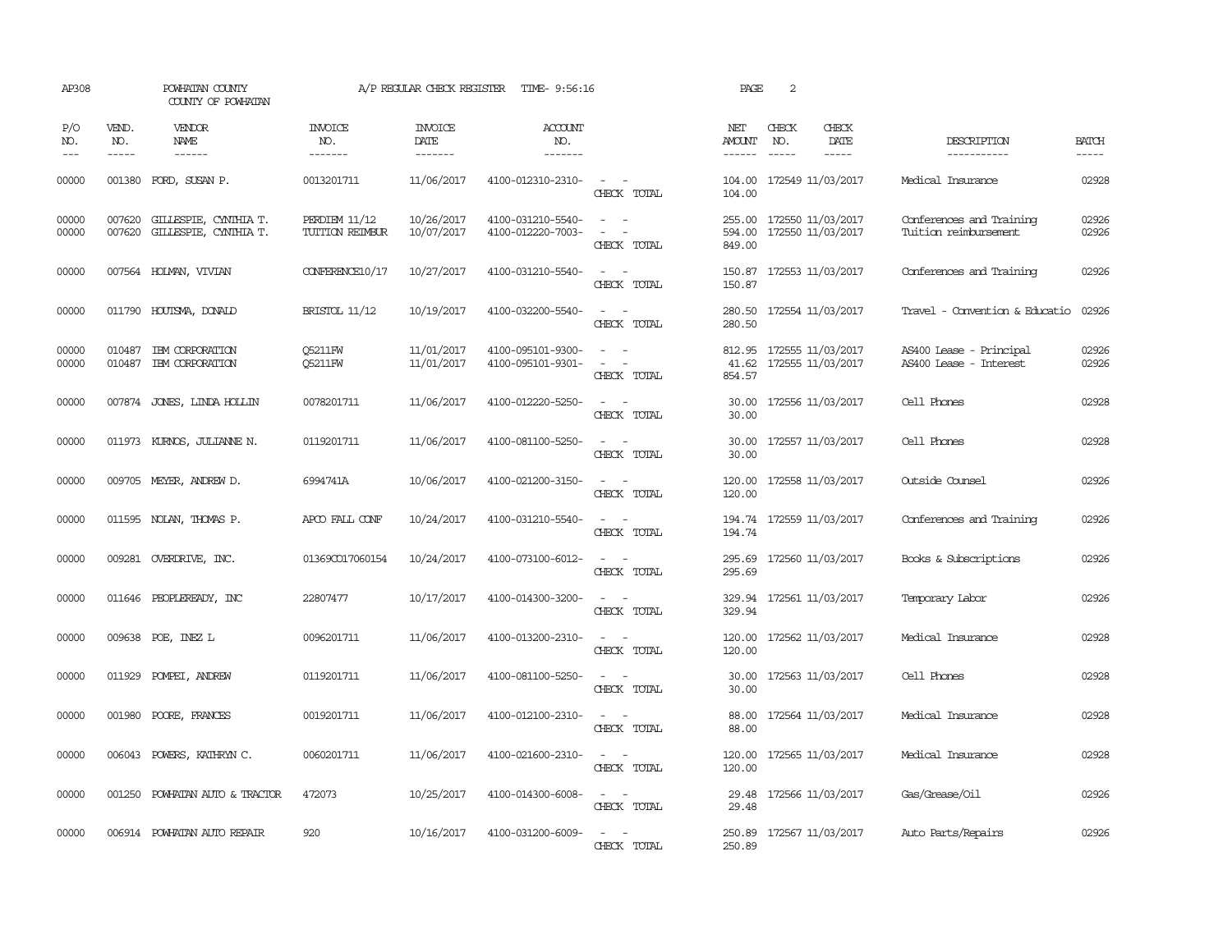| AP308               |                             | POWHATAN COUNTY<br>COUNTY OF POWHATAN                 |                                  | A/P REGULAR CHECK REGISTER        | TIME- 9:56:16                          |                                                                                                                                                 | PAGE                       | 2                             |                                               |                                                   |                             |
|---------------------|-----------------------------|-------------------------------------------------------|----------------------------------|-----------------------------------|----------------------------------------|-------------------------------------------------------------------------------------------------------------------------------------------------|----------------------------|-------------------------------|-----------------------------------------------|---------------------------------------------------|-----------------------------|
| P/O<br>NO.<br>$---$ | VEND.<br>NO.<br>$- - - - -$ | VENDOR<br>NAME<br>$- - - - - -$                       | <b>INVOICE</b><br>NO.<br>------- | <b>INVOICE</b><br>DATE<br>------- | ACCOUNT<br>NO.<br>-------              |                                                                                                                                                 | NET<br>AMOUNT<br>------    | CHECK<br>NO.<br>$\frac{1}{2}$ | CHECK<br>DATE<br>$- - - - -$                  | DESCRIPTION<br>-----------                        | <b>BATCH</b><br>$- - - - -$ |
| 00000               |                             | 001380 FORD, SUSAN P.                                 | 0013201711                       | 11/06/2017                        | 4100-012310-2310-                      | $\sim$ $ \sim$<br>CHECK TOTAL                                                                                                                   | 104.00                     |                               | 104.00 172549 11/03/2017                      | Medical Insurance                                 | 02928                       |
| 00000<br>00000      | 007620                      | 007620 GILLESPIE, CYNIHIA T.<br>GILLESPIE, CYNIHIA T. | PERDIEM 11/12<br>TUITION REIMBUR | 10/26/2017<br>10/07/2017          | 4100-031210-5540-<br>4100-012220-7003- | $\sim$<br>$\overline{a}$<br>$\equiv$<br>CHECK TOTAL                                                                                             | 255.00<br>594.00<br>849.00 |                               | 172550 11/03/2017<br>172550 11/03/2017        | Conferences and Training<br>Tuition reimbursement | 02926<br>02926              |
| 00000               |                             | 007564 HOLMAN, VIVIAN                                 | CONFERENCE10/17                  | 10/27/2017                        | 4100-031210-5540-                      | $\frac{1}{2} \left( \frac{1}{2} \right) \left( \frac{1}{2} \right) = \frac{1}{2} \left( \frac{1}{2} \right)$<br>CHECK TOTAL                     | 150.87                     |                               | 150.87 172553 11/03/2017                      | Conferences and Training                          | 02926                       |
| 00000               |                             | 011790 HOUTSMA, DONALD                                | <b>BRISTOL 11/12</b>             | 10/19/2017                        | 4100-032200-5540-                      | $\sim$ 100 $\sim$<br>CHECK TOTAL                                                                                                                | 280.50<br>280.50           |                               | 172554 11/03/2017                             | Travel - Convention & Educatio                    | 02926                       |
| 00000<br>00000      |                             | 010487 IBM CORPORATION<br>010487 IBM CORPORATION      | <b>O5211FW</b><br><b>05211FW</b> | 11/01/2017<br>11/01/2017          | 4100-095101-9300-<br>4100-095101-9301- | $\sim$<br>$\sim$<br>$\frac{1}{2} \left( \frac{1}{2} \right) \left( \frac{1}{2} \right) = \frac{1}{2} \left( \frac{1}{2} \right)$<br>CHECK TOTAL | 41.62<br>854.57            |                               | 812.95 172555 11/03/2017<br>172555 11/03/2017 | AS400 Lease - Principal<br>AS400 Lease - Interest | 02926<br>02926              |
| 00000               |                             | 007874 JONES, LINDA HOLLIN                            | 0078201711                       | 11/06/2017                        | 4100-012220-5250-                      | $\sim$ 100 $\sim$<br>CHECK TOTAL                                                                                                                | 30.00<br>30.00             |                               | 172556 11/03/2017                             | Cell Phones                                       | 02928                       |
| 00000               |                             | 011973 KURNOS, JULIANNE N.                            | 0119201711                       | 11/06/2017                        | 4100-081100-5250-                      | $\sim$<br>CHECK TOTAL                                                                                                                           | 30.00<br>30.00             |                               | 172557 11/03/2017                             | Cell Phones                                       | 02928                       |
| 00000               |                             | 009705 MEYER, ANDREW D.                               | 6994741A                         | 10/06/2017                        | 4100-021200-3150-                      | $\sim$<br>$\sim$<br>CHECK TOTAL                                                                                                                 | 120.00<br>120.00           |                               | 172558 11/03/2017                             | Outside Counsel                                   | 02926                       |
| 00000               |                             | 011595 NOLAN, THOMAS P.                               | APCO FALL CONF                   | 10/24/2017                        | 4100-031210-5540-                      | $\sim$ 100 $\sim$<br>CHECK TOTAL                                                                                                                | 194.74                     |                               | 194.74 172559 11/03/2017                      | Conferences and Training                          | 02926                       |
| 00000               |                             | 009281 OVERDRIVE, INC.                                | 013690017060154                  | 10/24/2017                        | 4100-073100-6012-                      | $\sim$<br>$\sim$<br>CHECK TOTAL                                                                                                                 | 295.69<br>295.69           |                               | 172560 11/03/2017                             | Books & Subscriptions                             | 02926                       |
| 00000               |                             | 011646 PEOPLEREADY, INC                               | 22807477                         | 10/17/2017                        | 4100-014300-3200-                      | $\sim$ 100 $\sim$<br>CHECK TOTAL                                                                                                                | 329.94<br>329.94           |                               | 172561 11/03/2017                             | Temporary Labor                                   | 02926                       |
| 00000               |                             | 009638 POE, INEZ L                                    | 0096201711                       | 11/06/2017                        | 4100-013200-2310-                      | $\sim$ $\sim$<br>CHECK TOTAL                                                                                                                    | 120.00<br>120.00           |                               | 172562 11/03/2017                             | Medical Insurance                                 | 02928                       |
| 00000               | 011929                      | POMPEI, ANDREW                                        | 0119201711                       | 11/06/2017                        | 4100-081100-5250-                      | $\overline{\phantom{a}}$<br>CHECK TOTAL                                                                                                         | 30.00<br>30.00             |                               | 172563 11/03/2017                             | Cell Phones                                       | 02928                       |
| 00000               |                             | 001980 POORE, FRANCES                                 | 0019201711                       | 11/06/2017                        | 4100-012100-2310-                      | $\overline{\phantom{a}}$<br>CHECK TOTAL                                                                                                         | 88.00<br>88.00             |                               | 172564 11/03/2017                             | Medical Insurance                                 | 02928                       |
| 00000               |                             | 006043 POWERS, KATHRYN C.                             | 0060201711                       | 11/06/2017                        | 4100-021600-2310-                      | $\sim$ $\sim$<br>CHECK TOTAL                                                                                                                    | 120.00<br>120.00           |                               | 172565 11/03/2017                             | Medical Insurance                                 | 02928                       |
| 00000               |                             | 001250 POWHATAN AUTO & TRACTOR                        | 472073                           | 10/25/2017                        | 4100-014300-6008-                      | $\frac{1}{2} \left( \frac{1}{2} \right) \left( \frac{1}{2} \right) = \frac{1}{2} \left( \frac{1}{2} \right)$<br>CHECK TOTAL                     | 29.48<br>29.48             |                               | 172566 11/03/2017                             | Gas/Grease/Oil                                    | 02926                       |
| 00000               |                             | 006914 POWHATAN AUTO REPAIR                           | 920                              | 10/16/2017                        | 4100-031200-6009-                      | $\sim$<br>$\sim$<br>CHECK TOTAL                                                                                                                 | 250.89                     |                               | 250.89 172567 11/03/2017                      | Auto Parts/Repairs                                | 02926                       |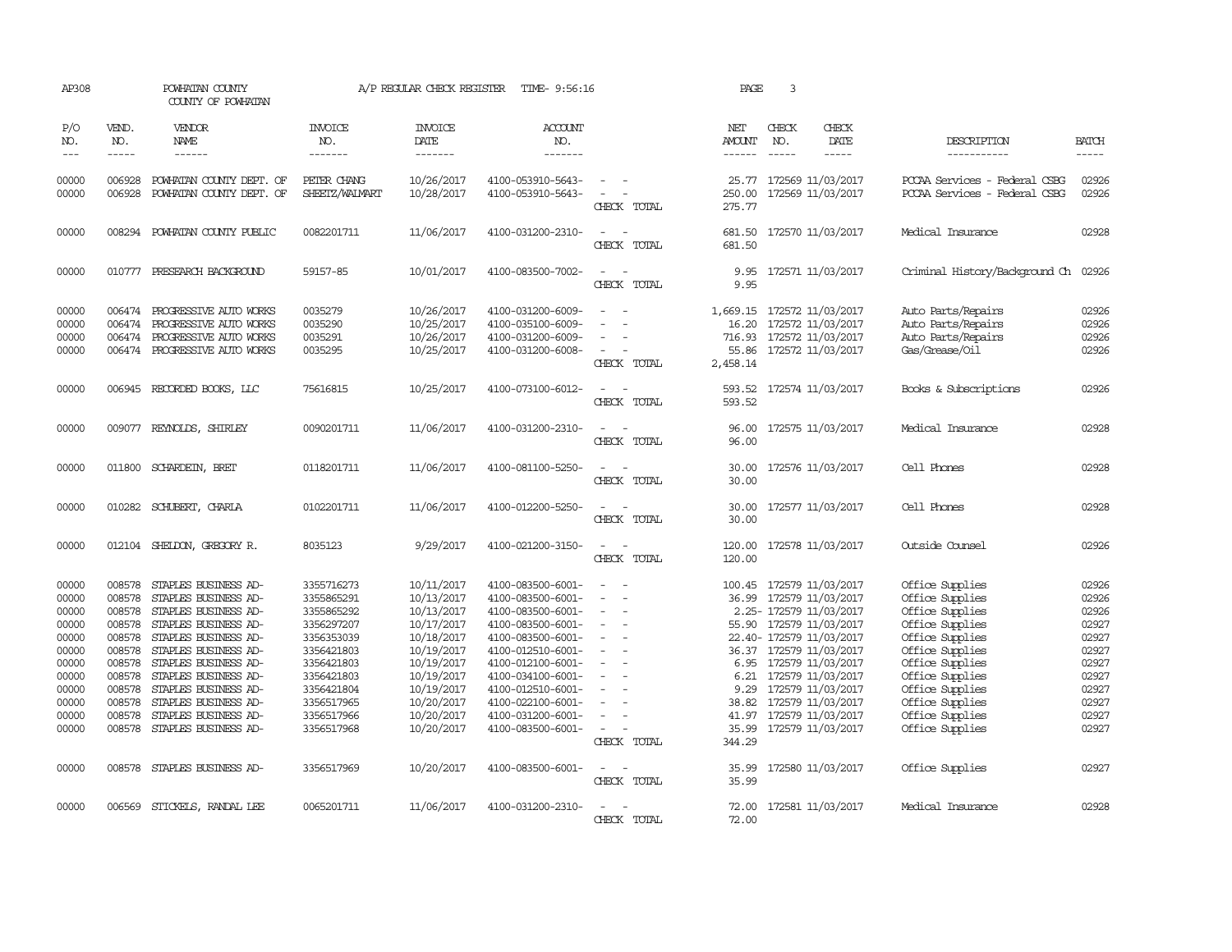| AP308                                                                                                    |                                                                                                            | POWHATAN COUNTY<br>COUNTY OF POWHATAN                                                                                                                                                                                                                                                               |                                                                                                                                                                      | A/P REGULAR CHECK REGISTER                                                                                                                                           | TIME- 9:56:16                                                                                                                                                                                                                                            |                                                          | PAGE                                    | 3                                                                                                                                                                                                                                                                                                          |                                                                                                                                                                                                                                  |                                                                                                          |
|----------------------------------------------------------------------------------------------------------|------------------------------------------------------------------------------------------------------------|-----------------------------------------------------------------------------------------------------------------------------------------------------------------------------------------------------------------------------------------------------------------------------------------------------|----------------------------------------------------------------------------------------------------------------------------------------------------------------------|----------------------------------------------------------------------------------------------------------------------------------------------------------------------|----------------------------------------------------------------------------------------------------------------------------------------------------------------------------------------------------------------------------------------------------------|----------------------------------------------------------|-----------------------------------------|------------------------------------------------------------------------------------------------------------------------------------------------------------------------------------------------------------------------------------------------------------------------------------------------------------|----------------------------------------------------------------------------------------------------------------------------------------------------------------------------------------------------------------------------------|----------------------------------------------------------------------------------------------------------|
| P/O<br>NO.<br>$---$                                                                                      | VEND.<br>NO.<br>-----                                                                                      | VENDOR<br><b>NAME</b><br>------                                                                                                                                                                                                                                                                     | INVOICE<br>NO.<br>-------                                                                                                                                            | <b>INVOICE</b><br>DATE<br>-------                                                                                                                                    | <b>ACCOUNT</b><br>NO.<br>-------                                                                                                                                                                                                                         |                                                          | NET<br><b>AMOUNT</b><br>$- - - - - -$   | CHECK<br>CHECK<br>DATE<br>NO.<br>$- - - - -$<br>$- - - - -$                                                                                                                                                                                                                                                | DESCRIPTION<br>-----------                                                                                                                                                                                                       | <b>BATCH</b><br>-----                                                                                    |
| 00000<br>00000                                                                                           | 006928<br>006928                                                                                           | POWHATAN COUNTY DEPT. OF<br>POWHATAN COUNTY DEPT. OF                                                                                                                                                                                                                                                | PETER CHANG<br>SHEETZ/WALMART                                                                                                                                        | 10/26/2017<br>10/28/2017                                                                                                                                             | 4100-053910-5643-<br>4100-053910-5643-                                                                                                                                                                                                                   | $\equiv$<br>$\overline{\phantom{a}}$<br>CHECK TOTAL      | 25.77<br>250.00<br>275.77               | 172569 11/03/2017<br>172569 11/03/2017                                                                                                                                                                                                                                                                     | PCCAA Services - Federal CSBG<br>PCCAA Services - Federal CSBG                                                                                                                                                                   | 02926<br>02926                                                                                           |
| 00000                                                                                                    | 008294                                                                                                     | POWHATAN COUNTY PUBLIC                                                                                                                                                                                                                                                                              | 0082201711                                                                                                                                                           | 11/06/2017                                                                                                                                                           | 4100-031200-2310-                                                                                                                                                                                                                                        | $\sim$<br>CHECK TOTAL                                    | 681.50<br>681.50                        | 172570 11/03/2017                                                                                                                                                                                                                                                                                          | Medical Insurance                                                                                                                                                                                                                | 02928                                                                                                    |
| 00000                                                                                                    | 010777                                                                                                     | PRESEARCH BACKGROUND                                                                                                                                                                                                                                                                                | 59157-85                                                                                                                                                             | 10/01/2017                                                                                                                                                           | 4100-083500-7002-                                                                                                                                                                                                                                        | CHECK TOTAL                                              | 9.95<br>9.95                            | 172571 11/03/2017                                                                                                                                                                                                                                                                                          | Criminal History/Background Ch                                                                                                                                                                                                   | 02926                                                                                                    |
| 00000<br>00000<br>00000<br>00000                                                                         | 006474<br>006474<br>006474                                                                                 | PROGRESSIVE AUTO WORKS<br>PROGRESSIVE AUTO WORKS<br>PROGRESSIVE AUTO WORKS<br>006474 PROGRESSIVE AUTO WORKS                                                                                                                                                                                         | 0035279<br>0035290<br>0035291<br>0035295                                                                                                                             | 10/26/2017<br>10/25/2017<br>10/26/2017<br>10/25/2017                                                                                                                 | 4100-031200-6009-<br>4100-035100-6009-<br>4100-031200-6009-<br>4100-031200-6008-                                                                                                                                                                         | $\sim$<br>$\equiv$<br>CHECK TOTAL                        | 1,669.15<br>716.93<br>55.86<br>2,458.14 | 172572 11/03/2017<br>16.20 172572 11/03/2017<br>172572 11/03/2017<br>172572 11/03/2017                                                                                                                                                                                                                     | Auto Parts/Repairs<br>Auto Parts/Repairs<br>Auto Parts/Repairs<br>Gas/Grease/Oil                                                                                                                                                 | 02926<br>02926<br>02926<br>02926                                                                         |
| 00000                                                                                                    |                                                                                                            | 006945 RECORDED BOOKS, LLC                                                                                                                                                                                                                                                                          | 75616815                                                                                                                                                             | 10/25/2017                                                                                                                                                           | 4100-073100-6012-                                                                                                                                                                                                                                        | $\sim$<br>CHECK TOTAL                                    | 593.52<br>593.52                        | 172574 11/03/2017                                                                                                                                                                                                                                                                                          | Books & Subscriptions                                                                                                                                                                                                            | 02926                                                                                                    |
| 00000                                                                                                    |                                                                                                            | 009077 REYNOLDS, SHIRLEY                                                                                                                                                                                                                                                                            | 0090201711                                                                                                                                                           | 11/06/2017                                                                                                                                                           | 4100-031200-2310-                                                                                                                                                                                                                                        | CHECK TOTAL                                              | 96.00<br>96.00                          | 172575 11/03/2017                                                                                                                                                                                                                                                                                          | Medical Insurance                                                                                                                                                                                                                | 02928                                                                                                    |
| 00000                                                                                                    |                                                                                                            | 011800 SCHARDEIN, BRET                                                                                                                                                                                                                                                                              | 0118201711                                                                                                                                                           | 11/06/2017                                                                                                                                                           | 4100-081100-5250-                                                                                                                                                                                                                                        | CHECK TOTAL                                              | 30.00<br>30.00                          | 172576 11/03/2017                                                                                                                                                                                                                                                                                          | Cell Phones                                                                                                                                                                                                                      | 02928                                                                                                    |
| 00000                                                                                                    |                                                                                                            | 010282 SCHUBERT, CHARLA                                                                                                                                                                                                                                                                             | 0102201711                                                                                                                                                           | 11/06/2017                                                                                                                                                           | 4100-012200-5250-                                                                                                                                                                                                                                        | CHECK TOTAL                                              | 30.00<br>30.00                          | 172577 11/03/2017                                                                                                                                                                                                                                                                                          | Cell Phones                                                                                                                                                                                                                      | 02928                                                                                                    |
| 00000                                                                                                    |                                                                                                            | 012104 SHELDON, GREGORY R.                                                                                                                                                                                                                                                                          | 8035123                                                                                                                                                              | 9/29/2017                                                                                                                                                            | 4100-021200-3150-                                                                                                                                                                                                                                        | $\omega_{\rm{max}}$ , $\omega_{\rm{max}}$<br>CHECK TOTAL | 120.00<br>120.00                        | 172578 11/03/2017                                                                                                                                                                                                                                                                                          | Outside Counsel                                                                                                                                                                                                                  | 02926                                                                                                    |
| 00000<br>00000<br>00000<br>00000<br>00000<br>00000<br>00000<br>00000<br>00000<br>00000<br>00000<br>00000 | 008578<br>008578<br>008578<br>008578<br>008578<br>008578<br>008578<br>008578<br>008578<br>008578<br>008578 | STAPLES BUSINESS AD-<br>STAPLES BUSINESS AD-<br>STAPLES BUSINESS AD-<br>STAPLES BUSINESS AD-<br>STAPLES BUSINESS AD-<br>STAPLES BUSINESS AD-<br>STAPLES BUSINESS AD-<br>STAPLES BUSINESS AD-<br>STAPLES BUSINESS AD-<br>STAPLES BUSINESS AD-<br>STAPLES BUSINESS AD-<br>008578 STAPLES BUSINESS AD- | 3355716273<br>3355865291<br>3355865292<br>3356297207<br>3356353039<br>3356421803<br>3356421803<br>3356421803<br>3356421804<br>3356517965<br>3356517966<br>3356517968 | 10/11/2017<br>10/13/2017<br>10/13/2017<br>10/17/2017<br>10/18/2017<br>10/19/2017<br>10/19/2017<br>10/19/2017<br>10/19/2017<br>10/20/2017<br>10/20/2017<br>10/20/2017 | 4100-083500-6001-<br>4100-083500-6001-<br>4100-083500-6001-<br>4100-083500-6001-<br>4100-083500-6001-<br>4100-012510-6001-<br>4100-012100-6001-<br>4100-034100-6001-<br>4100-012510-6001-<br>4100-022100-6001-<br>4100-031200-6001-<br>4100-083500-6001- | $\equiv$<br>$\equiv$<br>CHECK TOTAL                      | 6.95<br>6.21<br>9.29<br>38.82<br>344.29 | 100.45 172579 11/03/2017<br>36.99 172579 11/03/2017<br>2.25- 172579 11/03/2017<br>55.90 172579 11/03/2017<br>22.40- 172579 11/03/2017<br>36.37 172579 11/03/2017<br>172579 11/03/2017<br>172579 11/03/2017<br>172579 11/03/2017<br>172579 11/03/2017<br>41.97 172579 11/03/2017<br>35.99 172579 11/03/2017 | Office Supplies<br>Office Supplies<br>Office Supplies<br>Office Supplies<br>Office Supplies<br>Office Supplies<br>Office Supplies<br>Office Supplies<br>Office Supplies<br>Office Supplies<br>Office Supplies<br>Office Supplies | 02926<br>02926<br>02926<br>02927<br>02927<br>02927<br>02927<br>02927<br>02927<br>02927<br>02927<br>02927 |
| 00000                                                                                                    | 008578                                                                                                     | STAPLES BUSINESS AD-                                                                                                                                                                                                                                                                                | 3356517969                                                                                                                                                           | 10/20/2017                                                                                                                                                           | 4100-083500-6001-                                                                                                                                                                                                                                        | $ -$<br>CHECK TOTAL                                      | 35.99<br>35.99                          | 172580 11/03/2017                                                                                                                                                                                                                                                                                          | Office Supplies                                                                                                                                                                                                                  | 02927                                                                                                    |
| 00000                                                                                                    |                                                                                                            | 006569 STICKELS, RANDAL LEE                                                                                                                                                                                                                                                                         | 0065201711                                                                                                                                                           | 11/06/2017                                                                                                                                                           | 4100-031200-2310-                                                                                                                                                                                                                                        | CHECK TOTAL                                              | 72.00<br>72.00                          | 172581 11/03/2017                                                                                                                                                                                                                                                                                          | Medical Insurance                                                                                                                                                                                                                | 02928                                                                                                    |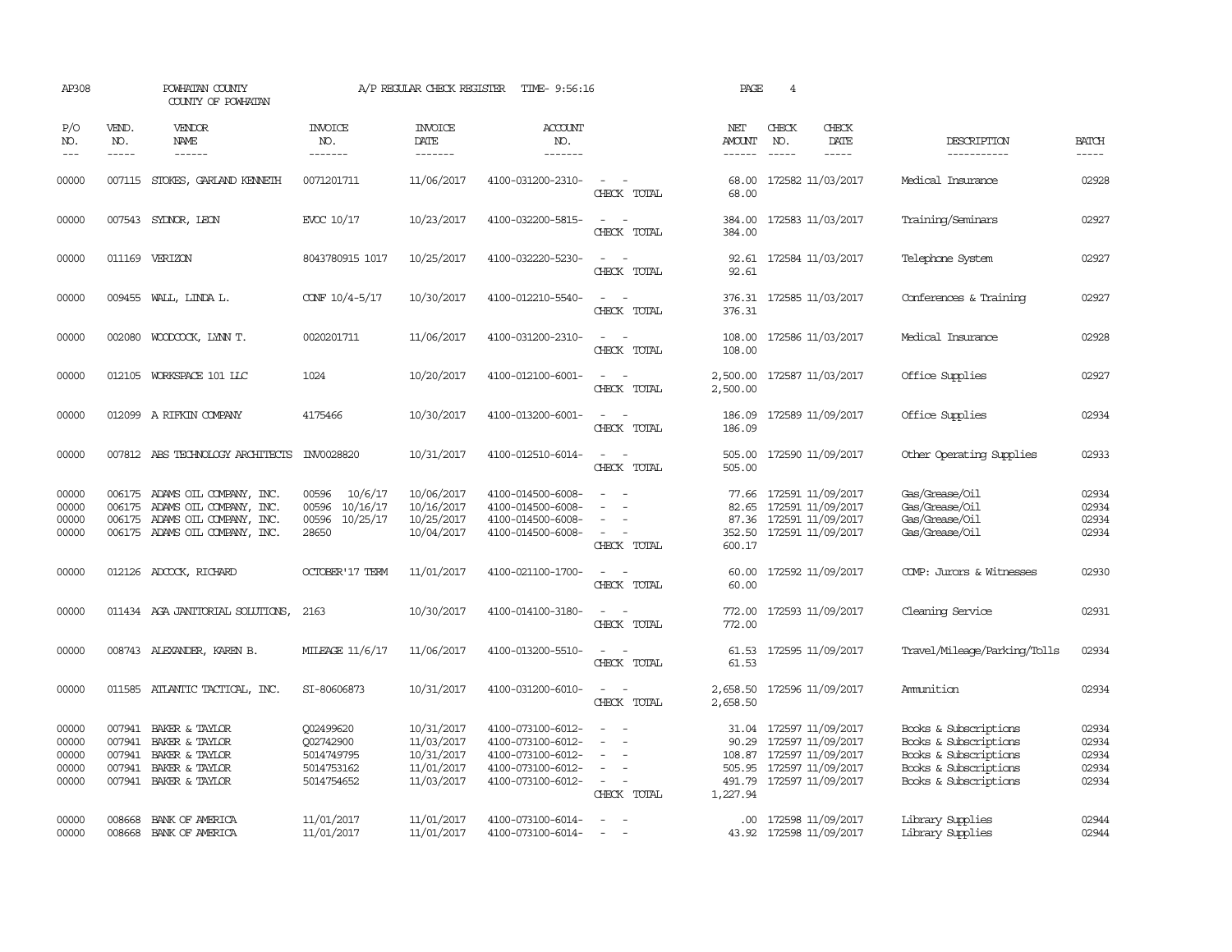| AP308                                     |                                      | POWHATAN COUNTY<br>COUNTY OF POWHATAN                                                                           |                                                                  | A/P REGULAR CHECK REGISTER                                         | TIME- 9:56:16                                                                                         |                                                                                                                             | PAGE                                        | 4                             |                                                                                                                           |                                                                                                                           |                                           |
|-------------------------------------------|--------------------------------------|-----------------------------------------------------------------------------------------------------------------|------------------------------------------------------------------|--------------------------------------------------------------------|-------------------------------------------------------------------------------------------------------|-----------------------------------------------------------------------------------------------------------------------------|---------------------------------------------|-------------------------------|---------------------------------------------------------------------------------------------------------------------------|---------------------------------------------------------------------------------------------------------------------------|-------------------------------------------|
| P/O<br>NO.<br>$---$                       | VEND.<br>NO.<br>$- - - - -$          | <b>VENDOR</b><br>NAME<br>------                                                                                 | <b>INVOICE</b><br>NO.<br>-------                                 | <b>INVOICE</b><br>DATE<br>-------                                  | <b>ACCOUNT</b><br>NO.<br>-------                                                                      |                                                                                                                             | NET<br>AMOUNT<br>------                     | CHECK<br>NO.<br>$\frac{1}{2}$ | CHECK<br>DATE<br>$- - - - -$                                                                                              | DESCRIPTION<br>-----------                                                                                                | <b>BATCH</b><br>-----                     |
| 00000                                     |                                      | 007115 STOKES, GARLAND KENNETH                                                                                  | 0071201711                                                       | 11/06/2017                                                         | 4100-031200-2310-                                                                                     | $\sim$<br>CHECK TOTAL                                                                                                       | 68.00<br>68.00                              |                               | 172582 11/03/2017                                                                                                         | Medical Insurance                                                                                                         | 02928                                     |
| 00000                                     |                                      | 007543 SYDNOR, LEON                                                                                             | EVCC 10/17                                                       | 10/23/2017                                                         | 4100-032200-5815-                                                                                     | $\equiv$<br>$\sim$<br>CHECK TOTAL                                                                                           | 384.00<br>384.00                            |                               | 172583 11/03/2017                                                                                                         | Training/Seminars                                                                                                         | 02927                                     |
| 00000                                     |                                      | 011169 VERIZON                                                                                                  | 8043780915 1017                                                  | 10/25/2017                                                         | 4100-032220-5230-                                                                                     | CHECK TOTAL                                                                                                                 | 92.61                                       |                               | 92.61 172584 11/03/2017                                                                                                   | Telephone System                                                                                                          | 02927                                     |
| 00000                                     |                                      | 009455 WALL, LINDA L.                                                                                           | CONF 10/4-5/17                                                   | 10/30/2017                                                         | 4100-012210-5540-                                                                                     | $\equiv$<br>$\sim$<br>CHECK TOTAL                                                                                           | 376.31                                      |                               | 376.31 172585 11/03/2017                                                                                                  | Conferences & Training                                                                                                    | 02927                                     |
| 00000                                     |                                      | 002080 WOODCOCK, LYNN T.                                                                                        | 0020201711                                                       | 11/06/2017                                                         | 4100-031200-2310-                                                                                     | $\sim$ $\sim$<br>CHECK TOTAL                                                                                                | 108.00<br>108.00                            |                               | 172586 11/03/2017                                                                                                         | Medical Insurance                                                                                                         | 02928                                     |
| 00000                                     |                                      | 012105 WORKSPACE 101 LLC                                                                                        | 1024                                                             | 10/20/2017                                                         | 4100-012100-6001-                                                                                     | $\sim$<br>$\sim$<br>CHECK TOTAL                                                                                             | 2,500.00<br>2,500.00                        |                               | 172587 11/03/2017                                                                                                         | Office Supplies                                                                                                           | 02927                                     |
| 00000                                     |                                      | 012099 A RIFKIN COMPANY                                                                                         | 4175466                                                          | 10/30/2017                                                         | 4100-013200-6001-                                                                                     | $\overline{\phantom{a}}$<br>CHECK TOTAL                                                                                     | 186.09<br>186.09                            |                               | 172589 11/09/2017                                                                                                         | Office Supplies                                                                                                           | 02934                                     |
| 00000                                     |                                      | 007812 ABS TECHNOLOGY ARCHITECTS                                                                                | INV0028820                                                       | 10/31/2017                                                         | 4100-012510-6014-                                                                                     | $\overline{\phantom{a}}$<br>$\overline{\phantom{a}}$<br>CHECK TOTAL                                                         | 505.00<br>505.00                            |                               | 172590 11/09/2017                                                                                                         | Other Operating Supplies                                                                                                  | 02933                                     |
| 00000<br>00000<br>00000<br>00000          | 006175<br>006175<br>006175           | ADAMS OIL COMPANY, INC.<br>ADAMS OIL COMPANY, INC.<br>ADAMS OIL COMPANY, INC.<br>006175 ADAMS OIL COMPANY, INC. | 10/6/17<br>00596<br>00596 10/16/17<br>10/25/17<br>00596<br>28650 | 10/06/2017<br>10/16/2017<br>10/25/2017<br>10/04/2017               | 4100-014500-6008-<br>4100-014500-6008-<br>4100-014500-6008-<br>4100-014500-6008-                      | $\equiv$<br>CHECK TOTAL                                                                                                     | 77.66<br>82.65<br>87.36<br>352.50<br>600.17 |                               | 172591 11/09/2017<br>172591 11/09/2017<br>172591 11/09/2017<br>172591 11/09/2017                                          | Gas/Grease/Oil<br>Gas/Grease/Oil<br>Gas/Grease/Oil<br>Gas/Grease/Oil                                                      | 02934<br>02934<br>02934<br>02934          |
| 00000                                     |                                      | 012126 ADCOCK, RICHARD                                                                                          | <b>OCTOBER'17 TERM</b>                                           | 11/01/2017                                                         | 4100-021100-1700-                                                                                     | $\sim$<br>CHECK TOTAL                                                                                                       | 60.00<br>60.00                              |                               | 172592 11/09/2017                                                                                                         | COMP: Jurors & Witnesses                                                                                                  | 02930                                     |
| 00000                                     |                                      | 011434 AGA JANITORIAL SOLUTIONS,                                                                                | 2163                                                             | 10/30/2017                                                         | 4100-014100-3180-                                                                                     | $\sim$ 100 $\sim$ 100 $\sim$<br>CHECK TOTAL                                                                                 | 772.00<br>772.00                            |                               | 172593 11/09/2017                                                                                                         | Cleaning Service                                                                                                          | 02931                                     |
| 00000                                     |                                      | 008743 ALEXANDER, KAREN B.                                                                                      | MILEAGE 11/6/17                                                  | 11/06/2017                                                         | 4100-013200-5510-                                                                                     | CHECK TOTAL                                                                                                                 | 61.53<br>61.53                              |                               | 172595 11/09/2017                                                                                                         | Travel/Mileage/Parking/Tolls                                                                                              | 02934                                     |
| 00000                                     |                                      | 011585 ATLANTIC TACTICAL, INC.                                                                                  | SI-80606873                                                      | 10/31/2017                                                         | 4100-031200-6010-                                                                                     | $\frac{1}{2} \left( \frac{1}{2} \right) \left( \frac{1}{2} \right) = \frac{1}{2} \left( \frac{1}{2} \right)$<br>CHECK TOTAL | 2,658.50<br>2,658.50                        |                               | 172596 11/09/2017                                                                                                         | Ammition                                                                                                                  | 02934                                     |
| 00000<br>00000<br>00000<br>00000<br>00000 | 007941<br>007941<br>007941<br>007941 | BAKER & TAYLOR<br>BAKER & TAYLOR<br>BAKER & TAYLOR<br>BAKER & TAYLOR<br>007941 BAKER & TAYLOR                   | 002499620<br>Q02742900<br>5014749795<br>5014753162<br>5014754652 | 10/31/2017<br>11/03/2017<br>10/31/2017<br>11/01/2017<br>11/03/2017 | 4100-073100-6012-<br>4100-073100-6012-<br>4100-073100-6012-<br>4100-073100-6012-<br>4100-073100-6012- | $\equiv$<br>$\equiv$<br>CHECK TOTAL                                                                                         | 90.29<br>505.95<br>1,227.94                 |                               | 31.04 172597 11/09/2017<br>172597 11/09/2017<br>108.87 172597 11/09/2017<br>172597 11/09/2017<br>491.79 172597 11/09/2017 | Books & Subscriptions<br>Books & Subscriptions<br>Books & Subscriptions<br>Books & Subscriptions<br>Books & Subscriptions | 02934<br>02934<br>02934<br>02934<br>02934 |
| 00000<br>00000                            | 008668<br>008668                     | BANK OF AMERICA<br>BANK OF AMERICA                                                                              | 11/01/2017<br>11/01/2017                                         | 11/01/2017<br>11/01/2017                                           | 4100-073100-6014-<br>4100-073100-6014-                                                                | $\sim$                                                                                                                      |                                             |                               | .00 172598 11/09/2017<br>43.92 172598 11/09/2017                                                                          | Library Supplies<br>Library Supplies                                                                                      | 02944<br>02944                            |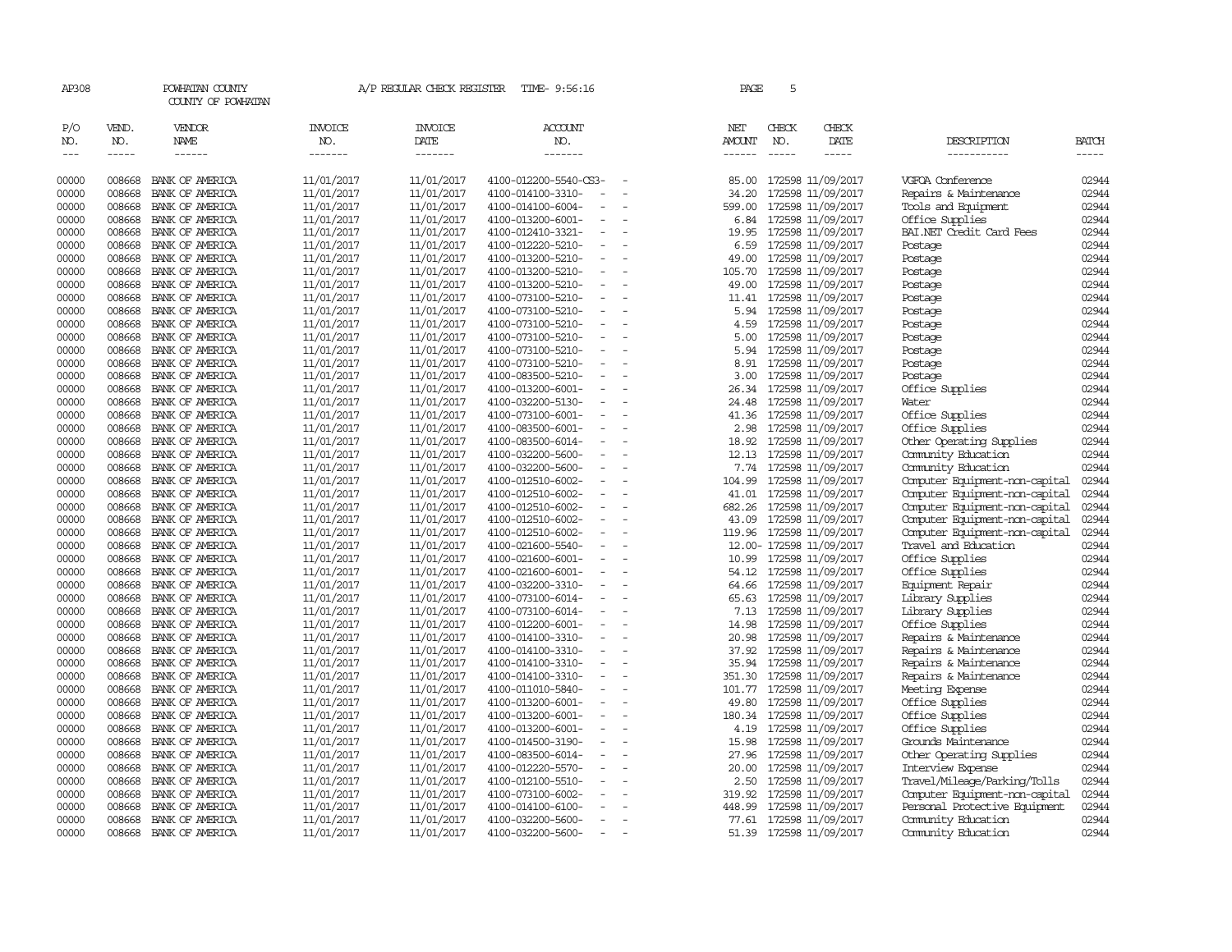| AP308                           |                             | POWHATAN COUNTY<br>COUNTY OF POWHATAN |                                  | A/P REGULAR CHECK REGISTER         | TIME- 9:56:16                                                      | PAGE                    | 5                             |                                              |                                                |                       |
|---------------------------------|-----------------------------|---------------------------------------|----------------------------------|------------------------------------|--------------------------------------------------------------------|-------------------------|-------------------------------|----------------------------------------------|------------------------------------------------|-----------------------|
| P/O<br>NO.<br>$\qquad \qquad -$ | VEND.<br>NO.<br>$- - - - -$ | VENDOR<br>NAME<br>$- - - - - -$       | <b>INVOICE</b><br>NO.<br>------- | INVOICE<br>DATE<br>$- - - - - - -$ | <b>ACCOUNT</b><br>NO.<br>-------                                   | NET<br>AMOUNT<br>------ | CHECK<br>NO.<br>$\frac{1}{2}$ | CHECK<br>DATE<br>$- - - - -$                 | DESCRIPTION<br>-----------                     | <b>BATCH</b><br>----- |
| 00000                           | 008668                      | BANK OF AMERICA                       | 11/01/2017                       | 11/01/2017                         | 4100-012200-5540-CS3-                                              | 85.00                   |                               | 172598 11/09/2017                            | VGFOA Conference                               | 02944                 |
| 00000                           | 008668                      | BANK OF AMERICA                       | 11/01/2017                       | 11/01/2017                         | 4100-014100-3310-                                                  | 34.20                   |                               | 172598 11/09/2017                            | Repairs & Maintenance                          | 02944                 |
| 00000                           | 008668                      | BANK OF AMERICA                       | 11/01/2017                       | 11/01/2017                         | 4100-014100-6004-<br>$\equiv$                                      | 599.00                  |                               | 172598 11/09/2017                            | Tools and Equipment                            | 02944                 |
| 00000                           | 008668                      | BANK OF AMERICA                       | 11/01/2017                       | 11/01/2017                         | 4100-013200-6001-                                                  | 6.84                    |                               | 172598 11/09/2017                            | Office Supplies                                | 02944                 |
| 00000                           | 008668                      | BANK OF AMERICA                       | 11/01/2017                       | 11/01/2017                         | 4100-012410-3321-<br>$\overline{\phantom{a}}$                      | 19.95                   |                               | 172598 11/09/2017                            | BAI.NET Credit Card Fees                       | 02944                 |
| 00000                           | 008668                      | BANK OF AMERICA                       | 11/01/2017                       | 11/01/2017                         | 4100-012220-5210-<br>$\overline{\phantom{a}}$                      | 6.59                    |                               | 172598 11/09/2017                            | Postage                                        | 02944                 |
| 00000                           | 008668                      | BANK OF AMERICA                       | 11/01/2017                       | 11/01/2017                         | 4100-013200-5210-<br>$\overline{\phantom{a}}$                      | 49.00                   |                               | 172598 11/09/2017                            | Postage                                        | 02944                 |
| 00000                           | 008668                      | BANK OF AMERICA                       | 11/01/2017                       | 11/01/2017                         | 4100-013200-5210-                                                  | 105.70                  |                               | 172598 11/09/2017                            | Postage                                        | 02944                 |
| 00000                           | 008668                      | BANK OF AMERICA                       | 11/01/2017                       | 11/01/2017                         | 4100-013200-5210-                                                  | 49.00                   |                               | 172598 11/09/2017                            | Postage                                        | 02944                 |
| 00000                           | 008668                      | BANK OF AMERICA                       | 11/01/2017                       | 11/01/2017                         | 4100-073100-5210-<br>$\overline{\phantom{a}}$                      |                         |                               | 11.41 172598 11/09/2017                      | Postage                                        | 02944                 |
| 00000                           | 008668                      | BANK OF AMERICA                       | 11/01/2017                       | 11/01/2017                         | 4100-073100-5210-<br>$\overline{\phantom{a}}$                      | 5.94                    |                               | 172598 11/09/2017                            | Postage                                        | 02944                 |
| 00000                           | 008668                      | BANK OF AMERICA                       | 11/01/2017                       | 11/01/2017                         | 4100-073100-5210-<br>$\overline{\phantom{a}}$                      | 4.59                    |                               | 172598 11/09/2017                            | Postage                                        | 02944                 |
| 00000                           | 008668                      | BANK OF AMERICA                       | 11/01/2017                       | 11/01/2017                         | 4100-073100-5210-<br>$\equiv$                                      | 5.00                    |                               | 172598 11/09/2017                            | Postage                                        | 02944                 |
| 00000                           | 008668                      | BANK OF AMERICA                       | 11/01/2017                       | 11/01/2017                         | 4100-073100-5210-<br>$\overline{\phantom{a}}$                      | 5.94                    |                               | 172598 11/09/2017                            | Postage                                        | 02944                 |
| 00000                           | 008668                      | BANK OF AMERICA                       | 11/01/2017                       | 11/01/2017                         | 4100-073100-5210-<br>$\equiv$                                      | 8.91                    |                               | 172598 11/09/2017                            | Postage                                        | 02944                 |
| 00000                           | 008668                      | BANK OF AMERICA                       | 11/01/2017                       | 11/01/2017                         | 4100-083500-5210-                                                  | 3.00                    |                               | 172598 11/09/2017                            | Postage                                        | 02944                 |
| 00000                           | 008668                      | BANK OF AMERICA                       | 11/01/2017                       | 11/01/2017                         | 4100-013200-6001-<br>$\equiv$                                      | 26.34                   |                               | 172598 11/09/2017                            | Office Supplies                                | 02944                 |
| 00000                           | 008668                      | BANK OF AMERICA                       | 11/01/2017                       | 11/01/2017                         | 4100-032200-5130-                                                  | 24.48                   |                               | 172598 11/09/2017                            | Water                                          | 02944                 |
| 00000                           | 008668                      | BANK OF AMERICA                       | 11/01/2017                       | 11/01/2017                         | 4100-073100-6001-                                                  | 41.36                   |                               | 172598 11/09/2017                            | Office Supplies                                | 02944                 |
| 00000                           | 008668                      | BANK OF AMERICA                       | 11/01/2017                       | 11/01/2017                         | 4100-083500-6001-                                                  | 2.98                    |                               | 172598 11/09/2017                            | Office Supplies                                | 02944                 |
| 00000                           | 008668                      | BANK OF AMERICA                       | 11/01/2017                       | 11/01/2017                         | 4100-083500-6014-<br>$\equiv$                                      | 18.92                   |                               | 172598 11/09/2017                            | Other Operating Supplies                       | 02944                 |
| 00000                           | 008668                      | BANK OF AMERICA                       | 11/01/2017                       | 11/01/2017                         | 4100-032200-5600-                                                  | 12.13                   |                               | 172598 11/09/2017                            | Community Education                            | 02944                 |
| 00000                           | 008668                      | BANK OF AMERICA                       | 11/01/2017                       | 11/01/2017                         | 4100-032200-5600-                                                  | 7.74                    |                               | 172598 11/09/2017                            | Community Education                            | 02944                 |
| 00000                           | 008668                      | BANK OF AMERICA                       | 11/01/2017                       | 11/01/2017                         | 4100-012510-6002-<br>$\equiv$                                      | 104.99                  |                               | 172598 11/09/2017                            | Computer Equipment-non-capital                 | 02944                 |
| 00000                           | 008668                      | BANK OF AMERICA                       | 11/01/2017                       | 11/01/2017                         | 4100-012510-6002-<br>$\overline{\phantom{a}}$                      | 41.01                   |                               | 172598 11/09/2017                            | Computer Equipment-non-capital                 | 02944                 |
| 00000                           | 008668                      | BANK OF AMERICA                       | 11/01/2017                       | 11/01/2017                         | 4100-012510-6002-<br>$\equiv$                                      | 682.26                  |                               | 172598 11/09/2017                            | Computer Equipment-non-capital                 | 02944                 |
| 00000                           | 008668                      | BANK OF AMERICA                       | 11/01/2017                       | 11/01/2017                         | 4100-012510-6002-<br>$\overline{\phantom{a}}$                      | 43.09                   |                               | 172598 11/09/2017                            | Computer Equipment-non-capital                 | 02944                 |
| 00000                           | 008668                      | BANK OF AMERICA                       | 11/01/2017                       | 11/01/2017                         | 4100-012510-6002-<br>$\sim$                                        |                         |                               | 119.96 172598 11/09/2017                     | Computer Equipment-non-capital                 | 02944                 |
| 00000                           | 008668                      | BANK OF AMERICA                       | 11/01/2017                       | 11/01/2017                         | 4100-021600-5540-                                                  |                         |                               | 12.00- 172598 11/09/2017                     | Travel and Education                           | 02944                 |
| 00000                           | 008668                      | BANK OF AMERICA                       | 11/01/2017                       | 11/01/2017                         | 4100-021600-6001-                                                  | 10.99                   |                               | 172598 11/09/2017                            | Office Supplies                                | 02944                 |
| 00000                           | 008668                      | BANK OF AMERICA                       | 11/01/2017                       | 11/01/2017                         | 4100-021600-6001-<br>$\equiv$                                      | 54.12                   |                               | 172598 11/09/2017                            | Office Supplies                                | 02944                 |
| 00000                           | 008668                      | BANK OF AMERICA                       | 11/01/2017                       | 11/01/2017                         | 4100-032200-3310-                                                  | 64.66                   |                               | 172598 11/09/2017                            | Equipment Repair                               | 02944                 |
| 00000                           | 008668                      | BANK OF AMERICA                       | 11/01/2017                       | 11/01/2017                         | 4100-073100-6014-                                                  | 65.63                   |                               | 172598 11/09/2017                            | Library Supplies                               | 02944                 |
| 00000                           | 008668                      | BANK OF AMERICA                       | 11/01/2017                       | 11/01/2017                         | 4100-073100-6014-<br>$\overline{\phantom{a}}$                      | 7.13                    |                               | 172598 11/09/2017                            | Library Supplies                               | 02944                 |
| 00000                           | 008668                      | BANK OF AMERICA                       | 11/01/2017                       | 11/01/2017                         | 4100-012200-6001-<br>$\equiv$                                      | 14.98                   |                               | 172598 11/09/2017                            | Office Supplies                                | 02944                 |
| 00000<br>00000                  | 008668<br>008668            | BANK OF AMERICA<br>BANK OF AMERICA    | 11/01/2017                       | 11/01/2017                         | 4100-014100-3310-                                                  | 20.98                   |                               | 172598 11/09/2017                            | Repairs & Maintenance                          | 02944<br>02944        |
|                                 | 008668                      |                                       | 11/01/2017                       | 11/01/2017                         | 4100-014100-3310-<br>$\equiv$                                      | 37.92                   |                               | 172598 11/09/2017                            | Repairs & Maintenance                          |                       |
| 00000<br>00000                  | 008668                      | BANK OF AMERICA<br>BANK OF AMERICA    | 11/01/2017                       | 11/01/2017<br>11/01/2017           | 4100-014100-3310-<br>4100-014100-3310-<br>$\overline{\phantom{a}}$ | 351.30                  |                               | 35.94 172598 11/09/2017<br>172598 11/09/2017 | Repairs & Maintenance<br>Repairs & Maintenance | 02944<br>02944        |
| 00000                           | 008668                      | BANK OF AMERICA                       | 11/01/2017<br>11/01/2017         | 11/01/2017                         | 4100-011010-5840-<br>$\overline{\phantom{a}}$                      | 101.77                  |                               | 172598 11/09/2017                            | Meeting Expense                                | 02944                 |
| 00000                           | 008668                      | BANK OF AMERICA                       | 11/01/2017                       | 11/01/2017                         | 4100-013200-6001-<br>$\overline{\phantom{a}}$                      | 49.80                   |                               | 172598 11/09/2017                            | Office Supplies                                | 02944                 |
| 00000                           | 008668                      | BANK OF AMERICA                       | 11/01/2017                       | 11/01/2017                         | 4100-013200-6001-<br>$\overline{\phantom{a}}$                      | 180.34                  |                               | 172598 11/09/2017                            | Office Supplies                                | 02944                 |
| 00000                           | 008668                      | BANK OF AMERICA                       | 11/01/2017                       | 11/01/2017                         | 4100-013200-6001-<br>$\overline{\phantom{a}}$                      | 4.19                    |                               | 172598 11/09/2017                            | Office Supplies                                | 02944                 |
| 00000                           | 008668                      | BANK OF AMERICA                       | 11/01/2017                       | 11/01/2017                         | 4100-014500-3190-                                                  | 15.98                   |                               | 172598 11/09/2017                            | Grounds Maintenance                            | 02944                 |
| 00000                           | 008668                      | BANK OF AMERICA                       | 11/01/2017                       | 11/01/2017                         | 4100-083500-6014-<br>$\equiv$                                      | 27.96                   |                               | 172598 11/09/2017                            | Other Operating Supplies                       | 02944                 |
| 00000                           | 008668                      | BANK OF AMERICA                       | 11/01/2017                       | 11/01/2017                         | 4100-012220-5570-                                                  | 20.00                   |                               | 172598 11/09/2017                            | Interview Expense                              | 02944                 |
| 00000                           | 008668                      | BANK OF AMERICA                       | 11/01/2017                       | 11/01/2017                         | 4100-012100-5510-                                                  | 2.50                    |                               | 172598 11/09/2017                            | Travel/Mileage/Parking/Tolls                   | 02944                 |
| 00000                           | 008668                      | BANK OF AMERICA                       | 11/01/2017                       | 11/01/2017                         | 4100-073100-6002-                                                  | 319.92                  |                               | 172598 11/09/2017                            | Computer Equipment-non-capital                 | 02944                 |
| 00000                           | 008668                      | BANK OF AMERICA                       | 11/01/2017                       | 11/01/2017                         | 4100-014100-6100-                                                  | 448.99                  |                               | 172598 11/09/2017                            | Personal Protective Equipment                  | 02944                 |
| 00000                           | 008668                      | BANK OF AMERICA                       | 11/01/2017                       | 11/01/2017                         | 4100-032200-5600-<br>$\overline{\phantom{a}}$                      |                         |                               | 77.61 172598 11/09/2017                      | Community Education                            | 02944                 |
| 00000                           | 008668                      | BANK OF AMERICA                       | 11/01/2017                       | 11/01/2017                         | 4100-032200-5600-<br>$\sim$                                        | 51.39                   |                               | 172598 11/09/2017                            | Community Education                            | 02944                 |
|                                 |                             |                                       |                                  |                                    |                                                                    |                         |                               |                                              |                                                |                       |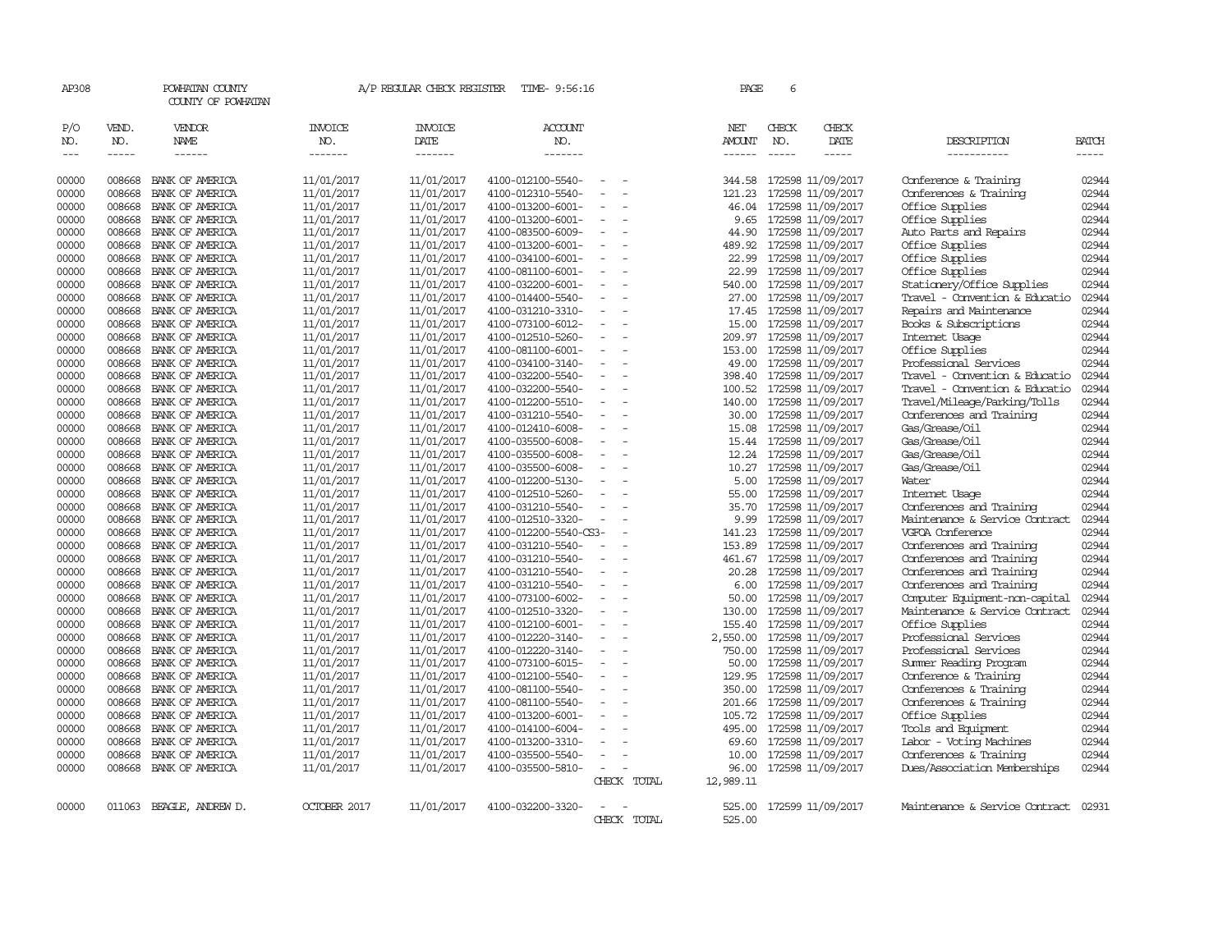| AP308               |                             | POWHATAN COUNTY<br>COUNTY OF POWHATAN  |                                  | A/P REGULAR CHECK REGISTER               | TIME- 9:56:16                    |                          |             | PAGE                                  | 6                             |                        |                                |                       |
|---------------------|-----------------------------|----------------------------------------|----------------------------------|------------------------------------------|----------------------------------|--------------------------|-------------|---------------------------------------|-------------------------------|------------------------|--------------------------------|-----------------------|
| P/O<br>NO.<br>$---$ | VEND.<br>NO.<br>$- - - - -$ | VENDOR<br><b>NAME</b><br>$- - - - - -$ | <b>INVOICE</b><br>NO.<br>------- | <b>INVOICE</b><br><b>DATE</b><br>------- | <b>ACCOUNT</b><br>NO.<br>------- |                          |             | NET<br><b>AMOUNT</b><br>$- - - - - -$ | CHECK<br>NO.<br>$\frac{1}{2}$ | CHECK<br>DATE<br>----- | DESCRIPTION<br>-----------     | <b>BATCH</b><br>----- |
|                     |                             |                                        |                                  |                                          |                                  |                          |             |                                       |                               |                        |                                |                       |
| 00000               | 008668                      | BANK OF AMERICA                        | 11/01/2017                       | 11/01/2017                               | 4100-012100-5540-                |                          |             | 344.58                                |                               | 172598 11/09/2017      | Conference & Training          | 02944                 |
| 00000               | 008668                      | BANK OF AMERICA                        | 11/01/2017                       | 11/01/2017                               | 4100-012310-5540-                |                          |             | 121.23                                |                               | 172598 11/09/2017      | Conferences & Training         | 02944                 |
| 00000               | 008668                      | BANK OF AMERICA                        | 11/01/2017                       | 11/01/2017                               | 4100-013200-6001-                | $\omega$                 |             | 46.04                                 |                               | 172598 11/09/2017      | Office Supplies                | 02944                 |
| 00000               | 008668                      | BANK OF AMERICA                        | 11/01/2017                       | 11/01/2017                               | 4100-013200-6001-                |                          |             | 9.65                                  |                               | 172598 11/09/2017      | Office Supplies                | 02944                 |
| 00000               | 008668                      | BANK OF AMERICA                        | 11/01/2017                       | 11/01/2017                               | 4100-083500-6009-                |                          |             | 44.90                                 |                               | 172598 11/09/2017      | Auto Parts and Repairs         | 02944                 |
| 00000               | 008668                      | BANK OF AMERICA                        | 11/01/2017                       | 11/01/2017                               | 4100-013200-6001-                | $\equiv$                 |             | 489.92                                |                               | 172598 11/09/2017      | Office Supplies                | 02944                 |
| 00000               | 008668                      | BANK OF AMERICA                        | 11/01/2017                       | 11/01/2017                               | 4100-034100-6001-                |                          |             | 22.99                                 |                               | 172598 11/09/2017      | Office Supplies                | 02944                 |
| 00000               | 008668                      | BANK OF AMERICA                        | 11/01/2017                       | 11/01/2017                               | 4100-081100-6001-                |                          |             | 22.99                                 |                               | 172598 11/09/2017      | Office Supplies                | 02944                 |
| 00000               | 008668                      | BANK OF AMERICA                        | 11/01/2017                       | 11/01/2017                               | 4100-032200-6001-                | $\equiv$                 |             | 540.00                                |                               | 172598 11/09/2017      | Stationery/Office Supplies     | 02944                 |
| 00000               | 008668                      | BANK OF AMERICA                        | 11/01/2017                       | 11/01/2017                               | 4100-014400-5540-                |                          |             | 27.00                                 |                               | 172598 11/09/2017      | Travel - Convention & Educatio | 02944                 |
| 00000               | 008668                      | BANK OF AMERICA                        | 11/01/2017                       | 11/01/2017                               | 4100-031210-3310-                | $\equiv$                 |             | 17.45                                 |                               | 172598 11/09/2017      | Repairs and Maintenance        | 02944                 |
| 00000               | 008668                      | BANK OF AMERICA                        | 11/01/2017                       | 11/01/2017                               | 4100-073100-6012-                |                          |             | 15.00                                 |                               | 172598 11/09/2017      | Books & Subscriptions          | 02944                 |
| 00000               | 008668                      | BANK OF AMERICA                        | 11/01/2017                       | 11/01/2017                               | 4100-012510-5260-                | $\sim$                   |             | 209.97                                |                               | 172598 11/09/2017      | Internet Usage                 | 02944                 |
| 00000               | 008668                      | BANK OF AMERICA                        | 11/01/2017                       | 11/01/2017                               | 4100-081100-6001-                | $\sim$                   |             | 153.00                                |                               | 172598 11/09/2017      | Office Supplies                | 02944                 |
| 00000               | 008668                      | BANK OF AMERICA                        | 11/01/2017                       | 11/01/2017                               | 4100-034100-3140-                |                          |             | 49.00                                 |                               | 172598 11/09/2017      | Professional Services          | 02944                 |
| 00000               | 008668                      | BANK OF AMERICA                        | 11/01/2017                       | 11/01/2017                               | 4100-032200-5540-                | $\overline{\phantom{a}}$ |             | 398.40                                |                               | 172598 11/09/2017      | Travel - Convention & Educatio | 02944                 |
| 00000               | 008668                      | BANK OF AMERICA                        | 11/01/2017                       | 11/01/2017                               | 4100-032200-5540-                | $\sim$                   |             | 100.52                                |                               | 172598 11/09/2017      | Travel - Convention & Educatio | 02944                 |
| 00000               | 008668                      | BANK OF AMERICA                        | 11/01/2017                       | 11/01/2017                               | 4100-012200-5510-                |                          |             | 140.00                                |                               | 172598 11/09/2017      | Travel/Mileage/Parking/Tolls   | 02944                 |
| 00000               | 008668                      | BANK OF AMERICA                        | 11/01/2017                       | 11/01/2017                               | 4100-031210-5540-                | $\sim$                   |             | 30.00                                 |                               | 172598 11/09/2017      | Conferences and Training       | 02944                 |
| 00000               | 008668                      | BANK OF AMERICA                        | 11/01/2017                       | 11/01/2017                               | 4100-012410-6008-                | $\overline{\phantom{a}}$ |             | 15.08                                 |                               | 172598 11/09/2017      | Gas/Grease/Oil                 | 02944                 |
| 00000               | 008668                      | BANK OF AMERICA                        | 11/01/2017                       | 11/01/2017                               | 4100-035500-6008-                |                          |             | 15.44                                 |                               | 172598 11/09/2017      | Gas/Grease/Oil                 | 02944                 |
| 00000               | 008668                      | BANK OF AMERICA                        | 11/01/2017                       | 11/01/2017                               | 4100-035500-6008-                | $\overline{\phantom{a}}$ |             | 12.24                                 |                               | 172598 11/09/2017      | Gas/Grease/Oil                 | 02944                 |
| 00000               | 008668                      | BANK OF AMERICA                        | 11/01/2017                       | 11/01/2017                               | 4100-035500-6008-                |                          |             | 10.27                                 |                               | 172598 11/09/2017      | Gas/Grease/Oil                 | 02944                 |
| 00000               | 008668                      | BANK OF AMERICA                        | 11/01/2017                       | 11/01/2017                               | 4100-012200-5130-                |                          |             | 5.00                                  |                               | 172598 11/09/2017      | Water                          | 02944                 |
| 00000               | 008668                      | BANK OF AMERICA                        | 11/01/2017                       | 11/01/2017                               | 4100-012510-5260-                | $\sim$                   |             | 55.00                                 |                               | 172598 11/09/2017      | Internet Usage                 | 02944                 |
| 00000               | 008668                      | BANK OF AMERICA                        | 11/01/2017                       | 11/01/2017                               | 4100-031210-5540-                | $\overline{\phantom{a}}$ |             | 35.70                                 |                               | 172598 11/09/2017      | Conferences and Training       | 02944                 |
| 00000               | 008668                      | BANK OF AMERICA                        | 11/01/2017                       | 11/01/2017                               | 4100-012510-3320-                | $\overline{\phantom{a}}$ |             | 9.99                                  |                               | 172598 11/09/2017      | Maintenance & Service Contract | 02944                 |
| 00000               | 008668                      | BANK OF AMERICA                        | 11/01/2017                       | 11/01/2017                               | 4100-012200-5540-CS3-            |                          |             | 141.23                                |                               | 172598 11/09/2017      | VGFOA Conference               | 02944                 |
| 00000               | 008668                      | BANK OF AMERICA                        | 11/01/2017                       | 11/01/2017                               | 4100-031210-5540-                |                          |             | 153.89                                |                               | 172598 11/09/2017      | Conferences and Training       | 02944                 |
| 00000               | 008668                      | BANK OF AMERICA                        | 11/01/2017                       | 11/01/2017                               | 4100-031210-5540-                |                          |             | 461.67                                |                               | 172598 11/09/2017      | Conferences and Training       | 02944                 |
| 00000               | 008668                      | BANK OF AMERICA                        | 11/01/2017                       | 11/01/2017                               | 4100-031210-5540-                |                          |             | 20.28                                 |                               | 172598 11/09/2017      | Conferences and Training       | 02944                 |
| 00000               | 008668                      | BANK OF AMERICA                        | 11/01/2017                       | 11/01/2017                               | 4100-031210-5540-                | $\sim$                   |             | 6.00                                  |                               | 172598 11/09/2017      | Conferences and Training       | 02944                 |
| 00000               | 008668                      | BANK OF AMERICA                        | 11/01/2017                       | 11/01/2017                               | 4100-073100-6002-                |                          |             | 50.00                                 |                               | 172598 11/09/2017      | Computer Equipment-non-capital | 02944                 |
| 00000               | 008668                      | BANK OF AMERICA                        | 11/01/2017                       | 11/01/2017                               | 4100-012510-3320-                |                          |             | 130.00                                |                               | 172598 11/09/2017      | Maintenance & Service Contract | 02944                 |
| 00000               | 008668                      | BANK OF AMERICA                        | 11/01/2017                       | 11/01/2017                               | 4100-012100-6001-                | $\overline{\phantom{a}}$ |             | 155.40                                |                               | 172598 11/09/2017      | Office Supplies                | 02944                 |
| 00000               | 008668                      | BANK OF AMERICA                        | 11/01/2017                       | 11/01/2017                               | 4100-012220-3140-                | $\overline{a}$           |             | 2,550.00                              |                               | 172598 11/09/2017      | Professional Services          | 02944                 |
| 00000               | 008668                      | BANK OF AMERICA                        | 11/01/2017                       | 11/01/2017                               | 4100-012220-3140-                |                          |             | 750.00                                |                               | 172598 11/09/2017      | Professional Services          | 02944                 |
| 00000               | 008668                      | BANK OF AMERICA                        | 11/01/2017                       | 11/01/2017                               | 4100-073100-6015-                | $\equiv$                 |             | 50.00                                 |                               | 172598 11/09/2017      | Summer Reading Program         | 02944                 |
| 00000               | 008668                      | BANK OF AMERICA                        | 11/01/2017                       | 11/01/2017                               | 4100-012100-5540-                |                          |             | 129.95                                |                               | 172598 11/09/2017      | Conference & Training          | 02944                 |
| 00000               | 008668                      | BANK OF AMERICA                        | 11/01/2017                       | 11/01/2017                               | 4100-081100-5540-                |                          |             | 350.00                                |                               | 172598 11/09/2017      | Conferences & Training         | 02944                 |
| 00000               | 008668                      | BANK OF AMERICA                        | 11/01/2017                       | 11/01/2017                               | 4100-081100-5540-                | $\equiv$                 |             | 201.66                                |                               | 172598 11/09/2017      | Conferences & Training         | 02944                 |
| 00000               | 008668                      | BANK OF AMERICA                        | 11/01/2017                       | 11/01/2017                               | 4100-013200-6001-                |                          |             | 105.72                                |                               | 172598 11/09/2017      | Office Supplies                | 02944                 |
| 00000               | 008668                      | BANK OF AMERICA                        | 11/01/2017                       | 11/01/2017                               | 4100-014100-6004-                |                          |             | 495.00                                |                               | 172598 11/09/2017      | Tools and Equipment            | 02944                 |
| 00000               | 008668                      | BANK OF AMERICA                        | 11/01/2017                       | 11/01/2017                               | 4100-013200-3310-                | $\equiv$                 |             | 69.60                                 |                               | 172598 11/09/2017      | Labor - Voting Machines        | 02944                 |
| 00000               | 008668                      | BANK OF AMERICA                        | 11/01/2017                       | 11/01/2017                               | 4100-035500-5540-                |                          |             | 10.00                                 |                               | 172598 11/09/2017      | Conferences & Training         | 02944                 |
| 00000               | 008668                      | BANK OF AMERICA                        | 11/01/2017                       | 11/01/2017                               | 4100-035500-5810-                | $\sim$ $-$               | $\sim$      | 96.00                                 |                               | 172598 11/09/2017      | Dues/Association Memberships   | 02944                 |
|                     |                             |                                        |                                  |                                          |                                  |                          | CHECK TOTAL | 12,989.11                             |                               |                        |                                |                       |
| 00000               |                             | 011063 BEAGLE, ANDREW D.               | OCTOBER 2017                     | 11/01/2017                               | 4100-032200-3320-                |                          |             | 525.00                                |                               | 172599 11/09/2017      | Maintenance & Service Contract | 02931                 |
|                     |                             |                                        |                                  |                                          |                                  |                          | CHECK TOTAL | 525.00                                |                               |                        |                                |                       |
|                     |                             |                                        |                                  |                                          |                                  |                          |             |                                       |                               |                        |                                |                       |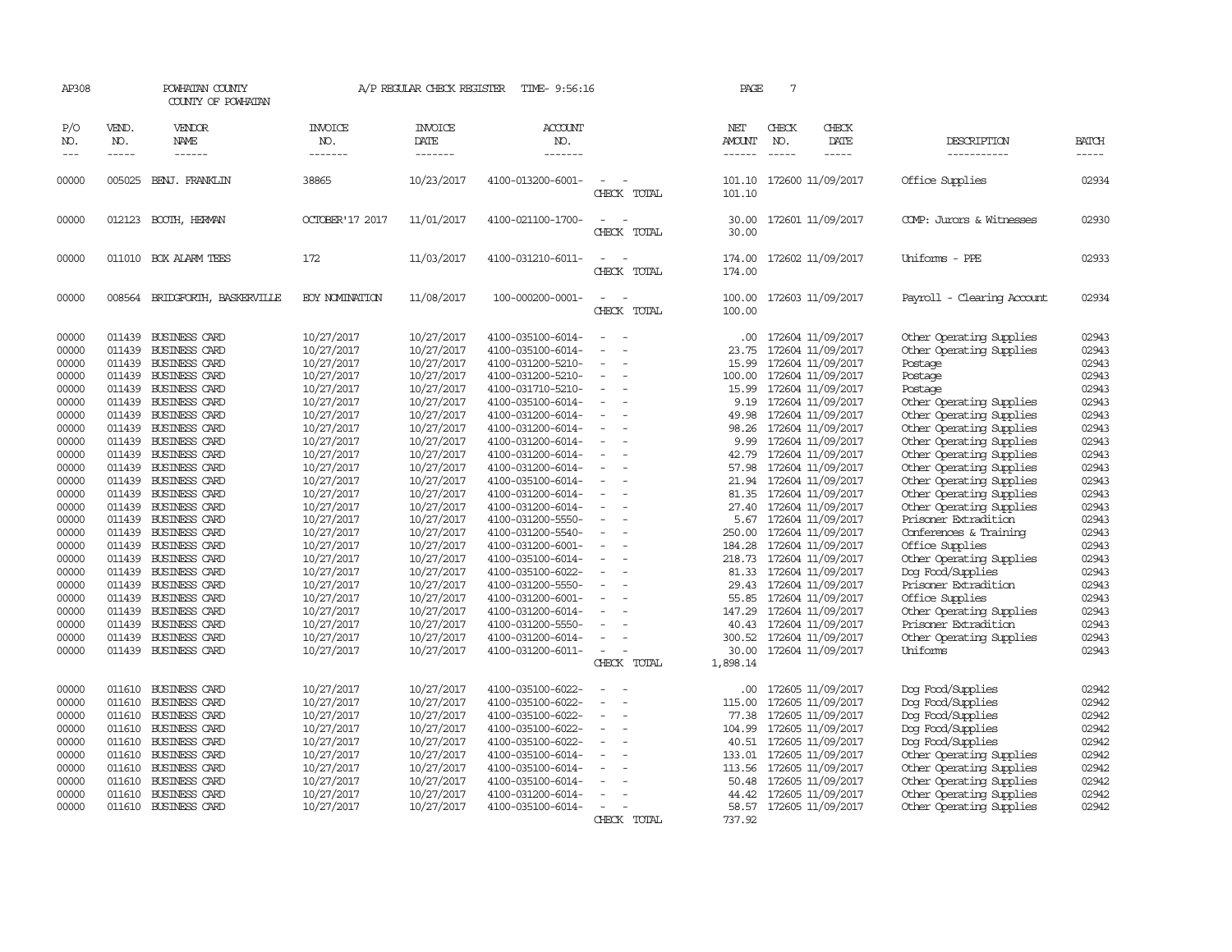| AP308               |                             | POWHATAN COUNTY<br>COUNTY OF POWHATAN |                                  | A/P REGULAR CHECK REGISTER               | TIME- 9:56:16                          |                          | PAGE                           | $7\phantom{.0}$                                                                                                                                                                                                                                                                                                                                                                                                                              |                                                      |                       |
|---------------------|-----------------------------|---------------------------------------|----------------------------------|------------------------------------------|----------------------------------------|--------------------------|--------------------------------|----------------------------------------------------------------------------------------------------------------------------------------------------------------------------------------------------------------------------------------------------------------------------------------------------------------------------------------------------------------------------------------------------------------------------------------------|------------------------------------------------------|-----------------------|
| P/O<br>NO.<br>$---$ | VEND.<br>NO.<br>$- - - - -$ | VENDOR<br>NAME<br>$- - - - - -$       | <b>INVOICE</b><br>NO.<br>------- | <b>INVOICE</b><br><b>DATE</b><br>------- | <b>ACCOUNT</b><br>NO.<br>-------       |                          | NET<br><b>AMOUNT</b><br>------ | CHECK<br>CHECK<br>NO.<br>DATE<br>$\frac{1}{2} \frac{1}{2} \frac{1}{2} \frac{1}{2} \frac{1}{2} \frac{1}{2} \frac{1}{2} \frac{1}{2} \frac{1}{2} \frac{1}{2} \frac{1}{2} \frac{1}{2} \frac{1}{2} \frac{1}{2} \frac{1}{2} \frac{1}{2} \frac{1}{2} \frac{1}{2} \frac{1}{2} \frac{1}{2} \frac{1}{2} \frac{1}{2} \frac{1}{2} \frac{1}{2} \frac{1}{2} \frac{1}{2} \frac{1}{2} \frac{1}{2} \frac{1}{2} \frac{1}{2} \frac{1}{2} \frac{$<br>$- - - - -$ | DESCRIPTION<br>-----------                           | <b>BATCH</b><br>----- |
| 00000               | 005025                      | BENJ. FRANKLIN                        | 38865                            | 10/23/2017                               | 4100-013200-6001-                      | CHECK TOTAL              | 101.10<br>101.10               | 172600 11/09/2017                                                                                                                                                                                                                                                                                                                                                                                                                            | Office Supplies                                      | 02934                 |
| 00000               | 012123                      | BOOTH, HERMAN                         | OCTOBER'17 2017                  | 11/01/2017                               | 4100-021100-1700-                      | $\sim$<br>CHECK TOTAL    | 30.00<br>30.00                 | 172601 11/09/2017                                                                                                                                                                                                                                                                                                                                                                                                                            | COMP: Jurors & Witnesses                             | 02930                 |
| 00000               |                             | 011010 BOX ALARM TEES                 | 172                              | 11/03/2017                               | 4100-031210-6011-                      | CHECK TOTAL              | 174.00<br>174.00               | 172602 11/09/2017                                                                                                                                                                                                                                                                                                                                                                                                                            | Uniforms - PPE                                       | 02933                 |
| 00000               |                             | 008564 BRIDGFORTH, BASKERVILLE        | <b>EOY NOMINATION</b>            | 11/08/2017                               | 100-000200-0001-                       | $\sim$<br>CHECK TOTAL    | 100.00                         | 100.00 172603 11/09/2017                                                                                                                                                                                                                                                                                                                                                                                                                     | Payroll - Clearing Account                           | 02934                 |
| 00000<br>00000      | 011439                      | 011439 BUSINESS CARD<br>BUSINESS CARD | 10/27/2017<br>10/27/2017         | 10/27/2017<br>10/27/2017                 | 4100-035100-6014-<br>4100-035100-6014- | $\sim$                   | $.00 \cdot$<br>23.75           | 172604 11/09/2017<br>172604 11/09/2017                                                                                                                                                                                                                                                                                                                                                                                                       | Other Operating Supplies<br>Other Operating Supplies | 02943<br>02943        |
| 00000               |                             | 011439 BUSINESS CARD                  | 10/27/2017                       | 10/27/2017                               | 4100-031200-5210-                      |                          | 15.99                          | 172604 11/09/2017                                                                                                                                                                                                                                                                                                                                                                                                                            | Postage                                              | 02943                 |
| 00000               |                             | 011439 BUSINESS CARD                  | 10/27/2017                       | 10/27/2017                               | 4100-031200-5210-                      | $\equiv$                 | 100.00                         | 172604 11/09/2017                                                                                                                                                                                                                                                                                                                                                                                                                            | Postage                                              | 02943                 |
| 00000               |                             | 011439 BUSINESS CARD                  | 10/27/2017                       | 10/27/2017                               | 4100-031710-5210-                      |                          | 15.99                          | 172604 11/09/2017                                                                                                                                                                                                                                                                                                                                                                                                                            | Postage                                              | 02943                 |
| 00000               |                             | 011439 BUSINESS CARD                  | 10/27/2017                       | 10/27/2017                               | 4100-035100-6014-                      |                          |                                | 9.19 172604 11/09/2017                                                                                                                                                                                                                                                                                                                                                                                                                       | Other Operating Supplies                             | 02943                 |
| 00000               |                             | 011439 BUSINESS CARD                  | 10/27/2017                       | 10/27/2017                               | 4100-031200-6014-                      | $\equiv$                 | 49.98                          | 172604 11/09/2017                                                                                                                                                                                                                                                                                                                                                                                                                            | Other Operating Supplies                             | 02943                 |
| 00000               |                             | 011439 BUSINESS CARD                  | 10/27/2017                       | 10/27/2017                               | 4100-031200-6014-                      |                          | 98.26                          | 172604 11/09/2017                                                                                                                                                                                                                                                                                                                                                                                                                            | Other Operating Supplies                             | 02943                 |
| 00000               |                             | 011439 BUSINESS CARD                  | 10/27/2017                       | 10/27/2017                               | 4100-031200-6014-                      |                          | 9.99                           | 172604 11/09/2017                                                                                                                                                                                                                                                                                                                                                                                                                            | Other Operating Supplies                             | 02943                 |
| 00000               |                             | 011439 BUSINESS CARD                  | 10/27/2017                       | 10/27/2017                               | 4100-031200-6014-                      |                          | 42.79                          | 172604 11/09/2017                                                                                                                                                                                                                                                                                                                                                                                                                            | Other Operating Supplies                             | 02943                 |
| 00000               |                             | 011439 BUSINESS CARD                  | 10/27/2017                       | 10/27/2017                               | 4100-031200-6014-                      |                          | 57.98                          | 172604 11/09/2017                                                                                                                                                                                                                                                                                                                                                                                                                            | Other Operating Supplies                             | 02943                 |
| 00000               |                             | 011439 BUSINESS CARD                  | 10/27/2017                       | 10/27/2017                               | 4100-035100-6014-                      |                          |                                | 21.94 172604 11/09/2017                                                                                                                                                                                                                                                                                                                                                                                                                      | Other Operating Supplies                             | 02943                 |
| 00000               |                             | 011439 BUSINESS CARD                  | 10/27/2017                       | 10/27/2017                               | 4100-031200-6014-                      |                          | 81.35                          | 172604 11/09/2017                                                                                                                                                                                                                                                                                                                                                                                                                            | Other Operating Supplies                             | 02943                 |
| 00000               |                             | 011439 BUSINESS CARD                  | 10/27/2017                       | 10/27/2017                               | 4100-031200-6014-                      |                          | 27.40                          | 172604 11/09/2017                                                                                                                                                                                                                                                                                                                                                                                                                            | Other Operating Supplies                             | 02943                 |
| 00000               |                             | 011439 BUSINESS CARD                  | 10/27/2017                       | 10/27/2017                               | 4100-031200-5550-                      |                          |                                | 5.67 172604 11/09/2017                                                                                                                                                                                                                                                                                                                                                                                                                       | Prisoner Extradition                                 | 02943                 |
| 00000               |                             | 011439 BUSINESS CARD                  | 10/27/2017                       | 10/27/2017                               | 4100-031200-5540-                      |                          |                                | 250.00 172604 11/09/2017                                                                                                                                                                                                                                                                                                                                                                                                                     | Conferences & Training                               | 02943                 |
| 00000               |                             | 011439 BUSINESS CARD                  | 10/27/2017                       | 10/27/2017                               | 4100-031200-6001-                      | $\overline{\phantom{a}}$ |                                | 184.28 172604 11/09/2017                                                                                                                                                                                                                                                                                                                                                                                                                     | Office Supplies                                      | 02943                 |
| 00000               | 011439                      | BUSINESS CARD                         | 10/27/2017                       | 10/27/2017                               | 4100-035100-6014-                      |                          | 218.73                         | 172604 11/09/2017                                                                                                                                                                                                                                                                                                                                                                                                                            | Other Operating Supplies                             | 02943                 |
| 00000               | 011439                      | <b>BUSINESS CARD</b>                  | 10/27/2017                       | 10/27/2017                               | 4100-035100-6022-                      |                          | 81.33                          | 172604 11/09/2017                                                                                                                                                                                                                                                                                                                                                                                                                            | Dog Food/Supplies                                    | 02943                 |
| 00000               |                             | 011439 BUSINESS CARD                  | 10/27/2017                       | 10/27/2017                               | 4100-031200-5550-                      | $\equiv$                 |                                | 29.43 172604 11/09/2017                                                                                                                                                                                                                                                                                                                                                                                                                      | Prisoner Extradition                                 | 02943                 |
| 00000               |                             | 011439 BUSINESS CARD                  | 10/27/2017                       | 10/27/2017                               | 4100-031200-6001-                      |                          | 55.85                          | 172604 11/09/2017                                                                                                                                                                                                                                                                                                                                                                                                                            | Office Supplies                                      | 02943                 |
| 00000               |                             | 011439 BUSINESS CARD                  | 10/27/2017                       | 10/27/2017                               | 4100-031200-6014-                      |                          | 147.29                         | 172604 11/09/2017                                                                                                                                                                                                                                                                                                                                                                                                                            | Other Operating Supplies                             | 02943                 |
| 00000               |                             | 011439 BUSINESS CARD                  | 10/27/2017                       | 10/27/2017                               | 4100-031200-5550-                      | $\equiv$                 |                                | 40.43 172604 11/09/2017                                                                                                                                                                                                                                                                                                                                                                                                                      | Prisoner Extradition                                 | 02943                 |
| 00000               |                             | 011439 BUSINESS CARD                  | 10/27/2017                       | 10/27/2017                               | 4100-031200-6014-                      |                          | 300.52                         | 172604 11/09/2017                                                                                                                                                                                                                                                                                                                                                                                                                            | Other Operating Supplies                             | 02943                 |
| 00000               |                             | 011439 BUSINESS CARD                  | 10/27/2017                       | 10/27/2017                               | 4100-031200-6011-                      | $\sim$                   |                                | 30.00 172604 11/09/2017                                                                                                                                                                                                                                                                                                                                                                                                                      | Uniforms                                             | 02943                 |
|                     |                             |                                       |                                  |                                          |                                        | CHECK TOTAL              | 1,898.14                       |                                                                                                                                                                                                                                                                                                                                                                                                                                              |                                                      |                       |
| 00000               |                             | 011610 BUSINESS CARD                  | 10/27/2017                       | 10/27/2017                               | 4100-035100-6022-                      |                          |                                | 00 172605 11/09/2017                                                                                                                                                                                                                                                                                                                                                                                                                         | Dog Food/Supplies                                    | 02942                 |
| 00000               |                             | 011610 BUSINESS CARD                  | 10/27/2017                       | 10/27/2017                               | 4100-035100-6022-                      |                          | 115.00                         | 172605 11/09/2017                                                                                                                                                                                                                                                                                                                                                                                                                            | Dog Food/Supplies                                    | 02942                 |
| 00000               |                             | 011610 BUSINESS CARD                  | 10/27/2017                       | 10/27/2017                               | 4100-035100-6022-                      |                          | 77.38                          | 172605 11/09/2017                                                                                                                                                                                                                                                                                                                                                                                                                            | Dog Food/Supplies                                    | 02942                 |
| 00000               |                             | 011610 BUSINESS CARD                  | 10/27/2017                       | 10/27/2017                               | 4100-035100-6022-                      |                          | 104.99                         | 172605 11/09/2017                                                                                                                                                                                                                                                                                                                                                                                                                            | Dog Food/Supplies                                    | 02942                 |
| 00000               |                             | 011610 BUSINESS CARD                  | 10/27/2017                       | 10/27/2017                               | 4100-035100-6022-                      |                          |                                | 40.51 172605 11/09/2017                                                                                                                                                                                                                                                                                                                                                                                                                      | Dog Food/Supplies                                    | 02942                 |
| 00000               |                             | 011610 BUSINESS CARD                  | 10/27/2017                       | 10/27/2017                               | 4100-035100-6014-                      |                          |                                | 133.01 172605 11/09/2017                                                                                                                                                                                                                                                                                                                                                                                                                     | Other Operating Supplies                             | 02942                 |
| 00000               |                             | 011610 BUSINESS CARD                  | 10/27/2017                       | 10/27/2017                               | 4100-035100-6014-                      |                          | 113.56                         | 172605 11/09/2017                                                                                                                                                                                                                                                                                                                                                                                                                            | Other Operating Supplies                             | 02942                 |
| 00000               | 011610                      | <b>BUSINESS CARD</b>                  | 10/27/2017                       | 10/27/2017                               | 4100-035100-6014-                      |                          | 50.48                          | 172605 11/09/2017                                                                                                                                                                                                                                                                                                                                                                                                                            | Other Operating Supplies                             | 02942                 |
| 00000               | 011610                      | BUSINESS CARD                         | 10/27/2017                       | 10/27/2017                               | 4100-031200-6014-                      |                          | 44.42                          | 172605 11/09/2017                                                                                                                                                                                                                                                                                                                                                                                                                            | Other Operating Supplies                             | 02942                 |
| 00000               |                             | 011610 BUSINESS CARD                  | 10/27/2017                       | 10/27/2017                               | 4100-035100-6014-                      | $\overline{\phantom{a}}$ |                                | 58.57 172605 11/09/2017                                                                                                                                                                                                                                                                                                                                                                                                                      | Other Operating Supplies                             | 02942                 |
|                     |                             |                                       |                                  |                                          |                                        | CHECK TOTAL              | 737.92                         |                                                                                                                                                                                                                                                                                                                                                                                                                                              |                                                      |                       |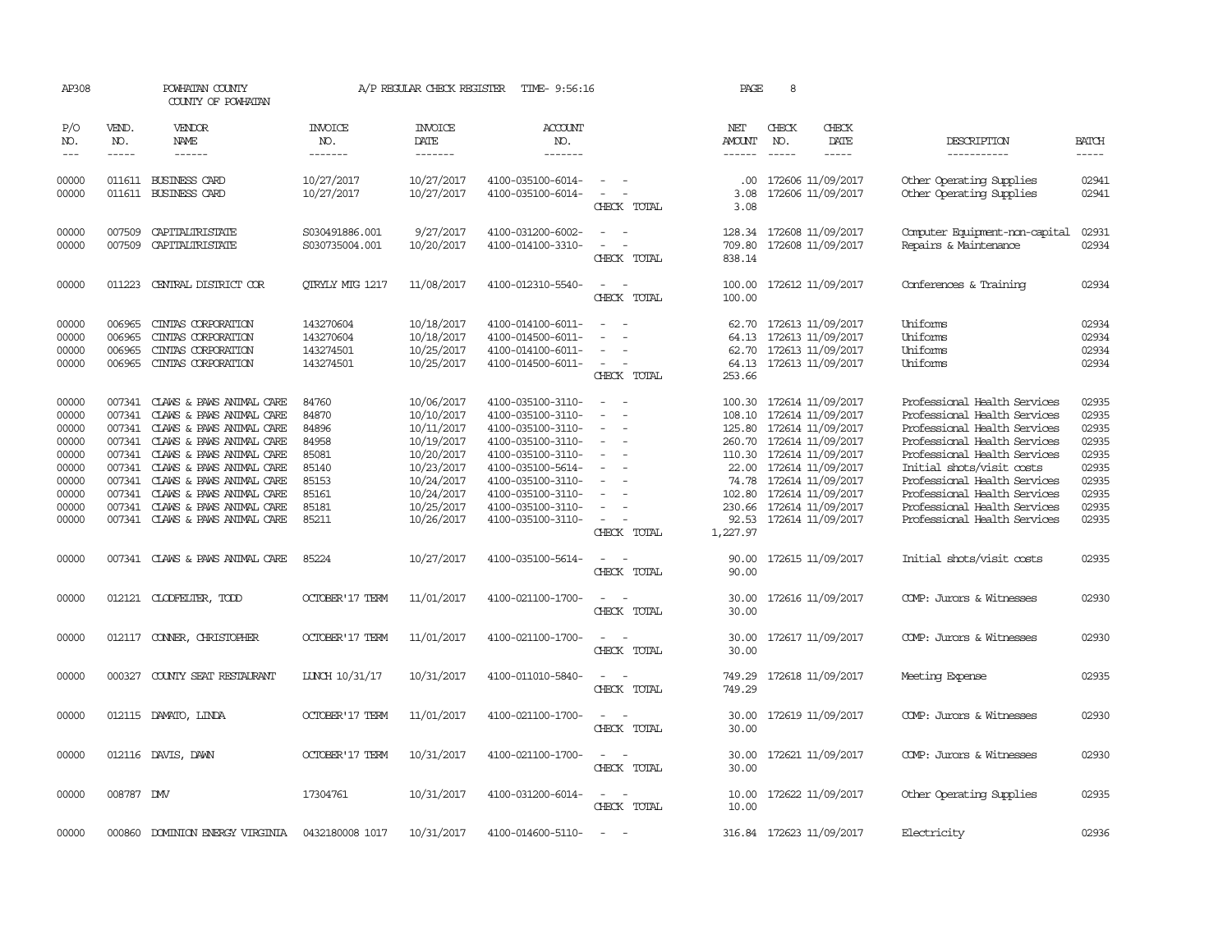| AP308                                                                                  |                                      | POWHATAN COUNTY<br>COUNTY OF POWHATAN                                                                                                                                                                                                                                                                                                 |                                                                                        | A/P REGULAR CHECK REGISTER                                                                                                               | TIME- 9:56:16                                                                                                                                                                                                  |                                                                                                                 | PAGE                                                                        | 8                                                                                                                                                                                                                                   |                              |                                                                                                                                                                                                                                                                                                                           |                                                                                        |
|----------------------------------------------------------------------------------------|--------------------------------------|---------------------------------------------------------------------------------------------------------------------------------------------------------------------------------------------------------------------------------------------------------------------------------------------------------------------------------------|----------------------------------------------------------------------------------------|------------------------------------------------------------------------------------------------------------------------------------------|----------------------------------------------------------------------------------------------------------------------------------------------------------------------------------------------------------------|-----------------------------------------------------------------------------------------------------------------|-----------------------------------------------------------------------------|-------------------------------------------------------------------------------------------------------------------------------------------------------------------------------------------------------------------------------------|------------------------------|---------------------------------------------------------------------------------------------------------------------------------------------------------------------------------------------------------------------------------------------------------------------------------------------------------------------------|----------------------------------------------------------------------------------------|
| P/O<br>NO.<br>$---$                                                                    | VEND.<br>NO.<br>$- - - - -$          | VENDOR<br>NAME<br>$- - - - - -$                                                                                                                                                                                                                                                                                                       | <b>INVOICE</b><br>NO.<br>-------                                                       | <b>INVOICE</b><br><b>DATE</b><br>-------                                                                                                 | <b>ACCOUNT</b><br>NO.<br>-------                                                                                                                                                                               |                                                                                                                 | NET<br><b>AMOUNT</b><br>------                                              | CHECK<br>NO.<br>$- - - - -$                                                                                                                                                                                                         | CHECK<br>DATE<br>$- - - - -$ | DESCRIPTION<br>-----------                                                                                                                                                                                                                                                                                                | <b>BATCH</b><br>-----                                                                  |
| 00000<br>00000                                                                         |                                      | 011611 BUSINESS CARD<br>011611 BUSINESS CARD                                                                                                                                                                                                                                                                                          | 10/27/2017<br>10/27/2017                                                               | 10/27/2017<br>10/27/2017                                                                                                                 | 4100-035100-6014-<br>4100-035100-6014-                                                                                                                                                                         | $\overline{\phantom{a}}$<br>$\overline{\phantom{a}}$<br>CHECK TOTAL                                             | $.00 \times$<br>3.08<br>3.08                                                | 172606 11/09/2017<br>172606 11/09/2017                                                                                                                                                                                              |                              | Other Operating Supplies<br>Other Operating Supplies                                                                                                                                                                                                                                                                      | 02941<br>02941                                                                         |
| 00000<br>00000                                                                         | 007509<br>007509                     | CAPITALIRISTATE<br>CAPITALIRISTATE                                                                                                                                                                                                                                                                                                    | S030491886.001<br>S030735004.001                                                       | 9/27/2017<br>10/20/2017                                                                                                                  | 4100-031200-6002-<br>4100-014100-3310-                                                                                                                                                                         | CHECK TOTAL                                                                                                     | 128.34<br>709.80<br>838.14                                                  | 172608 11/09/2017<br>172608 11/09/2017                                                                                                                                                                                              |                              | Computer Equipment-non-capital<br>Repairs & Maintenance                                                                                                                                                                                                                                                                   | 02931<br>02934                                                                         |
| 00000                                                                                  | 011223                               | CENTRAL DISTRICT COR                                                                                                                                                                                                                                                                                                                  | <b>OTRYLY MTG 1217</b>                                                                 | 11/08/2017                                                                                                                               | 4100-012310-5540-                                                                                                                                                                                              | $\overline{\phantom{a}}$<br>CHECK TOTAL                                                                         | 100.00<br>100.00                                                            | 172612 11/09/2017                                                                                                                                                                                                                   |                              | Conferences & Training                                                                                                                                                                                                                                                                                                    | 02934                                                                                  |
| 00000<br>00000<br>00000<br>00000                                                       | 006965<br>006965<br>006965<br>006965 | CINIAS CORPORATION<br>CINIAS CORPORATION<br>CINIAS CORPORATION<br>CINIAS CORPORATION                                                                                                                                                                                                                                                  | 143270604<br>143270604<br>143274501<br>143274501                                       | 10/18/2017<br>10/18/2017<br>10/25/2017<br>10/25/2017                                                                                     | 4100-014100-6011-<br>4100-014500-6011-<br>4100-014100-6011-<br>4100-014500-6011-                                                                                                                               | $\overline{\phantom{a}}$<br>$\equiv$<br>CHECK TOTAL                                                             | 62.70<br>64.13<br>62.70<br>253.66                                           | 172613 11/09/2017<br>172613 11/09/2017<br>172613 11/09/2017<br>64.13 172613 11/09/2017                                                                                                                                              |                              | Uniforms<br>Uniforms<br>Uniforms<br>Uniforms                                                                                                                                                                                                                                                                              | 02934<br>02934<br>02934<br>02934                                                       |
| 00000<br>00000<br>00000<br>00000<br>00000<br>00000<br>00000<br>00000<br>00000<br>00000 | 007341<br>007341<br>007341           | 007341 CLAWS & PAWS ANIMAL CARE<br>CLAWS & PAWS ANIMAL CARE<br>CLAWS & PAWS ANIMAL CARE<br>CLAWS & PAWS ANIMAL CARE<br>007341 CLAWS & PAWS ANIMAL CARE<br>007341 CLAWS & PAWS ANIMAL CARE<br>007341 CLAWS & PAWS ANIMAL CARE<br>007341 CLAWS & PAWS ANIMAL CARE<br>007341 CLAWS & PAWS ANIMAL CARE<br>007341 CLAWS & PAWS ANIMAL CARE | 84760<br>84870<br>84896<br>84958<br>85081<br>85140<br>85153<br>85161<br>85181<br>85211 | 10/06/2017<br>10/10/2017<br>10/11/2017<br>10/19/2017<br>10/20/2017<br>10/23/2017<br>10/24/2017<br>10/24/2017<br>10/25/2017<br>10/26/2017 | 4100-035100-3110-<br>4100-035100-3110-<br>4100-035100-3110-<br>4100-035100-3110-<br>4100-035100-3110-<br>4100-035100-5614-<br>4100-035100-3110-<br>4100-035100-3110-<br>4100-035100-3110-<br>4100-035100-3110- | $\equiv$<br>$\overline{\phantom{a}}$<br>$\sim$<br>$\overline{\phantom{a}}$<br>$\equiv$<br>$\sim$<br>CHECK TOTAL | 108.10<br>125.80<br>260.70<br>22.00<br>74.78<br>102.80<br>92.53<br>1,227.97 | 100.30 172614 11/09/2017<br>172614 11/09/2017<br>172614 11/09/2017<br>172614 11/09/2017<br>110.30 172614 11/09/2017<br>172614 11/09/2017<br>172614 11/09/2017<br>172614 11/09/2017<br>230.66 172614 11/09/2017<br>172614 11/09/2017 |                              | Professional Health Services<br>Professional Health Services<br>Professional Health Services<br>Professional Health Services<br>Professional Health Services<br>Initial shots/visit costs<br>Professional Health Services<br>Professional Health Services<br>Professional Health Services<br>Professional Health Services | 02935<br>02935<br>02935<br>02935<br>02935<br>02935<br>02935<br>02935<br>02935<br>02935 |
| 00000                                                                                  |                                      | 007341 CLAWS & PAWS ANIMAL CARE                                                                                                                                                                                                                                                                                                       | 85224                                                                                  | 10/27/2017                                                                                                                               | 4100-035100-5614-                                                                                                                                                                                              | $\overline{\phantom{a}}$<br>$\sim$<br>CHECK TOTAL                                                               | 90.00<br>90.00                                                              | 172615 11/09/2017                                                                                                                                                                                                                   |                              | Initial shots/visit costs                                                                                                                                                                                                                                                                                                 | 02935                                                                                  |
| 00000                                                                                  |                                      | 012121 CLODFELTER, TODD                                                                                                                                                                                                                                                                                                               | <b>OCTOBER'17 TERM</b>                                                                 | 11/01/2017                                                                                                                               | 4100-021100-1700-                                                                                                                                                                                              | $\sim$<br>CHECK TOTAL                                                                                           | 30.00<br>30.00                                                              | 172616 11/09/2017                                                                                                                                                                                                                   |                              | COMP: Jurors & Witnesses                                                                                                                                                                                                                                                                                                  | 02930                                                                                  |
| 00000                                                                                  |                                      | 012117 CONNER, CHRISTOPHER                                                                                                                                                                                                                                                                                                            | <b>OCTOBER'17 TERM</b>                                                                 | 11/01/2017                                                                                                                               | 4100-021100-1700-                                                                                                                                                                                              | $ -$<br>CHECK TOTAL                                                                                             | 30.00<br>30.00                                                              | 172617 11/09/2017                                                                                                                                                                                                                   |                              | COMP: Jurors & Witnesses                                                                                                                                                                                                                                                                                                  | 02930                                                                                  |
| 00000                                                                                  | 000327                               | COUNTY SEAT RESTAURANT                                                                                                                                                                                                                                                                                                                | LUNCH 10/31/17                                                                         | 10/31/2017                                                                                                                               | 4100-011010-5840-                                                                                                                                                                                              | CHECK TOTAL                                                                                                     | 749.29<br>749.29                                                            | 172618 11/09/2017                                                                                                                                                                                                                   |                              | Meeting Expense                                                                                                                                                                                                                                                                                                           | 02935                                                                                  |
| 00000                                                                                  |                                      | 012115 DAMATO, LINDA                                                                                                                                                                                                                                                                                                                  | <b>OCTOBER'17 TERM</b>                                                                 | 11/01/2017                                                                                                                               | 4100-021100-1700-                                                                                                                                                                                              | CHECK TOTAL                                                                                                     | 30.00<br>30.00                                                              | 172619 11/09/2017                                                                                                                                                                                                                   |                              | COMP: Jurors & Witnesses                                                                                                                                                                                                                                                                                                  | 02930                                                                                  |
| 00000                                                                                  |                                      | 012116 DAVIS, DAWN                                                                                                                                                                                                                                                                                                                    | <b>CCTOBER'17 TERM</b>                                                                 | 10/31/2017                                                                                                                               | 4100-021100-1700-                                                                                                                                                                                              | CHECK TOTAL                                                                                                     | 30.00<br>30.00                                                              | 172621 11/09/2017                                                                                                                                                                                                                   |                              | COMP: Jurors & Witnesses                                                                                                                                                                                                                                                                                                  | 02930                                                                                  |
| 00000                                                                                  | 008787 DMV                           |                                                                                                                                                                                                                                                                                                                                       | 17304761                                                                               | 10/31/2017                                                                                                                               | 4100-031200-6014-                                                                                                                                                                                              | $\overline{\phantom{a}}$<br>CHECK TOTAL                                                                         | 10.00<br>10.00                                                              | 172622 11/09/2017                                                                                                                                                                                                                   |                              | Other Operating Supplies                                                                                                                                                                                                                                                                                                  | 02935                                                                                  |
| 00000                                                                                  |                                      | 000860 DOMINION ENERGY VIRGINIA                                                                                                                                                                                                                                                                                                       | 0432180008 1017                                                                        | 10/31/2017                                                                                                                               | 4100-014600-5110-                                                                                                                                                                                              | $\sim$                                                                                                          |                                                                             | 316.84 172623 11/09/2017                                                                                                                                                                                                            |                              | Electricity                                                                                                                                                                                                                                                                                                               | 02936                                                                                  |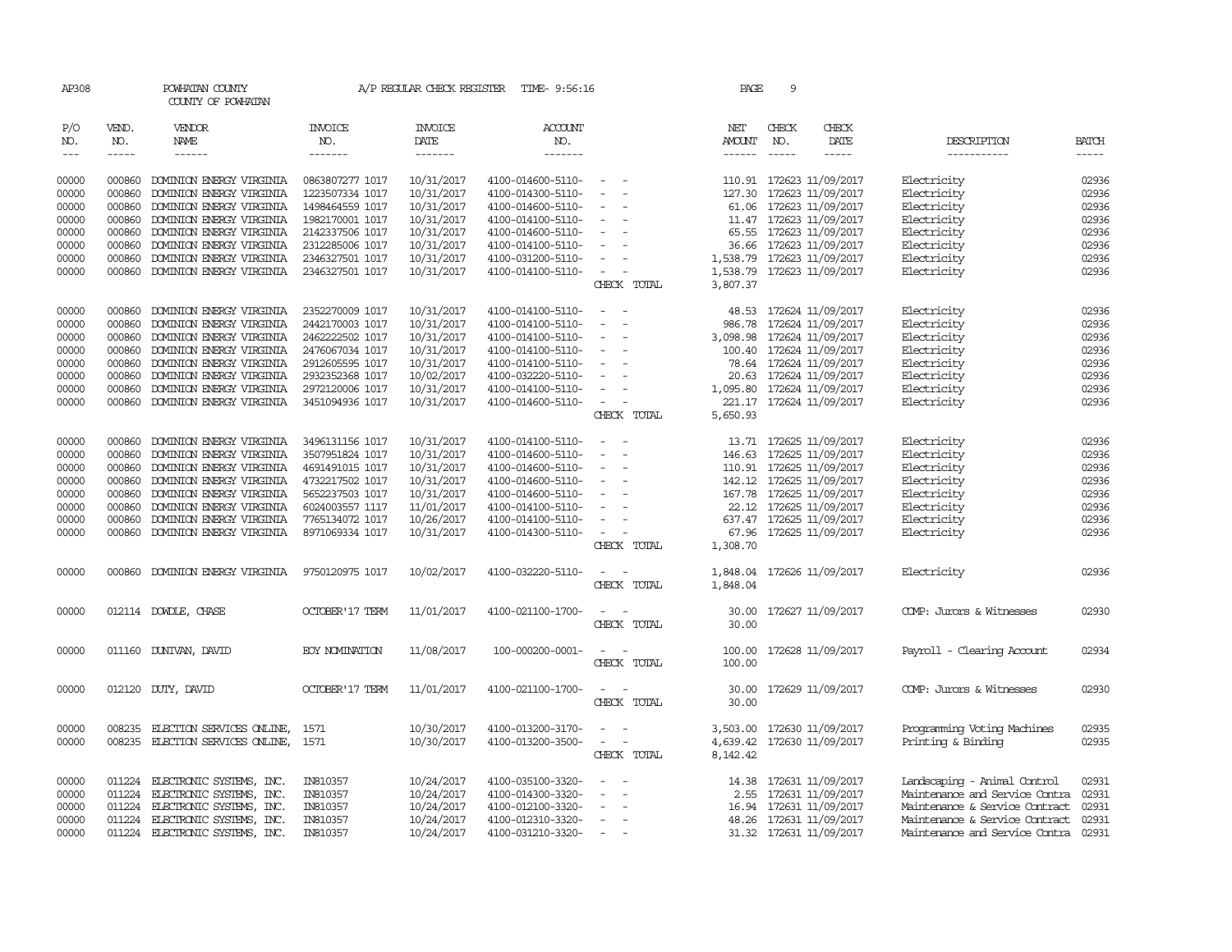| AP308                 |                               | POWHATAN COUNTY<br>COUNTY OF POWHATAN |                                  | A/P REGULAR CHECK REGISTER                | TIME- 9:56:16                    |                                                                                                              |             | PAGE                                  | 9                           |                            |                                |                       |
|-----------------------|-------------------------------|---------------------------------------|----------------------------------|-------------------------------------------|----------------------------------|--------------------------------------------------------------------------------------------------------------|-------------|---------------------------------------|-----------------------------|----------------------------|--------------------------------|-----------------------|
| P/O<br>NO.<br>$- - -$ | VEND.<br>NO.<br>$\frac{1}{2}$ | VENDOR<br>NAME<br>$- - - - - -$       | <b>INVOICE</b><br>NO.<br>------- | <b>INVOICE</b><br>DATE<br>$- - - - - - -$ | <b>ACCOUNT</b><br>NO.<br>------- |                                                                                                              |             | NET<br><b>AMOUNT</b><br>$- - - - - -$ | CHECK<br>NO.<br>$- - - - -$ | CHECK<br>DATE<br>$\cdots$  | DESCRIPTION<br>-----------     | <b>BATCH</b><br>----- |
| 00000                 | 000860                        | DOMINION ENERGY VIRGINIA              | 0863807277 1017                  | 10/31/2017                                | 4100-014600-5110-                | $\sim$                                                                                                       |             |                                       |                             | 110.91 172623 11/09/2017   | Electricity                    | 02936                 |
| 00000                 | 000860                        | DOMINION ENERGY VIRGINIA              | 1223507334 1017                  | 10/31/2017                                | 4100-014300-5110-                | $\overline{\phantom{a}}$                                                                                     |             | 127.30                                |                             | 172623 11/09/2017          | Electricity                    | 02936                 |
| 00000                 | 000860                        | DOMINION ENERGY VIRGINIA              | 1498464559 1017                  | 10/31/2017                                | 4100-014600-5110-                | $\sim$                                                                                                       |             |                                       |                             | 61.06 172623 11/09/2017    | Electricity                    | 02936                 |
| 00000                 | 000860                        | DOMINION ENERGY VIRGINIA              | 1982170001 1017                  | 10/31/2017                                | 4100-014100-5110-                | $\overline{\phantom{a}}$                                                                                     |             |                                       |                             | 11.47 172623 11/09/2017    | Electricity                    | 02936                 |
| 00000                 | 000860                        | DOMINION ENERGY VIRGINIA              | 2142337506 1017                  | 10/31/2017                                | 4100-014600-5110-                | $\overline{\phantom{a}}$                                                                                     |             |                                       |                             | 65.55 172623 11/09/2017    | Electricity                    | 02936                 |
| 00000                 | 000860                        | DOMINION ENERGY VIRGINIA              | 2312285006 1017                  | 10/31/2017                                | 4100-014100-5110-                | $\sim$                                                                                                       |             | 36.66                                 |                             | 172623 11/09/2017          | Electricity                    | 02936                 |
| 00000                 | 000860                        | DOMINION ENERGY VIRGINIA              | 2346327501 1017                  | 10/31/2017                                | 4100-031200-5110-                | $\sim$                                                                                                       |             |                                       |                             | 1,538.79 172623 11/09/2017 | Electricity                    | 02936                 |
| 00000                 | 000860                        | DOMINION ENERGY VIRGINIA              | 2346327501 1017                  | 10/31/2017                                | 4100-014100-5110-                | $\sim$                                                                                                       |             | 1,538.79                              |                             | 172623 11/09/2017          | Electricity                    | 02936                 |
|                       |                               |                                       |                                  |                                           |                                  |                                                                                                              | CHECK TOTAL | 3,807.37                              |                             |                            |                                |                       |
| 00000                 | 000860                        | DOMINION ENERGY VIRGINIA              | 2352270009 1017                  | 10/31/2017                                | 4100-014100-5110-                | $\overline{\phantom{a}}$                                                                                     |             | 48.53                                 |                             | 172624 11/09/2017          | Electricity                    | 02936                 |
| 00000                 | 000860                        | DOMINION ENERGY VIRGINIA              | 2442170003 1017                  | 10/31/2017                                | 4100-014100-5110-                | $\overline{\phantom{a}}$                                                                                     |             | 986.78                                |                             | 172624 11/09/2017          | Electricity                    | 02936                 |
| 00000                 | 000860                        | DOMINION ENERGY VIRGINIA              | 2462222502 1017                  | 10/31/2017                                | 4100-014100-5110-                | $\equiv$                                                                                                     |             | 3,098.98                              |                             | 172624 11/09/2017          | Electricity                    | 02936                 |
| 00000                 | 000860                        | DOMINION ENERGY VIRGINIA              | 2476067034 1017                  | 10/31/2017                                | 4100-014100-5110-                | $\sim$                                                                                                       |             |                                       |                             | 100.40 172624 11/09/2017   | Electricity                    | 02936                 |
| 00000                 | 000860                        | DOMINION ENERGY VIRGINIA              | 2912605595 1017                  | 10/31/2017                                | 4100-014100-5110-                | $\overline{\phantom{a}}$                                                                                     |             |                                       |                             | 78.64 172624 11/09/2017    | Electricity                    | 02936                 |
| 00000                 | 000860                        | DOMINION ENERGY VIRGINIA              | 2932352368 1017                  | 10/02/2017                                | 4100-032220-5110-                | $\equiv$                                                                                                     |             |                                       |                             | 20.63 172624 11/09/2017    | Electricity                    | 02936                 |
| 00000                 | 000860                        | DOMINION ENERGY VIRGINIA              | 2972120006 1017                  | 10/31/2017                                | 4100-014100-5110-                | $\overline{\phantom{a}}$                                                                                     |             |                                       |                             | 1,095.80 172624 11/09/2017 | Electricity                    | 02936                 |
| 00000                 | 000860                        | DOMINION ENERGY VIRGINIA              | 3451094936 1017                  | 10/31/2017                                | 4100-014600-5110-                | $\sim$                                                                                                       |             |                                       |                             | 221.17 172624 11/09/2017   | Electricity                    | 02936                 |
|                       |                               |                                       |                                  |                                           |                                  |                                                                                                              | CHECK TOTAL | 5,650.93                              |                             |                            |                                |                       |
| 00000                 | 000860                        | DOMINION ENERGY VIRGINIA              | 3496131156 1017                  | 10/31/2017                                | 4100-014100-5110-                | $\sim$ $  -$                                                                                                 |             |                                       |                             | 13.71 172625 11/09/2017    | Electricity                    | 02936                 |
| 00000                 | 000860                        | DOMINION ENERGY VIRGINIA              | 3507951824 1017                  | 10/31/2017                                | 4100-014600-5110-                | $\equiv$                                                                                                     |             | 146.63                                |                             | 172625 11/09/2017          | Electricity                    | 02936                 |
| 00000                 | 000860                        | DOMINION ENERGY VIRGINIA              | 4691491015 1017                  | 10/31/2017                                | 4100-014600-5110-                | $\overline{\phantom{a}}$                                                                                     |             |                                       |                             | 110.91 172625 11/09/2017   | Electricity                    | 02936                 |
| 00000                 | 000860                        | DOMINION ENERGY VIRGINIA              | 4732217502 1017                  | 10/31/2017                                | 4100-014600-5110-                | $\overline{\phantom{a}}$                                                                                     |             |                                       |                             | 142.12 172625 11/09/2017   | Electricity                    | 02936                 |
| 00000                 | 000860                        | DOMINION ENERGY VIRGINIA              | 5652237503 1017                  | 10/31/2017                                | 4100-014600-5110-                | $\overline{\phantom{a}}$                                                                                     |             |                                       |                             | 167.78 172625 11/09/2017   | Electricity                    | 02936                 |
| 00000                 | 000860                        | DOMINION ENERGY VIRGINIA              | 6024003557 1117                  | 11/01/2017                                | 4100-014100-5110-                | $\equiv$                                                                                                     |             |                                       |                             | 22.12 172625 11/09/2017    | Electricity                    | 02936                 |
| 00000                 | 000860                        | DOMINION ENERGY VIRGINIA              | 7765134072 1017                  | 10/26/2017                                | 4100-014100-5110-                | $\overline{\phantom{a}}$                                                                                     |             |                                       |                             | 637.47 172625 11/09/2017   | Electricity                    | 02936                 |
| 00000                 | 000860                        | DOMINION ENERGY VIRGINIA              | 8971069334 1017                  | 10/31/2017                                | 4100-014300-5110-                | $\sim$                                                                                                       |             |                                       |                             | 67.96 172625 11/09/2017    | Electricity                    | 02936                 |
|                       |                               |                                       |                                  |                                           |                                  |                                                                                                              | CHECK TOTAL | 1,308.70                              |                             |                            |                                |                       |
| 00000                 |                               | 000860 DOMINION ENERGY VIRGINIA       | 9750120975 1017                  | 10/02/2017                                | 4100-032220-5110-                | $\sim$ $ \sim$                                                                                               |             | 1,848.04                              |                             | 172626 11/09/2017          | Electricity                    | 02936                 |
|                       |                               |                                       |                                  |                                           |                                  |                                                                                                              | CHECK TOTAL | 1,848.04                              |                             |                            |                                |                       |
| 00000                 |                               | 012114 DOWDLE, CHASE                  | <b>OCTOBER'17 TERM</b>           | 11/01/2017                                | 4100-021100-1700-                | $\sim$ $ \sim$                                                                                               |             | 30.00                                 |                             | 172627 11/09/2017          | COMP: Jurors & Witnesses       | 02930                 |
|                       |                               |                                       |                                  |                                           |                                  |                                                                                                              | CHECK TOTAL | 30.00                                 |                             |                            |                                |                       |
| 00000                 |                               | 011160 DUNIVAN, DAVID                 | <b>EOY NOMINATION</b>            | 11/08/2017                                | 100-000200-0001-                 | $\frac{1}{2} \left( \frac{1}{2} \right) \left( \frac{1}{2} \right) = \frac{1}{2} \left( \frac{1}{2} \right)$ |             | 100.00                                |                             | 172628 11/09/2017          | Payroll - Clearing Account     | 02934                 |
|                       |                               |                                       |                                  |                                           |                                  |                                                                                                              | CHECK TOTAL | 100.00                                |                             |                            |                                |                       |
|                       |                               |                                       |                                  |                                           |                                  |                                                                                                              |             |                                       |                             |                            |                                |                       |
| 00000                 |                               | 012120 DUTY, DAVID                    | <b>OCTOBER' 17 TERM</b>          | 11/01/2017                                | 4100-021100-1700-                | $\overline{\phantom{a}}$                                                                                     |             | 30.00                                 |                             | 172629 11/09/2017          | COMP: Jurors & Witnesses       | 02930                 |
|                       |                               |                                       |                                  |                                           |                                  |                                                                                                              | CHECK TOTAL | 30.00                                 |                             |                            |                                |                       |
| 00000                 | 008235                        | ELECTION SERVICES ONLINE,             | 1571                             | 10/30/2017                                | 4100-013200-3170-                |                                                                                                              |             | 3,503.00                              |                             | 172630 11/09/2017          | Programming Voting Machines    | 02935                 |
| 00000                 |                               | 008235 ELECTION SERVICES ONLINE,      | 1571                             | 10/30/2017                                | 4100-013200-3500-                | $\sim 100$<br>$\overline{\phantom{a}}$                                                                       |             |                                       |                             | 4,639.42 172630 11/09/2017 | Printing & Binding             | 02935                 |
|                       |                               |                                       |                                  |                                           |                                  |                                                                                                              | CHECK TOTAL | 8,142.42                              |                             |                            |                                |                       |
| 00000                 | 011224                        | ELECTRONIC SYSTEMS, INC.              | IN810357                         | 10/24/2017                                | 4100-035100-3320-                | $\overline{\phantom{a}}$                                                                                     |             |                                       |                             | 14.38 172631 11/09/2017    | Landscaping - Animal Control   | 02931                 |
| 00000                 | 011224                        | ELECTRONIC SYSTEMS, INC.              | IN810357                         | 10/24/2017                                | 4100-014300-3320-                |                                                                                                              |             | 2.55                                  |                             | 172631 11/09/2017          | Maintenance and Service Contra | 02931                 |
| 00000                 | 011224                        | ELECTRONIC SYSTEMS, INC.              | IN810357                         | 10/24/2017                                | 4100-012100-3320-                | $\equiv$                                                                                                     |             |                                       |                             | 16.94 172631 11/09/2017    | Maintenance & Service Contract | 02931                 |
| 00000                 |                               | 011224 ELECTRONIC SYSTEMS, INC.       | IN810357                         | 10/24/2017                                | 4100-012310-3320-                | $\overline{\phantom{a}}$                                                                                     |             |                                       |                             | 48.26 172631 11/09/2017    | Maintenance & Service Contract | 02931                 |
| 00000                 | 011224                        | ELECTRONIC SYSTEMS, INC.              | IN810357                         | 10/24/2017                                | 4100-031210-3320-                | $\overline{a}$                                                                                               |             |                                       |                             | 31.32 172631 11/09/2017    | Maintenance and Service Contra | 02931                 |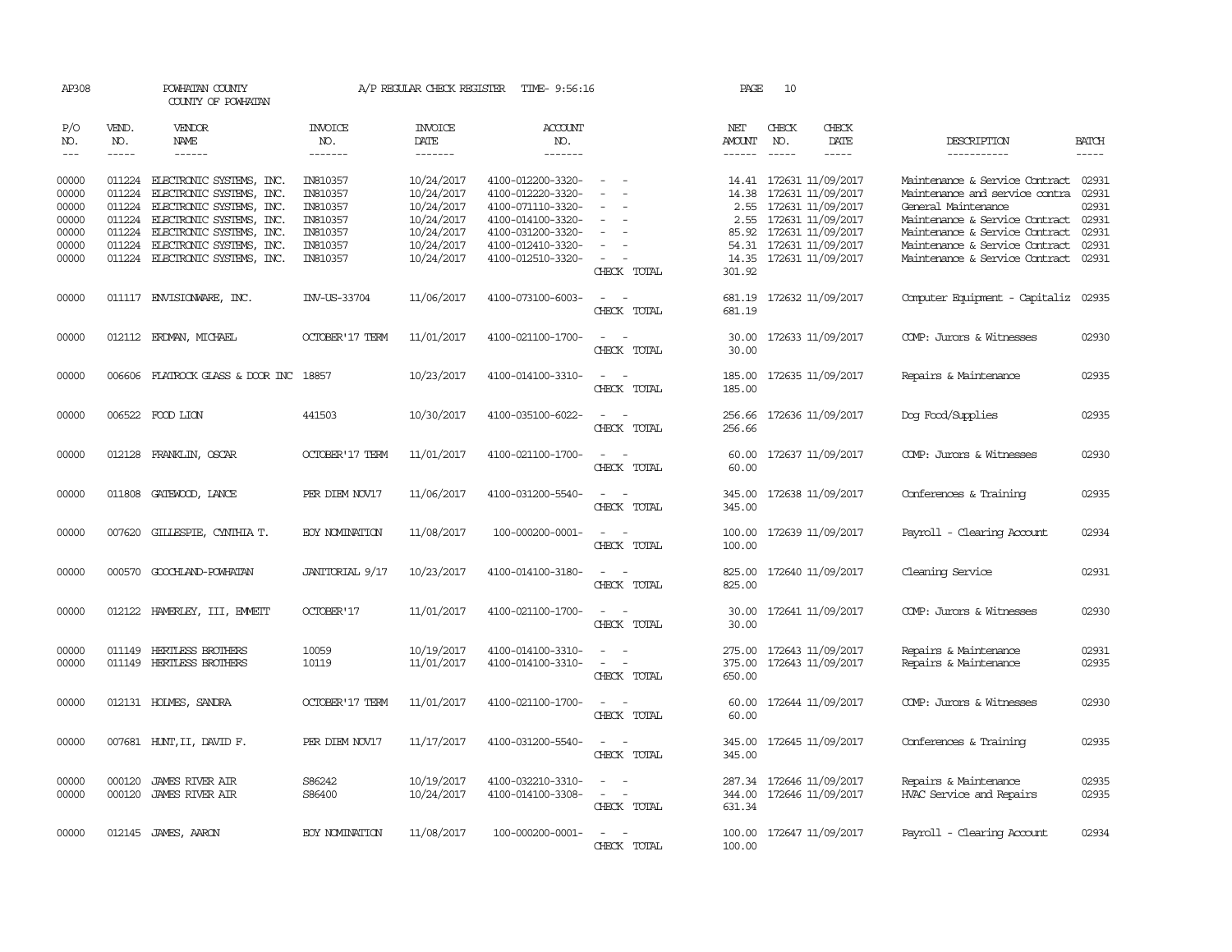| AP308                                                       |                  | POWHATAN COUNTY<br>COUNTY OF POWHATAN                                                                                                                                                                                               |                                                                                  | A/P REGULAR CHECK REGISTER                                                                     | TIME- 9:56:16                                                                                                                                   |                                                                                 | PAGE                       | 10                            |                                                                                                                                                                             |                                                                                                                                                                                                                                       |                                                    |
|-------------------------------------------------------------|------------------|-------------------------------------------------------------------------------------------------------------------------------------------------------------------------------------------------------------------------------------|----------------------------------------------------------------------------------|------------------------------------------------------------------------------------------------|-------------------------------------------------------------------------------------------------------------------------------------------------|---------------------------------------------------------------------------------|----------------------------|-------------------------------|-----------------------------------------------------------------------------------------------------------------------------------------------------------------------------|---------------------------------------------------------------------------------------------------------------------------------------------------------------------------------------------------------------------------------------|----------------------------------------------------|
| P/O<br>NO.<br>$\qquad \qquad - -$                           | VEND.<br>NO.     | VENDOR<br>NAME<br>------                                                                                                                                                                                                            | <b>INVOICE</b><br>NO.<br>-------                                                 | <b>INVOICE</b><br>DATE<br>--------                                                             | <b>ACCOUNT</b><br>NO.<br>-------                                                                                                                |                                                                                 | NET<br>AMOUNT<br>------    | CHECK<br>NO.<br>$\frac{1}{2}$ | CHECK<br>DATE<br>-----                                                                                                                                                      | DESCRIPTION<br>-----------                                                                                                                                                                                                            | <b>BATCH</b>                                       |
| 00000<br>00000<br>00000<br>00000<br>00000<br>00000<br>00000 | 011224<br>011224 | 011224 ELECTRONIC SYSTEMS, INC.<br>ELECTRONIC SYSTEMS, INC.<br>011224 ELECTRONIC SYSTEMS, INC.<br>011224 ELECTRONIC SYSTEMS, INC.<br>ELECTRONIC SYSTEMS, INC.<br>011224 ELECTRONIC SYSTEMS, INC.<br>011224 ELECTRONIC SYSTEMS, INC. | IN810357<br>IN810357<br>IN810357<br>IN810357<br>IN810357<br>IN810357<br>IN810357 | 10/24/2017<br>10/24/2017<br>10/24/2017<br>10/24/2017<br>10/24/2017<br>10/24/2017<br>10/24/2017 | 4100-012200-3320-<br>4100-012220-3320-<br>4100-071110-3320-<br>4100-014100-3320-<br>4100-031200-3320-<br>4100-012410-3320-<br>4100-012510-3320- | $\equiv$<br>$\overline{\phantom{a}}$<br>$\overline{\phantom{a}}$<br>CHECK TOTAL | 14.38<br>54.31<br>301.92   |                               | 14.41 172631 11/09/2017<br>172631 11/09/2017<br>2.55 172631 11/09/2017<br>2.55 172631 11/09/2017<br>85.92 172631 11/09/2017<br>172631 11/09/2017<br>14.35 172631 11/09/2017 | Maintenance & Service Contract<br>Maintenance and service contra<br>General Maintenance<br>Maintenance & Service Contract 02931<br>Maintenance & Service Contract<br>Maintenance & Service Contract<br>Maintenance & Service Contract | 02931<br>02931<br>02931<br>02931<br>02931<br>02931 |
| 00000                                                       | 011117           | ENVISIONARE, INC.                                                                                                                                                                                                                   | INV-US-33704                                                                     | 11/06/2017                                                                                     | 4100-073100-6003-                                                                                                                               | $\overline{\phantom{a}}$<br>$\overline{\phantom{a}}$<br>CHECK TOTAL             | 681.19<br>681.19           |                               | 172632 11/09/2017                                                                                                                                                           | Computer Equipment - Capitaliz                                                                                                                                                                                                        | 02935                                              |
| 00000                                                       |                  | 012112 ERDMAN, MICHAEL                                                                                                                                                                                                              | OCTOBER' 17 TERM                                                                 | 11/01/2017                                                                                     | 4100-021100-1700-                                                                                                                               | $\overline{\phantom{a}}$<br>$\sim$<br>CHECK TOTAL                               | 30.00<br>30.00             |                               | 172633 11/09/2017                                                                                                                                                           | COMP: Jurors & Witnesses                                                                                                                                                                                                              | 02930                                              |
| 00000                                                       | 006606           | FLATROCK GLASS & DOOR INC 18857                                                                                                                                                                                                     |                                                                                  | 10/23/2017                                                                                     | 4100-014100-3310-                                                                                                                               | $\sim$<br>$\sim$<br>CHECK TOTAL                                                 | 185.00<br>185.00           |                               | 172635 11/09/2017                                                                                                                                                           | Repairs & Maintenance                                                                                                                                                                                                                 | 02935                                              |
| 00000                                                       |                  | 006522 FOOD LION                                                                                                                                                                                                                    | 441503                                                                           | 10/30/2017                                                                                     | 4100-035100-6022-                                                                                                                               | $\sim$<br>CHECK TOTAL                                                           | 256.66<br>256.66           |                               | 172636 11/09/2017                                                                                                                                                           | Dog Food/Supplies                                                                                                                                                                                                                     | 02935                                              |
| 00000                                                       |                  | 012128 FRANKLIN, OSCAR                                                                                                                                                                                                              | <b>OCTOBER'17 TERM</b>                                                           | 11/01/2017                                                                                     | 4100-021100-1700-                                                                                                                               | CHECK TOTAL                                                                     | 60.00<br>60.00             |                               | 172637 11/09/2017                                                                                                                                                           | COMP: Jurors & Witnesses                                                                                                                                                                                                              | 02930                                              |
| 00000                                                       | 011808           | GATEWOOD, LANCE                                                                                                                                                                                                                     | PER DIEM NOV17                                                                   | 11/06/2017                                                                                     | 4100-031200-5540-                                                                                                                               | CHECK TOTAL                                                                     | 345.00<br>345.00           |                               | 172638 11/09/2017                                                                                                                                                           | Conferences & Training                                                                                                                                                                                                                | 02935                                              |
| 00000                                                       | 007620           | GILLESPIE, CYNTHIA T.                                                                                                                                                                                                               | <b>EOY NOMINATION</b>                                                            | 11/08/2017                                                                                     | 100-000200-0001-                                                                                                                                | CHECK TOTAL                                                                     | 100.00<br>100.00           |                               | 172639 11/09/2017                                                                                                                                                           | Payroll - Clearing Account                                                                                                                                                                                                            | 02934                                              |
| 00000                                                       | 000570           | GOOCHLAND-POWHATAN                                                                                                                                                                                                                  | JANITORIAL 9/17                                                                  | 10/23/2017                                                                                     | 4100-014100-3180-                                                                                                                               | $\overline{\phantom{a}}$<br>CHECK TOTAL                                         | 825.00<br>825.00           |                               | 172640 11/09/2017                                                                                                                                                           | Cleaning Service                                                                                                                                                                                                                      | 02931                                              |
| 00000                                                       |                  | 012122 HAMERLEY, III, EMMEIT                                                                                                                                                                                                        | <b>OCTOBER'17</b>                                                                | 11/01/2017                                                                                     | 4100-021100-1700-                                                                                                                               | $\sim$<br>$\overline{\phantom{a}}$<br>CHECK TOTAL                               | 30.00                      |                               | 30.00 172641 11/09/2017                                                                                                                                                     | COMP: Jurors & Witnesses                                                                                                                                                                                                              | 02930                                              |
| 00000<br>00000                                              |                  | 011149 HERTLESS BROTHERS<br>011149 HERTLESS BROTHERS                                                                                                                                                                                | 10059<br>10119                                                                   | 10/19/2017<br>11/01/2017                                                                       | 4100-014100-3310-<br>4100-014100-3310-                                                                                                          | $\overline{\phantom{a}}$<br>$\overline{\phantom{0}}$<br>CHECK TOTAL             | 275.00<br>375.00<br>650.00 |                               | 172643 11/09/2017<br>172643 11/09/2017                                                                                                                                      | Repairs & Maintenance<br>Repairs & Maintenance                                                                                                                                                                                        | 02931<br>02935                                     |
| 00000                                                       |                  | 012131 HOLMES, SANDRA                                                                                                                                                                                                               | <b>OCTOBER'17 TERM</b>                                                           | 11/01/2017                                                                                     | 4100-021100-1700-                                                                                                                               | $\overline{\phantom{a}}$<br>CHECK TOTAL                                         | 60.00<br>60.00             |                               | 172644 11/09/2017                                                                                                                                                           | COMP: Jurors & Witnesses                                                                                                                                                                                                              | 02930                                              |
| 00000                                                       |                  | 007681 HUNT, II, DAVID F.                                                                                                                                                                                                           | PER DIEM NOV17                                                                   | 11/17/2017                                                                                     | 4100-031200-5540-                                                                                                                               | CHECK TOTAL                                                                     | 345.00                     |                               | 345.00 172645 11/09/2017                                                                                                                                                    | Conferences & Training                                                                                                                                                                                                                | 02935                                              |
| 00000<br>00000                                              | 000120<br>000120 | <b>JAMES RIVER AIR</b><br><b>JAMES RIVER AIR</b>                                                                                                                                                                                    | S86242<br>S86400                                                                 | 10/19/2017<br>10/24/2017                                                                       | 4100-032210-3310-<br>4100-014100-3308-                                                                                                          | $\sim$<br>$\overline{\phantom{a}}$<br>CHECK TOTAL                               | 344.00<br>631.34           |                               | 287.34 172646 11/09/2017<br>172646 11/09/2017                                                                                                                               | Repairs & Maintenance<br>HVAC Service and Repairs                                                                                                                                                                                     | 02935<br>02935                                     |
| 00000                                                       |                  | 012145 JAMES, AARON                                                                                                                                                                                                                 | <b>EOY NOMINATION</b>                                                            | 11/08/2017                                                                                     | 100-000200-0001-                                                                                                                                | $\overline{\phantom{a}}$<br>$\overline{\phantom{a}}$<br>CHECK TOTAL             | 100.00                     |                               | 100.00 172647 11/09/2017                                                                                                                                                    | Payroll - Clearing Account                                                                                                                                                                                                            | 02934                                              |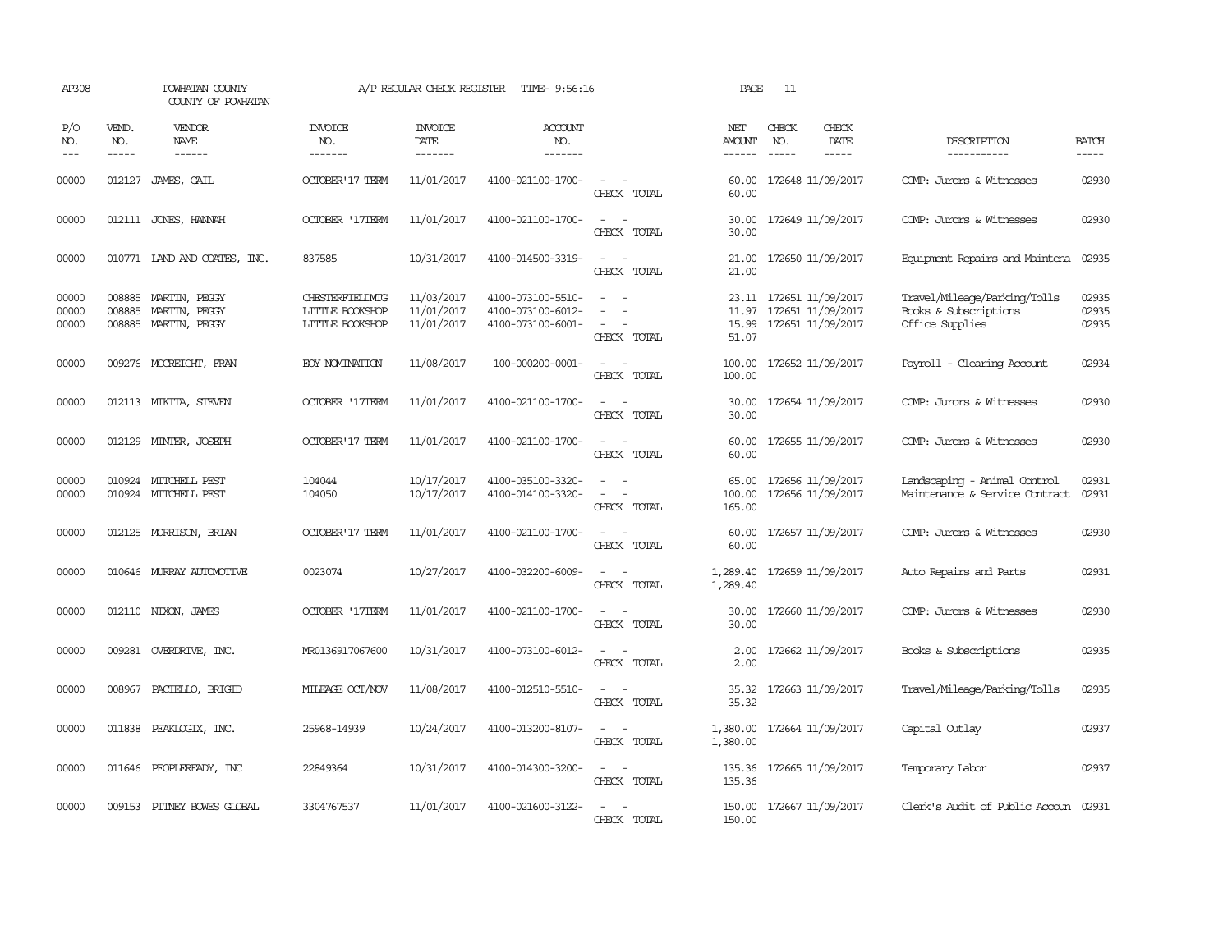| AP308                   |                             | POWHATAN COUNTY<br>COUNTY OF POWHATAN              |                                                               | A/P REGULAR CHECK REGISTER             | TIME- 9:56:16                                               |                                                                                                                             | PAGE                           | 11                            |                                                                   |                                                                          |                         |
|-------------------------|-----------------------------|----------------------------------------------------|---------------------------------------------------------------|----------------------------------------|-------------------------------------------------------------|-----------------------------------------------------------------------------------------------------------------------------|--------------------------------|-------------------------------|-------------------------------------------------------------------|--------------------------------------------------------------------------|-------------------------|
| P/O<br>NO.<br>$---$     | VEND.<br>NO.<br>$- - - - -$ | VENDOR<br><b>NAME</b><br>$- - - - - -$             | INVOICE<br>NO.<br>-------                                     | <b>INVOICE</b><br>DATE<br>-------      | ACCOUNT<br>NO.<br>$- - - - - - -$                           |                                                                                                                             | NET<br><b>AMOUNT</b><br>------ | CHECK<br>NO.<br>$\frac{1}{2}$ | CHECK<br>DATE<br>$- - - - -$                                      | DESCRIPTION<br>-----------                                               | <b>BATCH</b><br>-----   |
| 00000                   | 012127                      | JAMES, GAIL                                        | <b>OCTOBER'17 TERM</b>                                        | 11/01/2017                             | 4100-021100-1700-                                           | CHECK TOTAL                                                                                                                 | 60.00<br>60.00                 |                               | 172648 11/09/2017                                                 | COMP: Jurors & Witnesses                                                 | 02930                   |
| 00000                   |                             | 012111 JONES, HANNAH                               | <b>OCTOBER '17TERM</b>                                        | 11/01/2017                             | 4100-021100-1700-                                           | $\sim$<br>CHECK TOTAL                                                                                                       | 30.00<br>30.00                 |                               | 172649 11/09/2017                                                 | COMP: Jurors & Witnesses                                                 | 02930                   |
| 00000                   |                             | 010771 LAND AND COATES, INC.                       | 837585                                                        | 10/31/2017                             | 4100-014500-3319-                                           | $\equiv$<br>$\sim$<br>CHECK TOTAL                                                                                           | 21.00<br>21.00                 |                               | 172650 11/09/2017                                                 | Equipment Repairs and Maintena                                           | 02935                   |
| 00000<br>00000<br>00000 | 008885<br>008885<br>008885  | MARTIN, PEGGY<br>MARTIN,<br>PEGGY<br>MARTIN, PEGGY | <b>CHESTERFIELD/IIG</b><br>LITTLE BOOKSHOP<br>LITTLE BOOKSHOP | 11/03/2017<br>11/01/2017<br>11/01/2017 | 4100-073100-5510-<br>4100-073100-6012-<br>4100-073100-6001- | $\equiv$<br>$\sim$<br>CHECK TOTAL                                                                                           | 11.97<br>15.99<br>51.07        |                               | 23.11 172651 11/09/2017<br>172651 11/09/2017<br>172651 11/09/2017 | Travel/Mileage/Parking/Tolls<br>Books & Subscriptions<br>Office Supplies | 02935<br>02935<br>02935 |
| 00000                   |                             | 009276 MCCREIGHT, FRAN                             | <b>EOY NOMINATION</b>                                         | 11/08/2017                             | 100-000200-0001-                                            | $\overline{\phantom{a}}$<br>$\sim$<br>CHECK TOTAL                                                                           | 100.00<br>100.00               |                               | 172652 11/09/2017                                                 | Payroll - Clearing Account                                               | 02934                   |
| 00000                   |                             | 012113 MIKITA, STEVEN                              | <b>OCTOBER '17TERM</b>                                        | 11/01/2017                             | 4100-021100-1700-                                           | $\overline{\phantom{a}}$<br>CHECK TOTAL                                                                                     | 30.00<br>30.00                 |                               | 172654 11/09/2017                                                 | COMP: Jurors & Witnesses                                                 | 02930                   |
| 00000                   |                             | 012129 MINTER, JOSEPH                              | <b>OCTOBER' 17 TERM</b>                                       | 11/01/2017                             | 4100-021100-1700-                                           | CHECK TOTAL                                                                                                                 | 60.00<br>60.00                 |                               | 172655 11/09/2017                                                 | COMP: Jurors & Witnesses                                                 | 02930                   |
| 00000<br>00000          |                             | 010924 MITCHELL PEST<br>010924 MITCHELL PEST       | 104044<br>104050                                              | 10/17/2017<br>10/17/2017               | 4100-035100-3320-<br>4100-014100-3320-                      | $\overline{\phantom{a}}$<br>$\overline{\phantom{a}}$<br>CHECK TOTAL                                                         | 65.00<br>100.00<br>165.00      |                               | 172656 11/09/2017<br>172656 11/09/2017                            | Landscaping - Animal Control<br>Maintenance & Service Contract           | 02931<br>02931          |
| 00000                   |                             | 012125 MORRISON, BRIAN                             | <b>OCTOBER'17 TERM</b>                                        | 11/01/2017                             | 4100-021100-1700-                                           | $\sim$<br>$\overline{\phantom{a}}$<br>CHECK TOTAL                                                                           | 60.00<br>60.00                 |                               | 172657 11/09/2017                                                 | COMP: Jurors & Witnesses                                                 | 02930                   |
| 00000                   |                             | 010646 MURRAY AUTOMOTIVE                           | 0023074                                                       | 10/27/2017                             | 4100-032200-6009-                                           | $\sim$<br>$\overline{\phantom{a}}$<br>CHECK TOTAL                                                                           | 1,289.40<br>1,289.40           |                               | 172659 11/09/2017                                                 | Auto Repairs and Parts                                                   | 02931                   |
| 00000                   |                             | 012110 NIXON, JAMES                                | <b>OCTOBER '17TERM</b>                                        | 11/01/2017                             | 4100-021100-1700-                                           | $\sim$<br>$\overline{\phantom{a}}$<br>CHECK TOTAL                                                                           | 30.00<br>30.00                 |                               | 172660 11/09/2017                                                 | COMP: Jurors & Witnesses                                                 | 02930                   |
| 00000                   |                             | 009281 OVERDRIVE, INC.                             | MR0136917067600                                               | 10/31/2017                             | 4100-073100-6012-                                           | $\equiv$<br>$\sim$<br>CHECK TOTAL                                                                                           | 2.00<br>2.00                   |                               | 172662 11/09/2017                                                 | Books & Subscriptions                                                    | 02935                   |
| 00000                   |                             | 008967 PACIELLO, BRIGID                            | MILEAGE OCT/NOV                                               | 11/08/2017                             | 4100-012510-5510-                                           | $\equiv$<br>$\sim$<br>CHECK TOTAL                                                                                           | 35.32<br>35.32                 |                               | 172663 11/09/2017                                                 | Travel/Mileage/Parking/Tolls                                             | 02935                   |
| 00000                   |                             | 011838 PEAKLOGIX, INC.                             | 25968-14939                                                   | 10/24/2017                             | 4100-013200-8107-                                           | $\frac{1}{2} \left( \frac{1}{2} \right) \left( \frac{1}{2} \right) = \frac{1}{2} \left( \frac{1}{2} \right)$<br>CHECK TOTAL | 1,380.00<br>1,380.00           |                               | 172664 11/09/2017                                                 | Capital Outlay                                                           | 02937                   |
| 00000                   |                             | 011646 PEOPLEREADY, INC                            | 22849364                                                      | 10/31/2017                             | 4100-014300-3200-                                           | $ -$<br>CHECK TOTAL                                                                                                         | 135.36                         |                               | 135.36 172665 11/09/2017                                          | Temporary Labor                                                          | 02937                   |
| 00000                   |                             | 009153 PITNEY BOWES GLOBAL                         | 3304767537                                                    | 11/01/2017                             | 4100-021600-3122-                                           | $\equiv$<br>$\sim$<br>CHECK TOTAL                                                                                           | 150.00<br>150.00               |                               | 172667 11/09/2017                                                 | Clerk's Audit of Public Accoun 02931                                     |                         |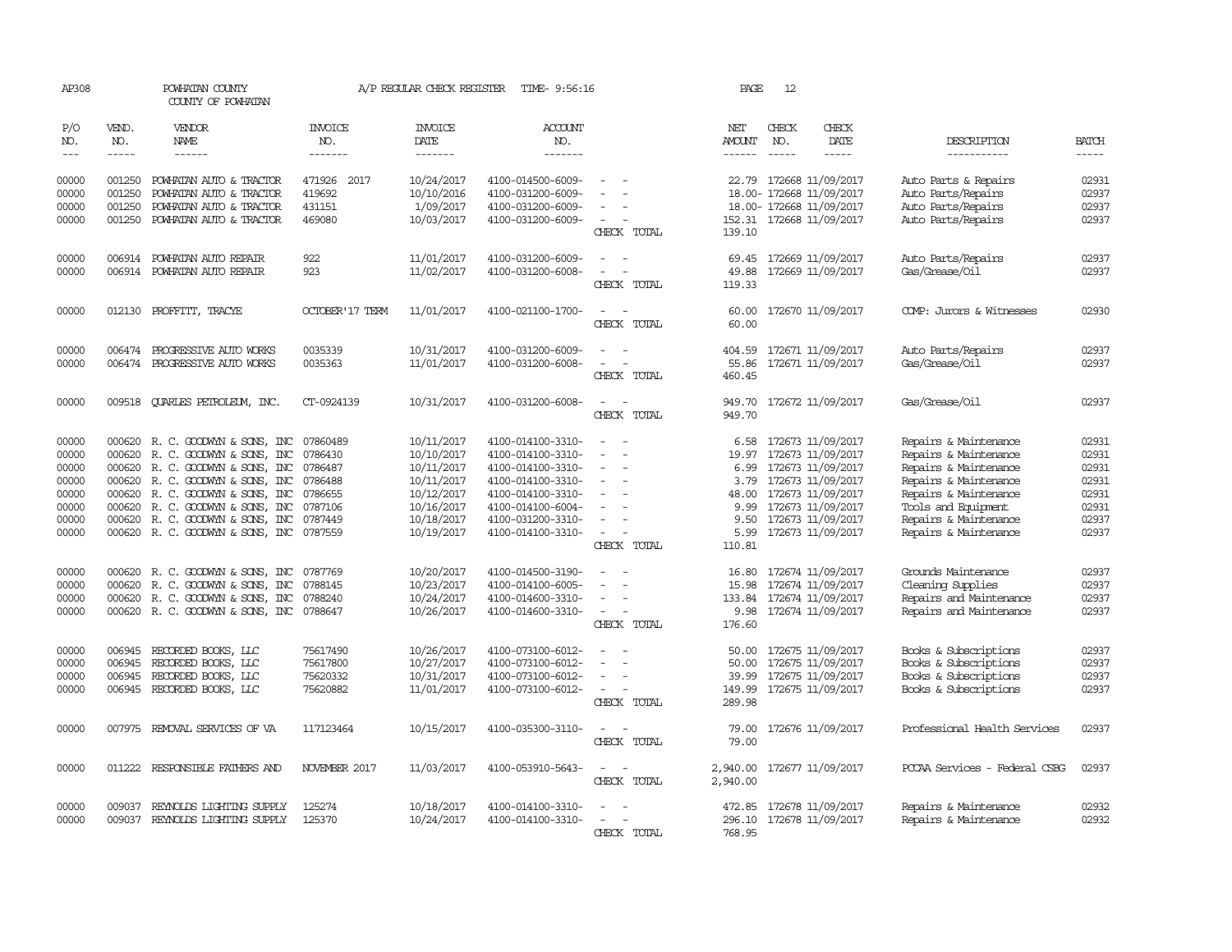| AP308          |                  | POWHATAN COUNTY<br>COUNTY OF POWHATAN                                                                                                                                                                                                                                                                                                                                                                                                                                      |                         | A/P REGULAR CHECK REGISTER | TIME- 9:56:16                          |                                         | PAGE             | 12            |                                               |                                                |                |
|----------------|------------------|----------------------------------------------------------------------------------------------------------------------------------------------------------------------------------------------------------------------------------------------------------------------------------------------------------------------------------------------------------------------------------------------------------------------------------------------------------------------------|-------------------------|----------------------------|----------------------------------------|-----------------------------------------|------------------|---------------|-----------------------------------------------|------------------------------------------------|----------------|
| P/O<br>NO.     | VEND.<br>NO.     | <b>VENDOR</b><br>NAME                                                                                                                                                                                                                                                                                                                                                                                                                                                      | INVOICE<br>NO.          | <b>INVOICE</b><br>DATE     | <b>ACCOUNT</b><br>NO.                  |                                         | NET<br>AMOUNT    | CHECK<br>NO.  | CHECK<br>DATE                                 | DESCRIPTION                                    | <b>BATCH</b>   |
| $---$          | -----            | $\frac{1}{2} \left( \frac{1}{2} \right) \left( \frac{1}{2} \right) \left( \frac{1}{2} \right) \left( \frac{1}{2} \right) \left( \frac{1}{2} \right) \left( \frac{1}{2} \right) \left( \frac{1}{2} \right) \left( \frac{1}{2} \right) \left( \frac{1}{2} \right) \left( \frac{1}{2} \right) \left( \frac{1}{2} \right) \left( \frac{1}{2} \right) \left( \frac{1}{2} \right) \left( \frac{1}{2} \right) \left( \frac{1}{2} \right) \left( \frac{1}{2} \right) \left( \frac$ | --------                | -------                    | -------                                |                                         | $- - - - - -$    | $\frac{1}{2}$ | -----                                         | -----------                                    | $- - - - -$    |
| 00000<br>00000 | 001250<br>001250 | POWHATAN AUTO & TRACTOR<br>POWHATAN AUTO & TRACTOR                                                                                                                                                                                                                                                                                                                                                                                                                         | 471926 2017<br>419692   | 10/24/2017<br>10/10/2016   | 4100-014500-6009-<br>4100-031200-6009- |                                         | 22.79            |               | 172668 11/09/2017<br>18.00- 172668 11/09/2017 | Auto Parts & Repairs<br>Auto Parts/Repairs     | 02931<br>02937 |
| 00000          | 001250           | POWHATAN AUTO & TRACTOR                                                                                                                                                                                                                                                                                                                                                                                                                                                    | 431151                  | 1/09/2017                  | 4100-031200-6009-                      |                                         |                  |               | 18.00- 172668 11/09/2017                      | Auto Parts/Repairs                             | 02937          |
| 00000          |                  | 001250 POWHATAN AUTO & TRACTOR                                                                                                                                                                                                                                                                                                                                                                                                                                             | 469080                  | 10/03/2017                 | 4100-031200-6009-                      | $\equiv$<br>CHECK TOTAL                 | 139.10           |               | 152.31 172668 11/09/2017                      | Auto Parts/Repairs                             | 02937          |
| 00000          | 006914           | POWHATAN AUTO REPAIR                                                                                                                                                                                                                                                                                                                                                                                                                                                       | 922                     | 11/01/2017                 | 4100-031200-6009-                      | $\sim$                                  | 69.45            |               | 172669 11/09/2017                             | Auto Parts/Repairs                             | 02937          |
| 00000          |                  | 006914 POWHATAN AUTO REPAIR                                                                                                                                                                                                                                                                                                                                                                                                                                                | 923                     | 11/02/2017                 | 4100-031200-6008-                      |                                         | 49.88            |               | 172669 11/09/2017                             | Gas/Grease/Oil                                 | 02937          |
|                |                  |                                                                                                                                                                                                                                                                                                                                                                                                                                                                            |                         |                            |                                        | CHECK TOTAL                             | 119.33           |               |                                               |                                                |                |
| 00000          |                  | 012130 PROFFITT, TRACYE                                                                                                                                                                                                                                                                                                                                                                                                                                                    | <b>OCTOBER' 17 TERM</b> | 11/01/2017                 | 4100-021100-1700-                      | $\equiv$<br>CHECK TOTAL                 | 60.00<br>60.00   |               | 172670 11/09/2017                             | COMP: Jurors & Witnesses                       | 02930          |
|                |                  |                                                                                                                                                                                                                                                                                                                                                                                                                                                                            |                         |                            |                                        |                                         |                  |               |                                               |                                                |                |
| 00000          | 006474           | PROGRESSIVE AUTO WORKS                                                                                                                                                                                                                                                                                                                                                                                                                                                     | 0035339                 | 10/31/2017                 | 4100-031200-6009-                      |                                         | 404.59           |               | 172671 11/09/2017                             | Auto Parts/Repairs                             | 02937          |
| 00000          |                  | 006474 PROGRESSIVE AUIO WORKS                                                                                                                                                                                                                                                                                                                                                                                                                                              | 0035363                 | 11/01/2017                 | 4100-031200-6008-                      | $\equiv$                                | 55.86            |               | 172671 11/09/2017                             | Gas/Grease/Oil                                 | 02937          |
|                |                  |                                                                                                                                                                                                                                                                                                                                                                                                                                                                            |                         |                            |                                        | CHECK TOTAL                             | 460.45           |               |                                               |                                                |                |
| 00000          |                  | 009518 QUARLES PETROLEUM, INC.                                                                                                                                                                                                                                                                                                                                                                                                                                             | CT-0924139              | 10/31/2017                 | 4100-031200-6008-                      | $\equiv$<br>CHECK TOTAL                 | 949.70<br>949.70 |               | 172672 11/09/2017                             | Gas/Grease/Oil                                 | 02937          |
| 00000          |                  | 000620 R. C. GOODWYN & SONS, INC 07860489                                                                                                                                                                                                                                                                                                                                                                                                                                  |                         | 10/11/2017                 | 4100-014100-3310-                      | $\sim$                                  |                  |               | 6.58 172673 11/09/2017                        | Repairs & Maintenance                          | 02931          |
| 00000          | 000620           | R. C. GOODWYN & SONS, INC                                                                                                                                                                                                                                                                                                                                                                                                                                                  | 0786430                 | 10/10/2017                 | 4100-014100-3310-                      |                                         | 19.97            |               | 172673 11/09/2017                             | Repairs & Maintenance                          | 02931          |
| 00000          |                  | 000620 R. C. GOODWYN & SONS, INC                                                                                                                                                                                                                                                                                                                                                                                                                                           | 0786487                 | 10/11/2017                 | 4100-014100-3310-                      |                                         | 6.99             |               | 172673 11/09/2017                             | Repairs & Maintenance                          | 02931          |
| 00000          |                  | 000620 R. C. GOODWYN & SONS, INC 0786488                                                                                                                                                                                                                                                                                                                                                                                                                                   |                         | 10/11/2017                 | 4100-014100-3310-                      | $\equiv$                                | 3.79             |               | 172673 11/09/2017                             | Repairs & Maintenance                          | 02931          |
| 00000          |                  | 000620 R. C. GOODWYN & SONS, INC 0786655                                                                                                                                                                                                                                                                                                                                                                                                                                   |                         | 10/12/2017                 | 4100-014100-3310-                      |                                         | 48.00            |               | 172673 11/09/2017                             | Repairs & Maintenance                          | 02931<br>02931 |
| 00000<br>00000 |                  | 000620 R. C. GOODWYN & SONS, INC<br>000620 R.C. GOODWYN & SONS, INC                                                                                                                                                                                                                                                                                                                                                                                                        | 0787106<br>0787449      | 10/16/2017<br>10/18/2017   | 4100-014100-6004-<br>4100-031200-3310- |                                         | 9.99<br>9.50     |               | 172673 11/09/2017<br>172673 11/09/2017        | Tools and Equipment<br>Repairs & Maintenance   | 02937          |
| 00000          |                  | 000620 R. C. GOODWYN & SONS, INC 0787559                                                                                                                                                                                                                                                                                                                                                                                                                                   |                         | 10/19/2017                 | 4100-014100-3310-                      | $\equiv$                                | 5.99             |               | 172673 11/09/2017                             | Repairs & Maintenance                          | 02937          |
|                |                  |                                                                                                                                                                                                                                                                                                                                                                                                                                                                            |                         |                            |                                        | CHECK TOTAL                             | 110.81           |               |                                               |                                                |                |
| 00000          |                  | 000620 R. C. GOODWYN & SONS, INC 0787769                                                                                                                                                                                                                                                                                                                                                                                                                                   |                         | 10/20/2017                 | 4100-014500-3190-                      |                                         | 16.80            |               | 172674 11/09/2017                             | Grounds Maintenance                            | 02937          |
| 00000          | 000620           | R. C. GOODWYN & SONS, INC                                                                                                                                                                                                                                                                                                                                                                                                                                                  | 0788145                 | 10/23/2017                 | 4100-014100-6005-                      |                                         | 15.98            |               | 172674 11/09/2017                             | Cleaning Supplies                              | 02937          |
| 00000          |                  | 000620 R. C. GOODWYN & SONS, INC                                                                                                                                                                                                                                                                                                                                                                                                                                           | 0788240                 | 10/24/2017                 | 4100-014600-3310-                      |                                         |                  |               | 133.84 172674 11/09/2017                      | Repairs and Maintenance                        | 02937          |
| 00000          |                  | 000620 R. C. GOODWYN & SONS, INC 0788647                                                                                                                                                                                                                                                                                                                                                                                                                                   |                         | 10/26/2017                 | 4100-014600-3310-                      | $\overline{\phantom{a}}$<br>CHECK TOTAL | 9.98<br>176.60   |               | 172674 11/09/2017                             | Repairs and Maintenance                        | 02937          |
|                |                  |                                                                                                                                                                                                                                                                                                                                                                                                                                                                            |                         |                            |                                        |                                         |                  |               |                                               |                                                |                |
| 00000          | 006945           | RECORDED BOOKS, LLC                                                                                                                                                                                                                                                                                                                                                                                                                                                        | 75617490                | 10/26/2017                 | 4100-073100-6012-                      |                                         | 50.00            |               | 172675 11/09/2017                             | Books & Subscriptions                          | 02937          |
| 00000          | 006945           | RECORDED BOOKS, LLC                                                                                                                                                                                                                                                                                                                                                                                                                                                        | 75617800                | 10/27/2017                 | 4100-073100-6012-                      | $\equiv$                                | 50.00            |               | 172675 11/09/2017                             | Books & Subscriptions                          | 02937          |
| 00000          | 006945           | RECORDED BOOKS, LLC                                                                                                                                                                                                                                                                                                                                                                                                                                                        | 75620332                | 10/31/2017                 | 4100-073100-6012-                      |                                         | 39.99            |               | 172675 11/09/2017                             | Books & Subscriptions                          | 02937          |
| 00000          |                  | 006945 RECORDED BOOKS, LLC                                                                                                                                                                                                                                                                                                                                                                                                                                                 | 75620882                | 11/01/2017                 | 4100-073100-6012-                      | $\sim$                                  |                  |               | 149.99 172675 11/09/2017                      | Books & Subscriptions                          | 02937          |
|                |                  |                                                                                                                                                                                                                                                                                                                                                                                                                                                                            |                         |                            |                                        | CHECK TOTAL                             | 289.98           |               |                                               |                                                |                |
| 00000          | 007975           | REMOVAL SERVICES OF VA                                                                                                                                                                                                                                                                                                                                                                                                                                                     | 117123464               | 10/15/2017                 | 4100-035300-3110-                      |                                         | 79.00            |               | 172676 11/09/2017                             | Professional Health Services                   | 02937          |
|                |                  |                                                                                                                                                                                                                                                                                                                                                                                                                                                                            |                         |                            |                                        | CHECK TOTAL                             | 79.00            |               |                                               |                                                |                |
| 00000          | 011222           | RESPONSIBLE FAIHERS AND                                                                                                                                                                                                                                                                                                                                                                                                                                                    | NOVEMBER 2017           | 11/03/2017                 | 4100-053910-5643-                      |                                         | 2,940.00         |               | 172677 11/09/2017                             | PCCAA Services - Federal CSBG                  | 02937          |
|                |                  |                                                                                                                                                                                                                                                                                                                                                                                                                                                                            |                         |                            |                                        | CHECK TOTAL                             | 2,940.00         |               |                                               |                                                |                |
| 00000<br>00000 | 009037           | REYNOLDS LIGHTING SUPPLY<br>009037 REYNOLDS LIGHTING SUPPLY                                                                                                                                                                                                                                                                                                                                                                                                                | 125274<br>125370        | 10/18/2017<br>10/24/2017   | 4100-014100-3310-<br>4100-014100-3310- |                                         | 472.85           |               | 172678 11/09/2017<br>296.10 172678 11/09/2017 | Repairs & Maintenance<br>Repairs & Maintenance | 02932<br>02932 |
|                |                  |                                                                                                                                                                                                                                                                                                                                                                                                                                                                            |                         |                            |                                        | CHECK TOTAL                             | 768.95           |               |                                               |                                                |                |
|                |                  |                                                                                                                                                                                                                                                                                                                                                                                                                                                                            |                         |                            |                                        |                                         |                  |               |                                               |                                                |                |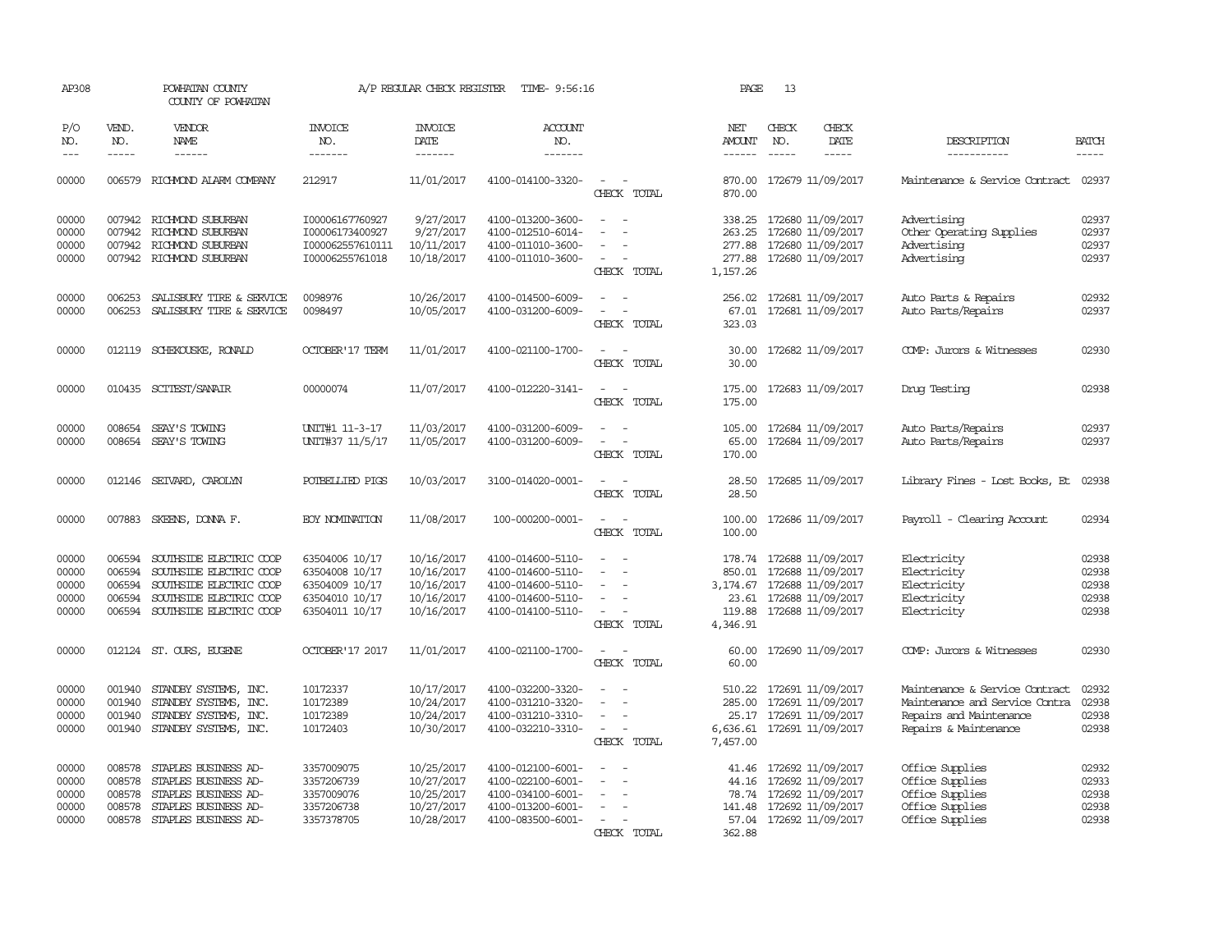| AP308                                     |                                      | POWHATAN COUNTY<br>COUNTY OF POWHATAN                                                                                                             |                                                                                        | A/P REGULAR CHECK REGISTER                                         | TIME- 9:56:16                                                                                         |                                                               | PAGE                                                        | 13                    |                                                                                                             |                                                                                                                      |                                                                                                                                                                                                                                                                                                                                                                                                                                                                         |
|-------------------------------------------|--------------------------------------|---------------------------------------------------------------------------------------------------------------------------------------------------|----------------------------------------------------------------------------------------|--------------------------------------------------------------------|-------------------------------------------------------------------------------------------------------|---------------------------------------------------------------|-------------------------------------------------------------|-----------------------|-------------------------------------------------------------------------------------------------------------|----------------------------------------------------------------------------------------------------------------------|-------------------------------------------------------------------------------------------------------------------------------------------------------------------------------------------------------------------------------------------------------------------------------------------------------------------------------------------------------------------------------------------------------------------------------------------------------------------------|
| P/O<br>NO.<br>$\qquad \qquad -$           | VEND.<br>NO.<br>$- - - - -$          | <b>VENDOR</b><br>NAME<br>------                                                                                                                   | INVOICE<br>NO.<br>-------                                                              | <b>INVOICE</b><br>DATE<br>-------                                  | <b>ACCOUNT</b><br>NO.<br>-------                                                                      |                                                               | NET<br><b>AMOUNT</b><br>$- - - - - -$                       | CHECK<br>NO.<br>----- | CHECK<br>DATE<br>-----                                                                                      | DESCRIPTION<br>-----------                                                                                           | <b>BATCH</b><br>$\begin{tabular}{ccccc} \multicolumn{2}{c }{\multicolumn{2}{c }{\multicolumn{2}{c }{\multicolumn{2}{c}}{\hspace{-2.2cm}}}} \multicolumn{2}{c }{\multicolumn{2}{c }{\hspace{-2.2cm}}\hline} \multicolumn{2}{c }{\hspace{-2.2cm}}\hline \multicolumn{2}{c }{\hspace{-2.2cm}}\hline \multicolumn{2}{c }{\hspace{-2.2cm}}\hline \multicolumn{2}{c }{\hspace{-2.2cm}}\hline \multicolumn{2}{c }{\hspace{-2.2cm}}\hline \multicolumn{2}{c }{\hspace{-2.2cm}}$ |
| 00000                                     |                                      | 006579 RICHMOND ALARM COMPANY                                                                                                                     | 212917                                                                                 | 11/01/2017                                                         | 4100-014100-3320-                                                                                     | $\equiv$<br>$\sim$<br>CHECK TOTAL                             | 870.00                                                      |                       | 870.00 172679 11/09/2017                                                                                    | Maintenance & Service Contract                                                                                       | 02937                                                                                                                                                                                                                                                                                                                                                                                                                                                                   |
| 00000<br>00000<br>00000<br>00000          | 007942<br>007942                     | 007942 RICHMOND SUBURBAN<br>RICHMOND SUBURBAN<br>RICHMOND SUBURBAN<br>007942 RICHMOND SUBURBAN                                                    | I00006167760927<br>I00006173400927<br>I000062557610111<br>100006255761018              | 9/27/2017<br>9/27/2017<br>10/11/2017<br>10/18/2017                 | 4100-013200-3600-<br>4100-012510-6014-<br>4100-011010-3600-<br>4100-011010-3600-                      | $\sim$<br>$\equiv$<br>$\overline{\phantom{a}}$<br>CHECK TOTAL | 338.25<br>263.25<br>277.88<br>277.88<br>1,157.26            |                       | 172680 11/09/2017<br>172680 11/09/2017<br>172680 11/09/2017<br>172680 11/09/2017                            | Advertising<br>Other Operating Supplies<br>Advertising<br>Advertising                                                | 02937<br>02937<br>02937<br>02937                                                                                                                                                                                                                                                                                                                                                                                                                                        |
| 00000<br>00000                            | 006253<br>006253                     | SALISBURY TIRE & SERVICE<br>SALISBURY TIRE & SERVICE                                                                                              | 0098976<br>0098497                                                                     | 10/26/2017<br>10/05/2017                                           | 4100-014500-6009-<br>4100-031200-6009-                                                                | $\sim$<br>CHECK TOTAL                                         | 256.02<br>67.01<br>323.03                                   |                       | 172681 11/09/2017<br>172681 11/09/2017                                                                      | Auto Parts & Repairs<br>Auto Parts/Repairs                                                                           | 02932<br>02937                                                                                                                                                                                                                                                                                                                                                                                                                                                          |
| 00000                                     |                                      | 012119 SCHEKOUSKE, RONALD                                                                                                                         | OCTOBER' 17 TERM                                                                       | 11/01/2017                                                         | 4100-021100-1700-                                                                                     | $\sim$<br>$\sim$<br>CHECK TOTAL                               | 30.00<br>30.00                                              |                       | 172682 11/09/2017                                                                                           | COMP: Jurors & Witnesses                                                                                             | 02930                                                                                                                                                                                                                                                                                                                                                                                                                                                                   |
| 00000                                     |                                      | 010435 SCITEST/SANAIR                                                                                                                             | 00000074                                                                               | 11/07/2017                                                         | 4100-012220-3141-                                                                                     | CHECK TOTAL                                                   | 175.00<br>175.00                                            |                       | 172683 11/09/2017                                                                                           | Drug Testing                                                                                                         | 02938                                                                                                                                                                                                                                                                                                                                                                                                                                                                   |
| 00000<br>00000                            | 008654<br>008654                     | SEAY'S TOWING<br>SEAY'S TOWING                                                                                                                    | UNIT#1 11-3-17<br>UNIT#37 11/5/17                                                      | 11/03/2017<br>11/05/2017                                           | 4100-031200-6009-<br>4100-031200-6009-                                                                | $\sim$<br>$\sim$<br>CHECK TOTAL                               | 105.00<br>65.00<br>170.00                                   |                       | 172684 11/09/2017<br>172684 11/09/2017                                                                      | Auto Parts/Repairs<br>Auto Parts/Repairs                                                                             | 02937<br>02937                                                                                                                                                                                                                                                                                                                                                                                                                                                          |
| 00000                                     |                                      | 012146 SEIVARD, CAROLYN                                                                                                                           | POTBELLIED PIGS                                                                        | 10/03/2017                                                         | 3100-014020-0001-                                                                                     | $\sim$<br>$\sim$<br>CHECK TOTAL                               | 28.50<br>28.50                                              |                       | 172685 11/09/2017                                                                                           | Library Fines - Lost Books, Et                                                                                       | 02938                                                                                                                                                                                                                                                                                                                                                                                                                                                                   |
| 00000                                     |                                      | 007883 SKEENS, DONNA F.                                                                                                                           | <b>EOY NOMINATION</b>                                                                  | 11/08/2017                                                         | 100-000200-0001-                                                                                      | $\sim$<br>CHECK TOTAL                                         | 100.00<br>100.00                                            |                       | 172686 11/09/2017                                                                                           | Payroll - Clearing Account                                                                                           | 02934                                                                                                                                                                                                                                                                                                                                                                                                                                                                   |
| 00000<br>00000<br>00000<br>00000<br>00000 | 006594<br>006594<br>006594           | SOUTHSIDE ELECTRIC COOP<br>SOUTHSIDE ELECTRIC COOP<br>SOUTHSIDE ELECTRIC COOP<br>006594 SOUTHSIDE ELECTRIC COOP<br>006594 SOUTHSIDE ELECTRIC COOP | 63504006 10/17<br>63504008 10/17<br>63504009 10/17<br>63504010 10/17<br>63504011 10/17 | 10/16/2017<br>10/16/2017<br>10/16/2017<br>10/16/2017<br>10/16/2017 | 4100-014600-5110-<br>4100-014600-5110-<br>4100-014600-5110-<br>4100-014600-5110-<br>4100-014100-5110- | $\equiv$<br>$\equiv$<br>CHECK TOTAL                           | 178.74<br>850.01<br>3,174.67<br>23.61<br>119.88<br>4,346.91 |                       | 172688 11/09/2017<br>172688 11/09/2017<br>172688 11/09/2017<br>172688 11/09/2017<br>172688 11/09/2017       | Electricity<br>Electricity<br>Electricity<br>Electricity<br>Electricity                                              | 02938<br>02938<br>02938<br>02938<br>02938                                                                                                                                                                                                                                                                                                                                                                                                                               |
| 00000                                     |                                      | 012124 ST. OURS, EUGENE                                                                                                                           | OCTOBER'17 2017                                                                        | 11/01/2017                                                         | 4100-021100-1700-                                                                                     | $\sim$<br>$\overline{\phantom{a}}$<br>CHECK TOTAL             | 60.00<br>60.00                                              |                       | 172690 11/09/2017                                                                                           | COMP: Jurors & Witnesses                                                                                             | 02930                                                                                                                                                                                                                                                                                                                                                                                                                                                                   |
| 00000<br>00000<br>00000<br>00000          | 001940<br>001940<br>001940           | STANDBY SYSTEMS, INC.<br>STANDBY SYSTEMS, INC.<br>STANDBY SYSTEMS, INC.<br>001940 STANDBY SYSTEMS, INC.                                           | 10172337<br>10172389<br>10172389<br>10172403                                           | 10/17/2017<br>10/24/2017<br>10/24/2017<br>10/30/2017               | 4100-032200-3320-<br>4100-031210-3320-<br>4100-031210-3310-<br>4100-032210-3310-                      | $\sim$<br>CHECK TOTAL                                         | 510.22<br>285.00<br>25.17<br>7,457.00                       |                       | 172691 11/09/2017<br>172691 11/09/2017<br>172691 11/09/2017<br>6,636.61 172691 11/09/2017                   | Maintenance & Service Contract<br>Maintenance and Service Contra<br>Repairs and Maintenance<br>Repairs & Maintenance | 02932<br>02938<br>02938<br>02938                                                                                                                                                                                                                                                                                                                                                                                                                                        |
| 00000<br>00000<br>00000<br>00000<br>00000 | 008578<br>008578<br>008578<br>008578 | STAPLES BUSINESS AD-<br>STAPLES BUSINESS AD-<br>STAPLES BUSINESS AD-<br>STAPLES BUSINESS AD-<br>008578 STAPLES BUSINESS AD-                       | 3357009075<br>3357206739<br>3357009076<br>3357206738<br>3357378705                     | 10/25/2017<br>10/27/2017<br>10/25/2017<br>10/27/2017<br>10/28/2017 | 4100-012100-6001-<br>4100-022100-6001-<br>4100-034100-6001-<br>4100-013200-6001-<br>4100-083500-6001- | - 11<br>$\equiv$<br>$\sim$<br>CHECK TOTAL                     | 41.46<br>44.16<br>78.74<br>141.48<br>362.88                 |                       | 172692 11/09/2017<br>172692 11/09/2017<br>172692 11/09/2017<br>172692 11/09/2017<br>57.04 172692 11/09/2017 | Office Supplies<br>Office Supplies<br>Office Supplies<br>Office Supplies<br>Office Supplies                          | 02932<br>02933<br>02938<br>02938<br>02938                                                                                                                                                                                                                                                                                                                                                                                                                               |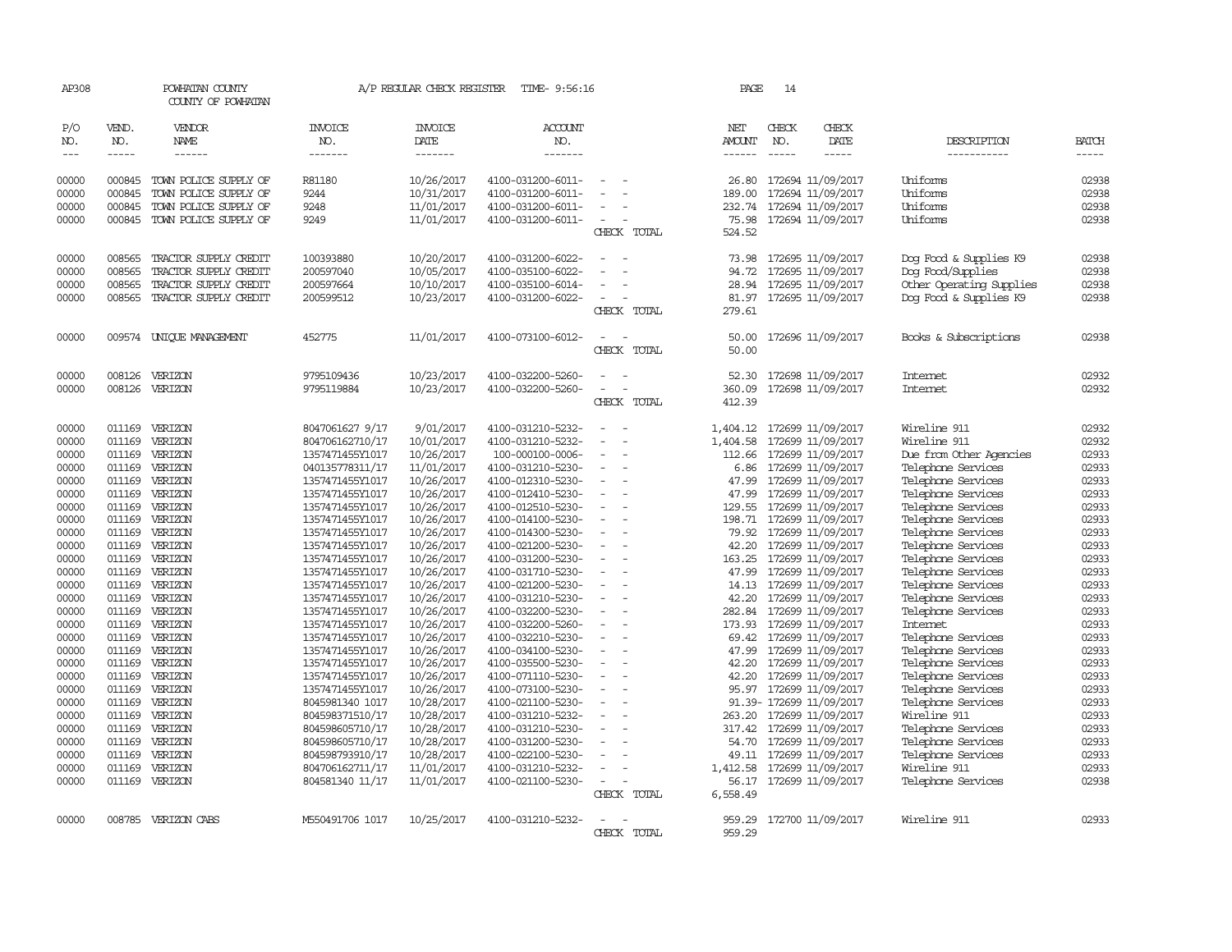| AP308                       |                             | POWHATAN COUNTY<br>COUNTY OF POWHATAN |                                    | A/P REGULAR CHECK REGISTER        | TIME- 9:56:16                          |                          |                          | PAGE                    | 14                          |                                                     |                                       |                             |
|-----------------------------|-----------------------------|---------------------------------------|------------------------------------|-----------------------------------|----------------------------------------|--------------------------|--------------------------|-------------------------|-----------------------------|-----------------------------------------------------|---------------------------------------|-----------------------------|
| P/O<br>NO.<br>$\frac{1}{2}$ | VEND.<br>NO.<br>$- - - - -$ | VENDOR<br>NAME<br>$- - - - - -$       | <b>INVOICE</b><br>NO.<br>-------   | <b>INVOICE</b><br>DATE<br>------- | <b>ACCOUNT</b><br>NO.<br>-------       |                          |                          | NET<br>AMOUNT<br>------ | CHECK<br>NO.<br>$- - - - -$ | CHECK<br>DATE<br>-----                              | DESCRIPTION<br>-----------            | <b>BATCH</b><br>$- - - - -$ |
|                             |                             |                                       |                                    |                                   |                                        |                          |                          |                         |                             |                                                     |                                       |                             |
| 00000                       | 000845                      | TOWN POLICE SUPPLY OF                 | R81180                             | 10/26/2017                        | 4100-031200-6011-                      | $\sim$                   |                          | 26.80                   |                             | 172694 11/09/2017                                   | Uniforms                              | 02938                       |
| 00000                       | 000845                      | TOWN POLICE SUPPLY OF                 | 9244                               | 10/31/2017                        | 4100-031200-6011-                      |                          |                          | 189.00                  |                             | 172694 11/09/2017                                   | Uniforms                              | 02938                       |
| 00000                       | 000845                      | TOWN POLICE SUPPLY OF                 | 9248                               | 11/01/2017                        | 4100-031200-6011-                      |                          |                          | 232.74                  |                             | 172694 11/09/2017                                   | Uniforms                              | 02938                       |
| 00000                       | 000845                      | TOWN POLICE SUPPLY OF                 | 9249                               | 11/01/2017                        | 4100-031200-6011-                      |                          | CHECK TOTAL              | 75.98<br>524.52         |                             | 172694 11/09/2017                                   | Uniforms                              | 02938                       |
|                             |                             |                                       |                                    |                                   |                                        |                          |                          |                         |                             |                                                     |                                       |                             |
| 00000                       | 008565                      | TRACTOR SUPPLY CREDIT                 | 100393880                          | 10/20/2017                        | 4100-031200-6022-                      |                          |                          | 73.98                   |                             | 172695 11/09/2017                                   | Dog Food & Supplies K9                | 02938                       |
| 00000                       | 008565                      | TRACTOR SUPPLY CREDIT                 | 200597040                          | 10/05/2017                        | 4100-035100-6022-                      |                          |                          | 94.72                   |                             | 172695 11/09/2017                                   | Dog Food/Supplies                     | 02938                       |
| 00000                       | 008565                      | TRACTOR SUPPLY CREDIT                 | 200597664                          | 10/10/2017                        | 4100-035100-6014-                      | $\sim$                   |                          | 28.94                   |                             | 172695 11/09/2017                                   | Other Operating Supplies              | 02938                       |
| 00000                       | 008565                      | TRACTOR SUPPLY CREDIT                 | 200599512                          | 10/23/2017                        | 4100-031200-6022-                      | $\overline{\phantom{a}}$ |                          | 81.97                   |                             | 172695 11/09/2017                                   | Dog Food & Supplies K9                | 02938                       |
|                             |                             |                                       |                                    |                                   |                                        |                          | CHECK TOTAL              | 279.61                  |                             |                                                     |                                       |                             |
| 00000                       |                             | 009574 UNIQUE MANAGEMENT              | 452775                             | 11/01/2017                        | 4100-073100-6012-                      |                          |                          | 50.00                   |                             | 172696 11/09/2017                                   | Books & Subscriptions                 | 02938                       |
|                             |                             |                                       |                                    |                                   |                                        |                          | CHECK TOTAL              | 50.00                   |                             |                                                     |                                       |                             |
| 00000                       |                             | 008126 VERIZON                        | 9795109436                         | 10/23/2017                        | 4100-032200-5260-                      |                          |                          | 52.30                   |                             | 172698 11/09/2017                                   | Internet                              | 02932                       |
| 00000                       | 008126                      | VERIZON                               | 9795119884                         | 10/23/2017                        | 4100-032200-5260-                      |                          |                          | 360.09                  |                             | 172698 11/09/2017                                   | Internet                              | 02932                       |
|                             |                             |                                       |                                    |                                   |                                        |                          | CHECK TOTAL              | 412.39                  |                             |                                                     |                                       |                             |
| 00000                       |                             | 011169 VERIZON                        | 8047061627 9/17                    | 9/01/2017                         | 4100-031210-5232-                      | $\sim$                   |                          | 1,404.12                |                             | 172699 11/09/2017                                   | Wireline 911                          | 02932                       |
| 00000                       | 011169                      | VERIZON                               | 804706162710/17                    | 10/01/2017                        | 4100-031210-5232-                      | $\sim$                   |                          | 1,404.58                |                             | 172699 11/09/2017                                   | Wireline 911                          | 02932                       |
| 00000                       |                             | 011169 VERIZON                        | 1357471455Y1017                    | 10/26/2017                        | 100-000100-0006-                       |                          |                          | 112.66                  |                             | 172699 11/09/2017                                   | Due from Other Agencies               | 02933                       |
| 00000                       | 011169                      | VERIZON                               | 040135778311/17                    | 11/01/2017                        | 4100-031210-5230-                      |                          |                          | 6.86                    |                             | 172699 11/09/2017                                   | Telephone Services                    | 02933                       |
| 00000                       |                             | 011169 VERIZON                        | 1357471455Y1017                    | 10/26/2017                        | 4100-012310-5230-                      | $\overline{\phantom{a}}$ |                          | 47.99                   |                             | 172699 11/09/2017                                   | Telephone Services                    | 02933                       |
| 00000                       |                             | 011169 VERIZON                        | 1357471455Y1017                    | 10/26/2017                        | 4100-012410-5230-                      |                          |                          | 47.99                   |                             | 172699 11/09/2017                                   | Telephone Services                    | 02933                       |
| 00000                       |                             | 011169 VERIZON                        | 1357471455Y1017                    | 10/26/2017                        | 4100-012510-5230-                      |                          |                          | 129.55                  |                             | 172699 11/09/2017                                   | Telephone Services                    | 02933                       |
| 00000                       | 011169                      | VERIZON                               | 1357471455Y1017                    | 10/26/2017                        | 4100-014100-5230-                      |                          |                          | 198.71                  |                             | 172699 11/09/2017                                   | Telephone Services                    | 02933                       |
| 00000                       |                             | 011169 VERIZON                        | 1357471455Y1017                    | 10/26/2017                        | 4100-014300-5230-                      | $\overline{a}$           |                          | 79.92                   |                             | 172699 11/09/2017                                   | Telephone Services                    | 02933                       |
| 00000                       | 011169                      | VERIZON                               | 1357471455Y1017                    | 10/26/2017                        | 4100-021200-5230-                      |                          |                          | 42.20                   |                             | 172699 11/09/2017                                   | Telephone Services                    | 02933                       |
| 00000                       | 011169                      | VERIZON                               | 1357471455Y1017                    | 10/26/2017                        | 4100-031200-5230-                      |                          |                          | 163.25                  |                             | 172699 11/09/2017                                   | Telephone Services                    | 02933                       |
| 00000                       | 011169                      | VERIZON                               | 1357471455Y1017                    | 10/26/2017                        | 4100-031710-5230-                      |                          |                          | 47.99                   |                             | 172699 11/09/2017                                   | Telephone Services                    | 02933                       |
| 00000                       |                             | 011169 VERIZON                        | 1357471455Y1017                    | 10/26/2017                        | 4100-021200-5230-                      | $\overline{\phantom{a}}$ |                          | 14.13                   |                             | 172699 11/09/2017                                   | Telephone Services                    | 02933                       |
| 00000                       |                             | 011169 VERIZON                        | 1357471455Y1017                    | 10/26/2017                        | 4100-031210-5230-                      |                          |                          | 42.20                   |                             | 172699 11/09/2017                                   | Telephone Services                    | 02933                       |
| 00000                       |                             | 011169 VERIZON                        | 1357471455Y1017                    | 10/26/2017                        | 4100-032200-5230-                      |                          |                          | 282.84                  |                             | 172699 11/09/2017                                   | Telephone Services                    | 02933                       |
| 00000<br>00000              |                             | 011169 VERIZON<br>011169 VERIZON      | 1357471455Y1017                    | 10/26/2017<br>10/26/2017          | 4100-032200-5260-<br>4100-032210-5230- |                          |                          |                         |                             | 173.93 172699 11/09/2017<br>69.42 172699 11/09/2017 | <b>Internet</b><br>Telephone Services | 02933<br>02933              |
| 00000                       |                             | 011169 VERIZON                        | 1357471455Y1017<br>1357471455Y1017 | 10/26/2017                        | 4100-034100-5230-                      |                          |                          | 47.99                   |                             | 172699 11/09/2017                                   | Telephone Services                    | 02933                       |
| 00000                       |                             | 011169 VERIZON                        | 1357471455Y1017                    | 10/26/2017                        | 4100-035500-5230-                      |                          |                          | 42.20                   |                             | 172699 11/09/2017                                   | Telephone Services                    | 02933                       |
| 00000                       |                             | 011169 VERIZON                        | 1357471455Y1017                    | 10/26/2017                        | 4100-071110-5230-                      | $\sim$                   | $\overline{\phantom{a}}$ | 42.20                   |                             | 172699 11/09/2017                                   | Telephone Services                    | 02933                       |
| 00000                       |                             | 011169 VERIZON                        | 1357471455Y1017                    | 10/26/2017                        | 4100-073100-5230-                      |                          |                          | 95.97                   |                             | 172699 11/09/2017                                   | Telephone Services                    | 02933                       |
| 00000                       |                             | 011169 VERIZON                        | 8045981340 1017                    | 10/28/2017                        | 4100-021100-5230-                      |                          |                          |                         |                             | 91.39- 172699 11/09/2017                            | Telephone Services                    | 02933                       |
| 00000                       |                             | 011169 VERIZON                        | 804598371510/17                    | 10/28/2017                        | 4100-031210-5232-                      |                          |                          | 263.20                  |                             | 172699 11/09/2017                                   | Wireline 911                          | 02933                       |
| 00000                       |                             | 011169 VERIZON                        | 804598605710/17                    | 10/28/2017                        | 4100-031210-5230-                      | $\sim$                   |                          | 317.42                  |                             | 172699 11/09/2017                                   | Telephone Services                    | 02933                       |
| 00000                       | 011169                      | VERIZON                               | 804598605710/17                    | 10/28/2017                        | 4100-031200-5230-                      |                          |                          | 54.70                   |                             | 172699 11/09/2017                                   | Telephone Services                    | 02933                       |
| 00000                       | 011169                      | VERIZON                               | 804598793910/17                    | 10/28/2017                        | 4100-022100-5230-                      |                          |                          | 49.11                   |                             | 172699 11/09/2017                                   | Telephone Services                    | 02933                       |
| 00000                       | 011169                      | VERIZON                               | 804706162711/17                    | 11/01/2017                        | 4100-031210-5232-                      |                          |                          | 1,412.58                |                             | 172699 11/09/2017                                   | Wireline 911                          | 02933                       |
| 00000                       |                             | 011169 VERIZON                        | 804581340 11/17                    | 11/01/2017                        | 4100-021100-5230-                      | $\overline{\phantom{a}}$ |                          | 56.17                   |                             | 172699 11/09/2017                                   | Telephone Services                    | 02938                       |
|                             |                             |                                       |                                    |                                   |                                        |                          | CHECK TOTAL              | 6,558.49                |                             |                                                     |                                       |                             |
| 00000                       | 008785                      | VERIZON CABS                          | M550491706 1017                    | 10/25/2017                        | 4100-031210-5232-                      |                          |                          | 959.29                  |                             | 172700 11/09/2017                                   | Wireline 911                          | 02933                       |
|                             |                             |                                       |                                    |                                   |                                        |                          | CHECK TOTAL              | 959.29                  |                             |                                                     |                                       |                             |
|                             |                             |                                       |                                    |                                   |                                        |                          |                          |                         |                             |                                                     |                                       |                             |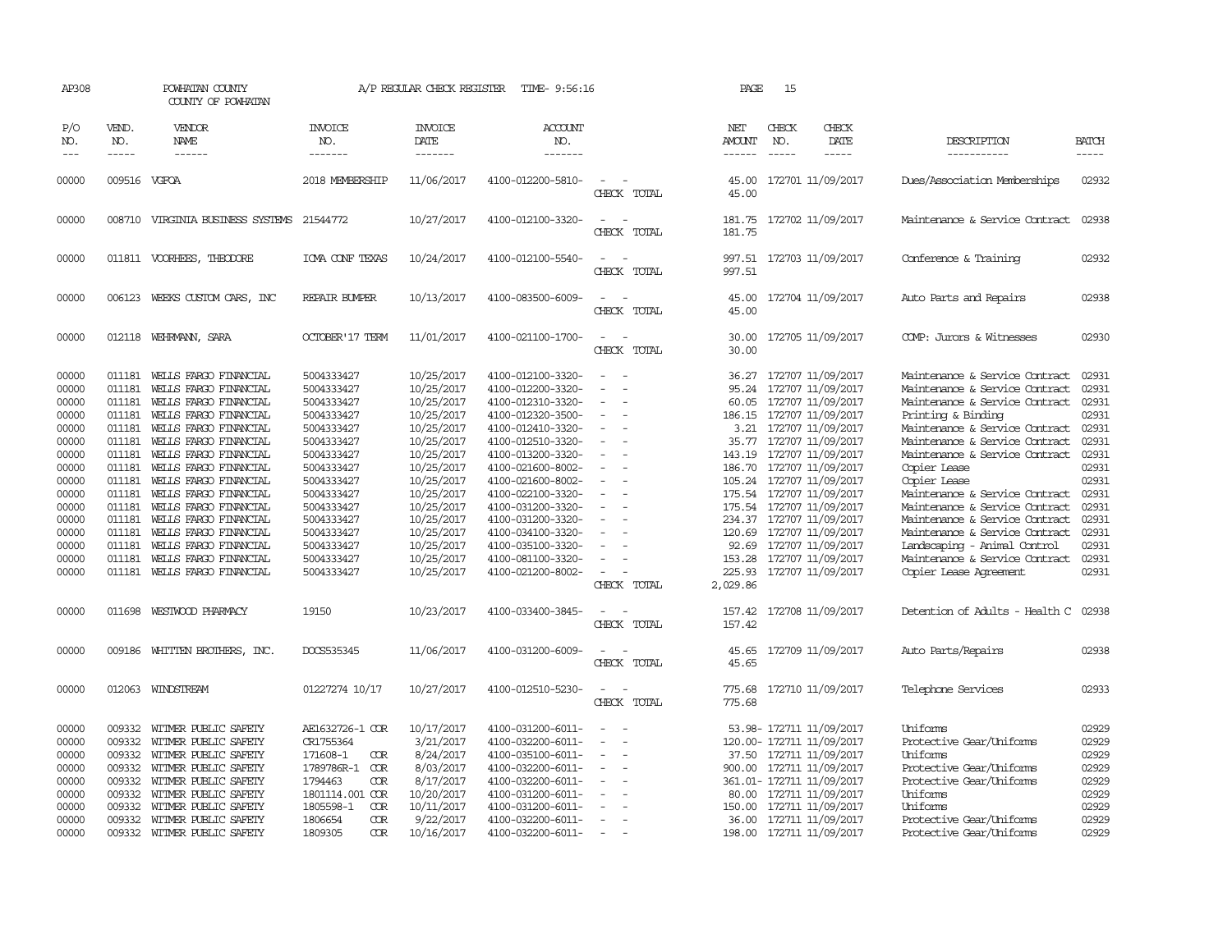| VEND.                                                                                                                                              |                                                                                                                                                                                                                                                                                 |                                                                                                                                                                                                                                                                                                                                                                                                                                                                                                                                         |                                                                                                                                                                                                                                            |                                                                                                                                                                                                                                                                                                                                                                   |                                                                                                                                                                                                                                                                                     |                         |                               |                              |                                                                                                                                                                                                                                                                                                                                                                                                                                                                                                                                                                                                                                                                                                                                                                                                                                                                                                              |                                                                                                                                                       |
|----------------------------------------------------------------------------------------------------------------------------------------------------|---------------------------------------------------------------------------------------------------------------------------------------------------------------------------------------------------------------------------------------------------------------------------------|-----------------------------------------------------------------------------------------------------------------------------------------------------------------------------------------------------------------------------------------------------------------------------------------------------------------------------------------------------------------------------------------------------------------------------------------------------------------------------------------------------------------------------------------|--------------------------------------------------------------------------------------------------------------------------------------------------------------------------------------------------------------------------------------------|-------------------------------------------------------------------------------------------------------------------------------------------------------------------------------------------------------------------------------------------------------------------------------------------------------------------------------------------------------------------|-------------------------------------------------------------------------------------------------------------------------------------------------------------------------------------------------------------------------------------------------------------------------------------|-------------------------|-------------------------------|------------------------------|--------------------------------------------------------------------------------------------------------------------------------------------------------------------------------------------------------------------------------------------------------------------------------------------------------------------------------------------------------------------------------------------------------------------------------------------------------------------------------------------------------------------------------------------------------------------------------------------------------------------------------------------------------------------------------------------------------------------------------------------------------------------------------------------------------------------------------------------------------------------------------------------------------------|-------------------------------------------------------------------------------------------------------------------------------------------------------|
| NO.<br>$- - - - -$                                                                                                                                 | VENDOR<br>NAME<br>$- - - - - -$                                                                                                                                                                                                                                                 | <b>INVOICE</b><br>NO.<br>-------                                                                                                                                                                                                                                                                                                                                                                                                                                                                                                        | <b>INVOICE</b><br>DATE<br>-------                                                                                                                                                                                                          | <b>ACCOUNT</b><br>NO.<br>-------                                                                                                                                                                                                                                                                                                                                  |                                                                                                                                                                                                                                                                                     | NET<br>AMOUNT<br>------ | CHECK<br>NO.<br>$\frac{1}{2}$ | CHECK<br>DATE<br>$- - - - -$ | DESCRIPTION<br>-----------                                                                                                                                                                                                                                                                                                                                                                                                                                                                                                                                                                                                                                                                                                                                                                                                                                                                                   | <b>BATCH</b><br>-----                                                                                                                                 |
|                                                                                                                                                    |                                                                                                                                                                                                                                                                                 | 2018 MEMBERSHIP                                                                                                                                                                                                                                                                                                                                                                                                                                                                                                                         | 11/06/2017                                                                                                                                                                                                                                 | 4100-012200-5810-                                                                                                                                                                                                                                                                                                                                                 | $\equiv$<br>CHECK TOTAL                                                                                                                                                                                                                                                             | 45.00<br>45.00          |                               |                              | Dues/Association Memberships                                                                                                                                                                                                                                                                                                                                                                                                                                                                                                                                                                                                                                                                                                                                                                                                                                                                                 | 02932                                                                                                                                                 |
|                                                                                                                                                    |                                                                                                                                                                                                                                                                                 |                                                                                                                                                                                                                                                                                                                                                                                                                                                                                                                                         | 10/27/2017                                                                                                                                                                                                                                 | 4100-012100-3320-                                                                                                                                                                                                                                                                                                                                                 | $\overline{\phantom{a}}$<br>CHECK TOTAL                                                                                                                                                                                                                                             | 181.75                  |                               |                              | Maintenance & Service Contract                                                                                                                                                                                                                                                                                                                                                                                                                                                                                                                                                                                                                                                                                                                                                                                                                                                                               | 02938                                                                                                                                                 |
|                                                                                                                                                    |                                                                                                                                                                                                                                                                                 | IOMA CONF TEXAS                                                                                                                                                                                                                                                                                                                                                                                                                                                                                                                         | 10/24/2017                                                                                                                                                                                                                                 | 4100-012100-5540-                                                                                                                                                                                                                                                                                                                                                 | CHECK TOTAL                                                                                                                                                                                                                                                                         | 997.51                  |                               |                              | Conference & Training                                                                                                                                                                                                                                                                                                                                                                                                                                                                                                                                                                                                                                                                                                                                                                                                                                                                                        | 02932                                                                                                                                                 |
|                                                                                                                                                    |                                                                                                                                                                                                                                                                                 | REPAIR BUMPER                                                                                                                                                                                                                                                                                                                                                                                                                                                                                                                           | 10/13/2017                                                                                                                                                                                                                                 | 4100-083500-6009-                                                                                                                                                                                                                                                                                                                                                 | $\sim$ $\sim$<br>CHECK TOTAL                                                                                                                                                                                                                                                        | 45.00<br>45.00          |                               |                              | Auto Parts and Repairs                                                                                                                                                                                                                                                                                                                                                                                                                                                                                                                                                                                                                                                                                                                                                                                                                                                                                       | 02938                                                                                                                                                 |
|                                                                                                                                                    |                                                                                                                                                                                                                                                                                 | <b>OCTOBER' 17 TERM</b>                                                                                                                                                                                                                                                                                                                                                                                                                                                                                                                 | 11/01/2017                                                                                                                                                                                                                                 | 4100-021100-1700-                                                                                                                                                                                                                                                                                                                                                 | $\frac{1}{2} \left( \frac{1}{2} \right) \left( \frac{1}{2} \right) = \frac{1}{2} \left( \frac{1}{2} \right)$<br>CHECK TOTAL                                                                                                                                                         | 30.00<br>30.00          |                               |                              | COMP: Jurors & Witnesses                                                                                                                                                                                                                                                                                                                                                                                                                                                                                                                                                                                                                                                                                                                                                                                                                                                                                     | 02930                                                                                                                                                 |
| 011181<br>011181<br>011181<br>011181<br>011181<br>011181<br>011181<br>011181<br>011181<br>011181<br>011181<br>011181<br>011181<br>011181<br>011181 | WELLS FARGO FINANCIAL<br>WELLS FARGO FINANCIAL<br>WELLS FARGO FINANCIAL<br>WELLS FARGO FINANCIAL<br>WEILS FARGO FINANCIAL<br>WEILS FARGO FINANCIAL<br>WELLS FARGO FINANCIAL<br>WELLS FARGO FINANCIAL<br>WEILS FARGO FINANCIAL<br>WELLS FARGO FINANCIAL<br>WELLS FARGO FINANCIAL | 5004333427<br>5004333427<br>5004333427<br>5004333427<br>5004333427<br>5004333427<br>5004333427<br>5004333427<br>5004333427<br>5004333427<br>5004333427<br>5004333427<br>5004333427<br>5004333427<br>5004333427<br>5004333427<br>19150                                                                                                                                                                                                                                                                                                   | 10/25/2017<br>10/25/2017<br>10/25/2017<br>10/25/2017<br>10/25/2017<br>10/25/2017<br>10/25/2017<br>10/25/2017<br>10/25/2017<br>10/25/2017<br>10/25/2017<br>10/25/2017<br>10/25/2017<br>10/25/2017<br>10/25/2017<br>10/25/2017<br>10/23/2017 | 4100-012100-3320-<br>4100-012200-3320-<br>4100-012310-3320-<br>4100-012320-3500-<br>4100-012410-3320-<br>4100-012510-3320-<br>4100-013200-3320-<br>4100-021600-8002-<br>4100-021600-8002-<br>4100-022100-3320-<br>4100-031200-3320-<br>4100-031200-3320-<br>4100-034100-3320-<br>4100-035100-3320-<br>4100-081100-3320-<br>4100-021200-8002-<br>4100-033400-3845- | $\equiv$<br>$\equiv$<br>$\overline{\phantom{a}}$<br>$\overline{\phantom{a}}$<br>$\overline{\phantom{a}}$<br>$\equiv$<br>$\overline{\phantom{a}}$<br>$\overline{\phantom{a}}$<br>$\sim$<br>$\equiv$<br>$\overline{\phantom{a}}$<br>$\sim$<br>CHECK TOTAL<br>$\overline{\phantom{a}}$ | 143.19<br>2,029.86      |                               |                              | Maintenance & Service Contract<br>Maintenance & Service Contract<br>Maintenance & Service Contract<br>Printing & Binding<br>Maintenance & Service Contract<br>Maintenance & Service Contract<br>Maintenance & Service Contract<br>Copier Lease<br>Copier Lease<br>Maintenance & Service Contract<br>Maintenance & Service Contract<br>Maintenance & Service Contract<br>Maintenance & Service Contract<br>Landscaping - Animal Control<br>Maintenance & Service Contract<br><b>Copier Lease Agreement</b><br>Detention of Adults - Health C                                                                                                                                                                                                                                                                                                                                                                  | 02931<br>02931<br>02931<br>02931<br>02931<br>02931<br>02931<br>02931<br>02931<br>02931<br>02931<br>02931<br>02931<br>02931<br>02931<br>02931<br>02938 |
|                                                                                                                                                    |                                                                                                                                                                                                                                                                                 |                                                                                                                                                                                                                                                                                                                                                                                                                                                                                                                                         |                                                                                                                                                                                                                                            |                                                                                                                                                                                                                                                                                                                                                                   | CHECK TOTAL                                                                                                                                                                                                                                                                         | 157.42                  |                               |                              |                                                                                                                                                                                                                                                                                                                                                                                                                                                                                                                                                                                                                                                                                                                                                                                                                                                                                                              | 02938                                                                                                                                                 |
|                                                                                                                                                    |                                                                                                                                                                                                                                                                                 | 01227274 10/17                                                                                                                                                                                                                                                                                                                                                                                                                                                                                                                          | 10/27/2017                                                                                                                                                                                                                                 | 4100-012510-5230-                                                                                                                                                                                                                                                                                                                                                 | CHECK TOTAL                                                                                                                                                                                                                                                                         | 45.65<br>775.68         |                               |                              | Telephone Services                                                                                                                                                                                                                                                                                                                                                                                                                                                                                                                                                                                                                                                                                                                                                                                                                                                                                           | 02933                                                                                                                                                 |
| 009332<br>009332<br>009332<br>009332<br>009332<br>009332                                                                                           | WITMER PUBLIC SAFETY                                                                                                                                                                                                                                                            | AE1632726-1 COR<br>CR1755364<br>171608-1<br><b>COR</b><br>1789786R-1 COR<br>1794463<br><b>COR</b><br>1801114.001 COR<br>1805598-1<br>COR<br>1806654<br><b>COR</b>                                                                                                                                                                                                                                                                                                                                                                       | 10/17/2017<br>3/21/2017<br>8/24/2017<br>8/03/2017<br>8/17/2017<br>10/20/2017<br>10/11/2017<br>9/22/2017                                                                                                                                    | 4100-031200-6011-<br>4100-032200-6011-<br>4100-035100-6011-<br>4100-032200-6011-<br>4100-032200-6011-<br>4100-031200-6011-<br>4100-031200-6011-<br>4100-032200-6011-                                                                                                                                                                                              | CHECK TOTAL<br>$\overline{\phantom{a}}$<br>$\overline{\phantom{a}}$<br>$\overline{\phantom{a}}$<br>$\overline{\phantom{a}}$<br>$\overline{\phantom{a}}$                                                                                                                             | 775.68                  |                               |                              | Uniforms<br>Protective Gear/Uniforms<br>Uniforms<br>Protective Gear/Uniforms<br>Protective Gear/Uniforms<br>Uniforms<br>Uniforms<br>Protective Gear/Uniforms                                                                                                                                                                                                                                                                                                                                                                                                                                                                                                                                                                                                                                                                                                                                                 | 02929<br>02929<br>02929<br>02929<br>02929<br>02929<br>02929<br>02929<br>02929                                                                         |
|                                                                                                                                                    | 009332                                                                                                                                                                                                                                                                          | 009516 VGFOA<br>011811 VOORHEES, THEODORE<br>006123 WEEKS CUSTOM CARS, INC<br>012118 WEHRMANN, SARA<br>WEILS FARGO FINANCIAL<br>WELLS FARGO FINANCIAL<br>WELLS FARGO FINANCIAL<br>WELLS FARGO FINANCIAL<br>011181 WELLS FARGO FINANCIAL<br>011698 WESTWOOD PHARMACY<br>009186 WHITTEN BROTHERS, INC.<br>012063 WINDSTREAM<br>WITMER PUBLIC SAFETY<br>009332 WITMER PUBLIC SAFETY<br>WITMER PUBLIC SAFETY<br>WITMER PUBLIC SAFETY<br>WITMER PUBLIC SAFETY<br>WITMER PUBLIC SAFETY<br>009332 WITMER PUBLIC SAFETY<br>WITMER PUBLIC SAFETY | 008710 VIRGINIA BUSINESS SYSTEMS 21544772<br>DOCS535345<br>1809305<br><b>COR</b>                                                                                                                                                           | 11/06/2017<br>10/16/2017                                                                                                                                                                                                                                                                                                                                          | 4100-031200-6009-                                                                                                                                                                                                                                                                   |                         |                               | 4100-032200-6011-<br>$\sim$  | 172701 11/09/2017<br>181.75 172702 11/09/2017<br>997.51 172703 11/09/2017<br>172704 11/09/2017<br>172705 11/09/2017<br>36.27 172707 11/09/2017<br>95.24 172707 11/09/2017<br>60.05 172707 11/09/2017<br>186.15 172707 11/09/2017<br>3.21 172707 11/09/2017<br>35.77 172707 11/09/2017<br>172707 11/09/2017<br>186.70 172707 11/09/2017<br>105.24 172707 11/09/2017<br>175.54 172707 11/09/2017<br>175.54 172707 11/09/2017<br>234.37 172707 11/09/2017<br>120.69 172707 11/09/2017<br>92.69 172707 11/09/2017<br>153.28 172707 11/09/2017<br>225.93 172707 11/09/2017<br>157.42 172708 11/09/2017<br>45.65 172709 11/09/2017<br>172710 11/09/2017<br>53.98- 172711 11/09/2017<br>120.00- 172711 11/09/2017<br>37.50 172711 11/09/2017<br>900.00 172711 11/09/2017<br>361.01- 172711 11/09/2017<br>80.00 172711 11/09/2017<br>150.00 172711 11/09/2017<br>36.00 172711 11/09/2017<br>198.00 172711 11/09/2017 | Auto Parts/Repairs<br>Protective Gear/Uniforms                                                                                                        |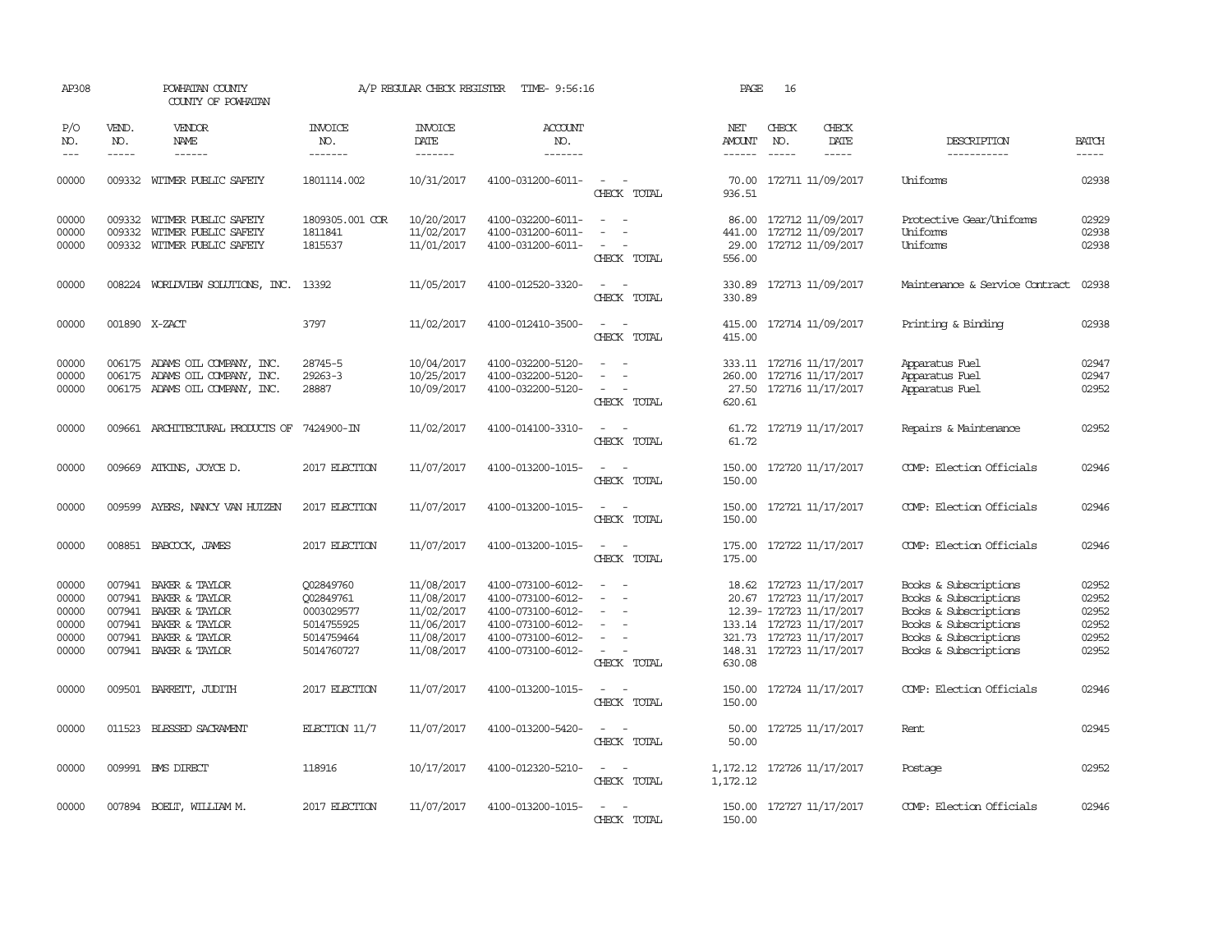| AP308                                              |                                                | POWHATAN COUNTY<br>COUNTY OF POWHATAN                                                                           |                                                                                | A/P REGULAR CHECK REGISTER                                                       | TIME- 9:56:16                                                                                                              |                                                                     | PAGE                               | 16                          |                                                                                                                                                       |                                                                                                                                                    |                                                    |
|----------------------------------------------------|------------------------------------------------|-----------------------------------------------------------------------------------------------------------------|--------------------------------------------------------------------------------|----------------------------------------------------------------------------------|----------------------------------------------------------------------------------------------------------------------------|---------------------------------------------------------------------|------------------------------------|-----------------------------|-------------------------------------------------------------------------------------------------------------------------------------------------------|----------------------------------------------------------------------------------------------------------------------------------------------------|----------------------------------------------------|
| P/O<br>NO.<br>$---$                                | VEND.<br>NO.<br>$- - - - -$                    | <b>VENDOR</b><br>NAME<br>------                                                                                 | <b>INVOICE</b><br>NO.<br>-------                                               | <b>INVOICE</b><br>DATE<br>-------                                                | <b>ACCOUNT</b><br>NO.<br>-------                                                                                           |                                                                     | NET<br>AMOUNT<br>------            | CHECK<br>NO.<br>$- - - - -$ | CHECK<br>DATE<br>-----                                                                                                                                | DESCRIPTION<br>-----------                                                                                                                         | <b>BATCH</b><br>-----                              |
| 00000                                              |                                                | 009332 WITMER PUBLIC SAFETY                                                                                     | 1801114.002                                                                    | 10/31/2017                                                                       | 4100-031200-6011-                                                                                                          | $\sim$<br>CHECK TOTAL                                               | 70.00<br>936.51                    |                             | 172711 11/09/2017                                                                                                                                     | Uniforms                                                                                                                                           | 02938                                              |
| 00000<br>00000<br>00000                            | 009332<br>009332<br>009332                     | WITMER PUBLIC SAFETY<br>WITMER PUBLIC SAFETY<br>WITMER PUBLIC SAFETY                                            | 1809305.001 COR<br>1811841<br>1815537                                          | 10/20/2017<br>11/02/2017<br>11/01/2017                                           | 4100-032200-6011-<br>4100-031200-6011-<br>4100-031200-6011-                                                                | $\equiv$<br>CHECK TOTAL                                             | 86.00<br>441.00<br>29.00<br>556.00 |                             | 172712 11/09/2017<br>172712 11/09/2017<br>172712 11/09/2017                                                                                           | Protective Gear/Uniforms<br>Uniforms<br>Uniforms                                                                                                   | 02929<br>02938<br>02938                            |
| 00000                                              |                                                | 008224 WORLDVIEW SOLUTIONS, INC. 13392                                                                          |                                                                                | 11/05/2017                                                                       | 4100-012520-3320-                                                                                                          | CHECK TOTAL                                                         | 330.89<br>330.89                   |                             | 172713 11/09/2017                                                                                                                                     | Maintenance & Service Contract                                                                                                                     | 02938                                              |
| 00000                                              |                                                | 001890 X-ZACT                                                                                                   | 3797                                                                           | 11/02/2017                                                                       | 4100-012410-3500-                                                                                                          | $\overline{\phantom{a}}$<br>$\overline{\phantom{a}}$<br>CHECK TOTAL | 415.00<br>415.00                   |                             | 172714 11/09/2017                                                                                                                                     | Printing & Binding                                                                                                                                 | 02938                                              |
| 00000<br>00000<br>00000                            | 006175                                         | 006175 ADAMS OIL COMPANY, INC.<br>ADAMS OIL COMPANY, INC.<br>006175 ADAMS OIL COMPANY, INC.                     | 28745-5<br>$29263 - 3$<br>28887                                                | 10/04/2017<br>10/25/2017<br>10/09/2017                                           | 4100-032200-5120-<br>4100-032200-5120-<br>4100-032200-5120-                                                                | $\equiv$<br>$\sim$<br>CHECK TOTAL                                   | 260.00<br>27.50<br>620.61          |                             | 333.11 172716 11/17/2017<br>172716 11/17/2017<br>172716 11/17/2017                                                                                    | Apparatus Fuel<br>Apparatus Fuel<br>Apparatus Fuel                                                                                                 | 02947<br>02947<br>02952                            |
| 00000                                              |                                                | 009661 ARCHITECTURAL PRODUCTS OF                                                                                | 7424900-IN                                                                     | 11/02/2017                                                                       | 4100-014100-3310-                                                                                                          | $\sim$<br>CHECK TOTAL                                               | 61.72                              |                             | 61.72 172719 11/17/2017                                                                                                                               | Repairs & Maintenance                                                                                                                              | 02952                                              |
| 00000                                              |                                                | 009669 ATKINS, JOYCE D.                                                                                         | 2017 ELECTION                                                                  | 11/07/2017                                                                       | 4100-013200-1015-                                                                                                          | $\sim$<br>CHECK TOTAL                                               | 150.00<br>150.00                   |                             | 172720 11/17/2017                                                                                                                                     | COMP: Election Officials                                                                                                                           | 02946                                              |
| 00000                                              | 009599                                         | AYERS, NANCY VAN HUIZEN                                                                                         | 2017 ELECTION                                                                  | 11/07/2017                                                                       | 4100-013200-1015-                                                                                                          | $\equiv$<br>CHECK TOTAL                                             | 150.00<br>150.00                   |                             | 172721 11/17/2017                                                                                                                                     | COMP: Election Officials                                                                                                                           | 02946                                              |
| 00000                                              |                                                | 008851 BABCOCK, JAMES                                                                                           | 2017 ELECTION                                                                  | 11/07/2017                                                                       | 4100-013200-1015-                                                                                                          | $\sim$ $\sim$<br>CHECK TOTAL                                        | 175.00<br>175.00                   |                             | 172722 11/17/2017                                                                                                                                     | COMP: Election Officials                                                                                                                           | 02946                                              |
| 00000<br>00000<br>00000<br>00000<br>00000<br>00000 | 007941<br>007941<br>007941<br>007941<br>007941 | BAKER & TAYLOR<br>BAKER & TAYLOR<br>BAKER & TAYLOR<br>BAKER & TAYLOR<br>BAKER & TAYLOR<br>007941 BAKER & TAYLOR | Q02849760<br>Q02849761<br>0003029577<br>5014755925<br>5014759464<br>5014760727 | 11/08/2017<br>11/08/2017<br>11/02/2017<br>11/06/2017<br>11/08/2017<br>11/08/2017 | 4100-073100-6012-<br>4100-073100-6012-<br>4100-073100-6012-<br>4100-073100-6012-<br>4100-073100-6012-<br>4100-073100-6012- | $\equiv$<br>$\overline{\phantom{a}}$<br>$\sim$<br>CHECK TOTAL       | 18.62<br>148.31<br>630.08          |                             | 172723 11/17/2017<br>20.67 172723 11/17/2017<br>12.39- 172723 11/17/2017<br>133.14 172723 11/17/2017<br>321.73 172723 11/17/2017<br>172723 11/17/2017 | Books & Subscriptions<br>Books & Subscriptions<br>Books & Subscriptions<br>Books & Subscriptions<br>Books & Subscriptions<br>Books & Subscriptions | 02952<br>02952<br>02952<br>02952<br>02952<br>02952 |
| 00000                                              |                                                | 009501 BARRETT, JUDITH                                                                                          | 2017 ELECTION                                                                  | 11/07/2017                                                                       | 4100-013200-1015-                                                                                                          | $\sim$<br>$\sim$<br>CHECK TOTAL                                     | 150.00<br>150.00                   |                             | 172724 11/17/2017                                                                                                                                     | COMP: Election Officials                                                                                                                           | 02946                                              |
| 00000                                              | 011523                                         | BLESSED SACRAMENT                                                                                               | ELECTION $11/7$                                                                | 11/07/2017                                                                       | 4100-013200-5420-                                                                                                          | $\overline{\phantom{a}}$<br>$\overline{\phantom{a}}$<br>CHECK TOTAL | 50.00<br>50.00                     |                             | 172725 11/17/2017                                                                                                                                     | Rent                                                                                                                                               | 02945                                              |
| 00000                                              |                                                | 009991 BMS DIRECT                                                                                               | 118916                                                                         | 10/17/2017                                                                       | 4100-012320-5210-                                                                                                          | $\sim$<br>$\sim$<br>CHECK TOTAL                                     | 1,172.12                           |                             | 1, 172.12 172726 11/17/2017                                                                                                                           | Postage                                                                                                                                            | 02952                                              |
| 00000                                              |                                                | 007894 BOELT, WILLIAM M.                                                                                        | 2017 ELECTION                                                                  | 11/07/2017                                                                       | 4100-013200-1015-                                                                                                          | CHECK TOTAL                                                         | 150.00<br>150.00                   |                             | 172727 11/17/2017                                                                                                                                     | COMP: Election Officials                                                                                                                           | 02946                                              |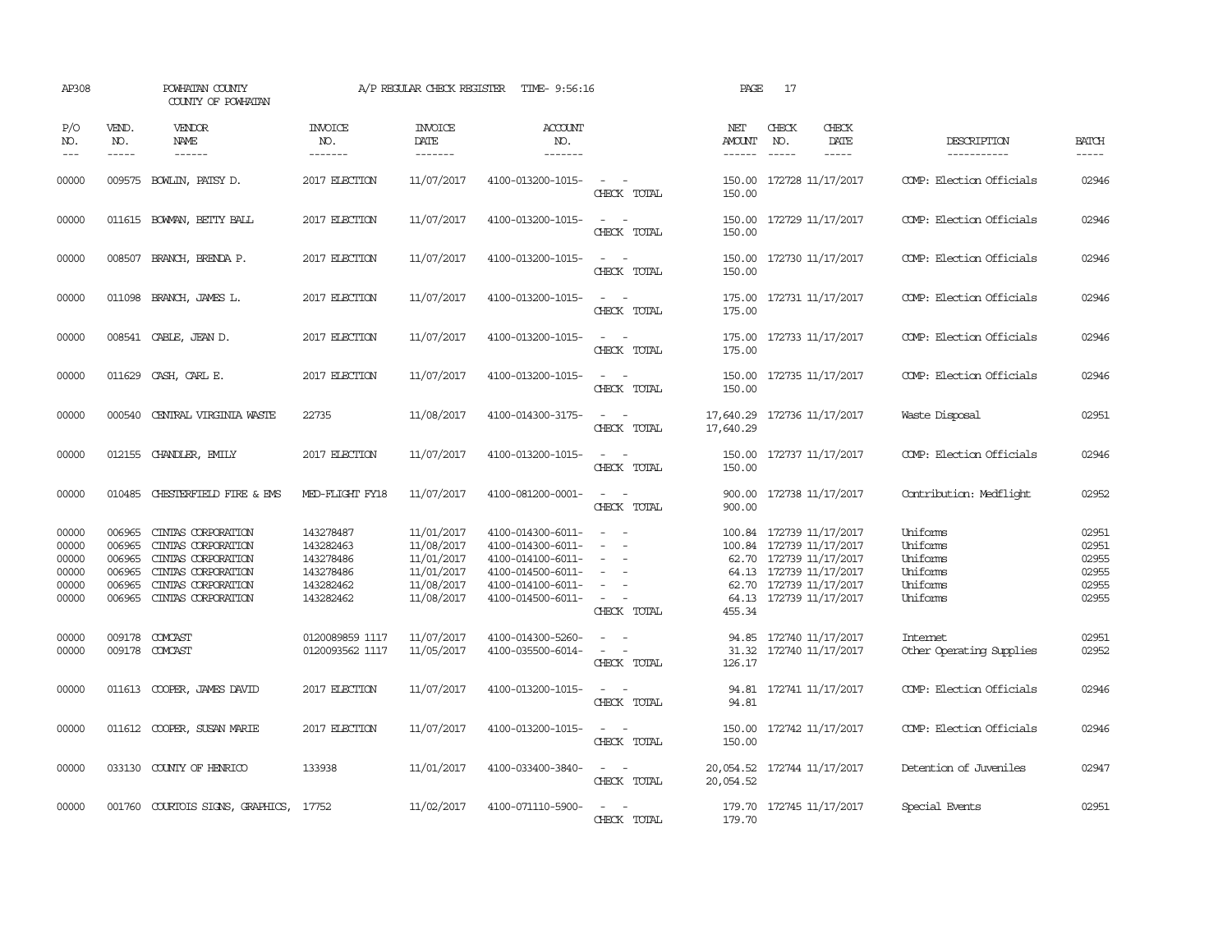| AP308                                              |                                                          | POWHATAN COUNTY<br>COUNTY OF POWHATAN                                                                                            |                                                                            | A/P REGULAR CHECK REGISTER                                                       | TIME- 9:56:16                                                                                                              |                                                                                                                             | PAGE                                  | 17                            |                                                                                                                                                                  |                                                                      |                                                    |
|----------------------------------------------------|----------------------------------------------------------|----------------------------------------------------------------------------------------------------------------------------------|----------------------------------------------------------------------------|----------------------------------------------------------------------------------|----------------------------------------------------------------------------------------------------------------------------|-----------------------------------------------------------------------------------------------------------------------------|---------------------------------------|-------------------------------|------------------------------------------------------------------------------------------------------------------------------------------------------------------|----------------------------------------------------------------------|----------------------------------------------------|
| P/O<br>NO.<br>$---$                                | VEND.<br>NO.<br>$\frac{1}{2}$                            | VENDOR<br><b>NAME</b>                                                                                                            | INVOICE<br>NO.<br>-------                                                  | <b>INVOICE</b><br>DATE<br>-------                                                | ACCOUNT<br>NO.<br>-------                                                                                                  |                                                                                                                             | NET<br><b>AMOUNT</b><br>$- - - - - -$ | CHECK<br>NO.<br>$\frac{1}{2}$ | CHECK<br>DATE                                                                                                                                                    | DESCRIPTION<br>-----------                                           | <b>BATCH</b><br>$- - - - -$                        |
| 00000                                              |                                                          | 009575 BOWLIN, PATSY D.                                                                                                          | 2017 ELECTION                                                              | 11/07/2017                                                                       | 4100-013200-1015-                                                                                                          | CHECK TOTAL                                                                                                                 | 150.00<br>150.00                      |                               | 172728 11/17/2017                                                                                                                                                | COMP: Election Officials                                             | 02946                                              |
| 00000                                              |                                                          | 011615 BOWMAN, BETTY BALL                                                                                                        | 2017 ELECTION                                                              | 11/07/2017                                                                       | 4100-013200-1015-                                                                                                          | $\overline{\phantom{a}}$<br>CHECK TOTAL                                                                                     | 150.00<br>150.00                      |                               | 172729 11/17/2017                                                                                                                                                | COMP: Election Officials                                             | 02946                                              |
| 00000                                              | 008507                                                   | BRANCH, BRENDA P.                                                                                                                | 2017 ELECTION                                                              | 11/07/2017                                                                       | 4100-013200-1015-                                                                                                          | $\sim$<br>$\sim$<br>CHECK TOTAL                                                                                             | 150.00<br>150.00                      |                               | 172730 11/17/2017                                                                                                                                                | COMP: Election Officials                                             | 02946                                              |
| 00000                                              |                                                          | 011098 BRANCH, JAMES L.                                                                                                          | 2017 ELECTION                                                              | 11/07/2017                                                                       | 4100-013200-1015-                                                                                                          | $\sim$<br>CHECK TOTAL                                                                                                       | 175.00<br>175.00                      |                               | 172731 11/17/2017                                                                                                                                                | COMP: Election Officials                                             | 02946                                              |
| 00000                                              | 008541                                                   | CABLE, JEAN D.                                                                                                                   | 2017 ELECTION                                                              | 11/07/2017                                                                       | 4100-013200-1015-                                                                                                          | $\overline{\phantom{a}}$<br>CHECK TOTAL                                                                                     | 175.00<br>175.00                      |                               | 172733 11/17/2017                                                                                                                                                | COMP: Election Officials                                             | 02946                                              |
| 00000                                              | 011629                                                   | CASH, CARL E.                                                                                                                    | 2017 ELECTION                                                              | 11/07/2017                                                                       | 4100-013200-1015-                                                                                                          | $\sim$ 100 $\mu$<br>$\overline{\phantom{a}}$<br>CHECK TOTAL                                                                 | 150.00<br>150.00                      |                               | 172735 11/17/2017                                                                                                                                                | COMP: Election Officials                                             | 02946                                              |
| 00000                                              |                                                          | 000540 CENTRAL VIRGINIA WASTE                                                                                                    | 22735                                                                      | 11/08/2017                                                                       | 4100-014300-3175-                                                                                                          | $\sim$<br>$\sim$<br>CHECK TOTAL                                                                                             | 17,640.29                             |                               | 17,640.29 172736 11/17/2017                                                                                                                                      | Waste Disposal                                                       | 02951                                              |
| 00000                                              |                                                          | 012155 CHANDLER, EMILY                                                                                                           | 2017 ELECTION                                                              | 11/07/2017                                                                       | 4100-013200-1015-                                                                                                          | CHECK TOTAL                                                                                                                 | 150.00                                |                               | 150.00 172737 11/17/2017                                                                                                                                         | COMP: Election Officials                                             | 02946                                              |
| 00000                                              |                                                          | 010485 CHESTERFIELD FIRE & EMS                                                                                                   | MED-FLIGHT FY18                                                            | 11/07/2017                                                                       | 4100-081200-0001-                                                                                                          | $\sim$<br>$\overline{\phantom{a}}$<br>CHECK TOTAL                                                                           | 900.00                                |                               | 900.00 172738 11/17/2017                                                                                                                                         | Contribution: Medflight                                              | 02952                                              |
| 00000<br>00000<br>00000<br>00000<br>00000<br>00000 | 006965<br>006965<br>006965<br>006965<br>006965<br>006965 | CINIAS CORPORATION<br>CINTAS CORPORATION<br>CINIAS CORPORATION<br>CINIAS CORPORATION<br>CINIAS CORPORATION<br>CINTAS CORPORATION | 143278487<br>143282463<br>143278486<br>143278486<br>143282462<br>143282462 | 11/01/2017<br>11/08/2017<br>11/01/2017<br>11/01/2017<br>11/08/2017<br>11/08/2017 | 4100-014300-6011-<br>4100-014300-6011-<br>4100-014100-6011-<br>4100-014500-6011-<br>4100-014100-6011-<br>4100-014500-6011- | $\overline{\phantom{a}}$<br>$\sim$<br>$\equiv$<br>$\overline{\phantom{a}}$<br>$\equiv$<br>CHECK TOTAL                       | 455.34                                |                               | 100.84 172739 11/17/2017<br>100.84 172739 11/17/2017<br>62.70 172739 11/17/2017<br>64.13 172739 11/17/2017<br>62.70 172739 11/17/2017<br>64.13 172739 11/17/2017 | Uniforms<br>Uniforms<br>Uniforms<br>Uniforms<br>Uniforms<br>Uniforms | 02951<br>02951<br>02955<br>02955<br>02955<br>02955 |
| 00000<br>00000                                     |                                                          | 009178 COMCAST<br>009178 COMCAST                                                                                                 | 0120089859 1117<br>0120093562 1117                                         | 11/07/2017<br>11/05/2017                                                         | 4100-014300-5260-<br>4100-035500-6014-                                                                                     | $\frac{1}{2} \left( \frac{1}{2} \right) \left( \frac{1}{2} \right) = \frac{1}{2} \left( \frac{1}{2} \right)$<br>CHECK TOTAL | 126.17                                |                               | 94.85 172740 11/17/2017<br>31.32 172740 11/17/2017                                                                                                               | <b>Intemet</b><br>Other Operating Supplies                           | 02951<br>02952                                     |
| 00000                                              |                                                          | 011613 COOPER, JAMES DAVID                                                                                                       | 2017 ELECTION                                                              | 11/07/2017                                                                       | 4100-013200-1015-                                                                                                          | $\frac{1}{2} \left( \frac{1}{2} \right) \left( \frac{1}{2} \right) = \frac{1}{2} \left( \frac{1}{2} \right)$<br>CHECK TOTAL | 94.81                                 |                               | 94.81 172741 11/17/2017                                                                                                                                          | COMP: Election Officials                                             | 02946                                              |
| 00000                                              |                                                          | 011612 COOPER, SUSAN MARIE                                                                                                       | 2017 ELECTION                                                              | 11/07/2017                                                                       | 4100-013200-1015-                                                                                                          | $\sim$<br>$\overline{\phantom{a}}$<br>CHECK TOTAL                                                                           | 150.00<br>150.00                      |                               | 172742 11/17/2017                                                                                                                                                | COMP: Election Officials                                             | 02946                                              |
| 00000                                              |                                                          | 033130 COUNTY OF HENRICO                                                                                                         | 133938                                                                     | 11/01/2017                                                                       | 4100-033400-3840-                                                                                                          | $\sim$<br>$\sim$<br>CHECK TOTAL                                                                                             | 20,054.52                             |                               | 20,054.52 172744 11/17/2017                                                                                                                                      | Detention of Juveniles                                               | 02947                                              |
| 00000                                              |                                                          | 001760 COURTOIS SIGNS, GRAPHICS,                                                                                                 | 17752                                                                      | 11/02/2017                                                                       | 4100-071110-5900-                                                                                                          | CHECK TOTAL                                                                                                                 | 179.70                                |                               | 179.70 172745 11/17/2017                                                                                                                                         | Special Events                                                       | 02951                                              |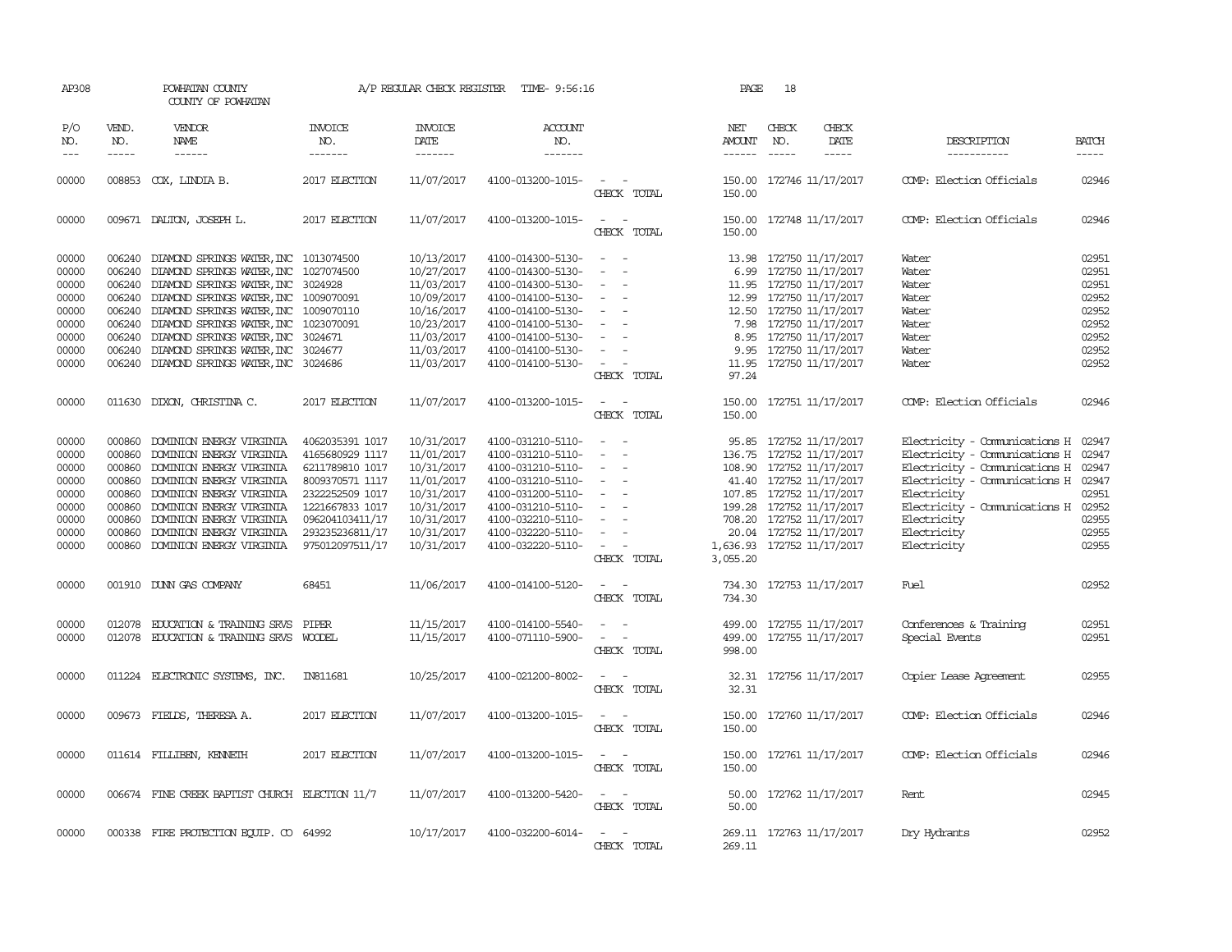| AP308                   |                             | POWHATAN COUNTY<br>COUNTY OF POWHATAN                                                                                                     |                                    | A/P REGULAR CHECK REGISTER                | TIME- 9:56:16                                               |                                                                     | PAGE                           | 18                            |                                                                       |                                                                |                         |
|-------------------------|-----------------------------|-------------------------------------------------------------------------------------------------------------------------------------------|------------------------------------|-------------------------------------------|-------------------------------------------------------------|---------------------------------------------------------------------|--------------------------------|-------------------------------|-----------------------------------------------------------------------|----------------------------------------------------------------|-------------------------|
| P/O<br>NO.<br>$---$     | VEND.<br>NO.<br>$- - - - -$ | VENDOR<br>NAME<br>$- - - - - -$                                                                                                           | <b>INVOICE</b><br>NO.<br>-------   | <b>INVOICE</b><br>DATE<br>$- - - - - - -$ | <b>ACCOUNT</b><br>NO.<br>-------                            |                                                                     | NET<br>AMOUNT<br>$- - - - - -$ | CHECK<br>NO.<br>$\frac{1}{2}$ | CHECK<br>DATE<br>$- - - - -$                                          | DESCRIPTION<br>-----------                                     | <b>BATCH</b><br>-----   |
|                         |                             |                                                                                                                                           |                                    |                                           |                                                             |                                                                     |                                |                               |                                                                       |                                                                |                         |
| 00000                   |                             | 008853 COX, LINDIA B.                                                                                                                     | 2017 ELECTION                      | 11/07/2017                                | 4100-013200-1015-                                           | $\overline{\phantom{a}}$<br>CHECK TOTAL                             | 150.00<br>150.00               |                               | 172746 11/17/2017                                                     | COMP: Election Officials                                       | 02946                   |
| 00000                   |                             | 009671 DALTON, JOSEPH L.                                                                                                                  | 2017 ELECTION                      | 11/07/2017                                | 4100-013200-1015-                                           | $\overline{\phantom{a}}$<br>CHECK TOTAL                             | 150.00<br>150.00               |                               | 172748 11/17/2017                                                     | COMP: Election Officials                                       | 02946                   |
| 00000<br>00000<br>00000 |                             | 006240 DIAMOND SPRINGS WATER, INC 1013074500<br>006240 DIAMOND SPRINGS WATER, INC 1027074500<br>006240 DIAMOND SPRINGS WATER, INC 3024928 |                                    | 10/13/2017<br>10/27/2017<br>11/03/2017    | 4100-014300-5130-<br>4100-014300-5130-<br>4100-014300-5130- | $\equiv$<br>$\overline{\phantom{0}}$<br>$\sim$                      | 6.99<br>11.95                  |                               | 13.98 172750 11/17/2017<br>172750 11/17/2017<br>172750 11/17/2017     | Water<br>Water<br>Water                                        | 02951<br>02951<br>02951 |
| 00000<br>00000          |                             | 006240 DIAMOND SPRINGS WATER, INC 1009070091<br>006240 DIAMOND SPRINGS WATER, INC 1009070110                                              |                                    | 10/09/2017<br>10/16/2017                  | 4100-014100-5130-<br>4100-014100-5130-                      | $\sim$                                                              |                                |                               | 12.99 172750 11/17/2017<br>12.50 172750 11/17/2017                    | Water<br>Water                                                 | 02952<br>02952          |
| 00000<br>00000<br>00000 |                             | 006240 DIAMOND SPRINGS WATER, INC 1023070091<br>006240 DIAMOND SPRINGS WATER, INC<br>006240 DIAMOND SPRINGS WATER, INC                    | 3024671<br>3024677                 | 10/23/2017<br>11/03/2017<br>11/03/2017    | 4100-014100-5130-<br>4100-014100-5130-<br>4100-014100-5130- | $\overline{\phantom{a}}$                                            | 8.95                           |                               | 7.98 172750 11/17/2017<br>172750 11/17/2017<br>9.95 172750 11/17/2017 | Water<br>Water<br>Water                                        | 02952<br>02952<br>02952 |
| 00000                   |                             | 006240 DIAMOND SPRINGS WATER, INC 3024686                                                                                                 |                                    | 11/03/2017                                | 4100-014100-5130-                                           | $\overline{\phantom{a}}$<br>CHECK TOTAL                             | 97.24                          |                               | 11.95 172750 11/17/2017                                               | Water                                                          | 02952                   |
| 00000                   |                             | 011630 DIXON, CHRISTINA C.                                                                                                                | 2017 ELECTION                      | 11/07/2017                                | 4100-013200-1015-                                           | $\sim$<br>$\sim$<br>CHECK TOTAL                                     | 150.00<br>150.00               |                               | 172751 11/17/2017                                                     | COMP: Election Officials                                       | 02946                   |
| 00000                   | 000860                      | DOMINION ENERGY VIRGINIA                                                                                                                  | 4062035391 1017                    | 10/31/2017                                | 4100-031210-5110-                                           |                                                                     |                                |                               | 95.85 172752 11/17/2017                                               | Electricity - Comunications H                                  | 02947                   |
| 00000<br>00000          | 000860                      | DOMINION ENERGY VIRGINIA<br>000860 DOMINION ENERGY VIRGINIA                                                                               | 4165680929 1117<br>6211789810 1017 | 11/01/2017<br>10/31/2017                  | 4100-031210-5110-<br>4100-031210-5110-                      | $\sim$                                                              |                                |                               | 136.75 172752 11/17/2017<br>108.90 172752 11/17/2017                  | Electricity - Comunications H<br>Electricity - Comunications H | 02947<br>02947          |
| 00000<br>00000          |                             | 000860 DOMINION ENERGY VIRGINIA<br>000860 DOMINION ENERGY VIRGINIA                                                                        | 8009370571 1117<br>2322252509 1017 | 11/01/2017<br>10/31/2017                  | 4100-031210-5110-<br>4100-031200-5110-                      |                                                                     | 41.40                          |                               | 172752 11/17/2017<br>107.85 172752 11/17/2017                         | Electricity - Comunications H<br>Electricity                   | 02947<br>02951          |
| 00000<br>00000          | 000860<br>000860            | DOMINION ENERGY VIRGINIA<br>DOMINION ENERGY VIRGINIA                                                                                      | 1221667833 1017<br>096204103411/17 | 10/31/2017<br>10/31/2017                  | 4100-031210-5110-<br>4100-032210-5110-                      | $\sim$                                                              |                                |                               | 199.28 172752 11/17/2017<br>708.20 172752 11/17/2017                  | Electricity - Comunications H<br>Electricity                   | 02952<br>02955          |
| 00000                   | 000860                      | DOMINION ENERGY VIRGINIA                                                                                                                  | 293235236811/17                    | 10/31/2017                                | 4100-032220-5110-                                           |                                                                     | 20.04                          |                               | 172752 11/17/2017                                                     | Electricity                                                    | 02955                   |
| 00000                   |                             | 000860 DOMINION ENERGY VIRGINIA                                                                                                           | 975012097511/17                    | 10/31/2017                                | 4100-032220-5110-                                           | CHECK TOTAL                                                         | 3,055.20                       |                               | 1,636.93 172752 11/17/2017                                            | Electricity                                                    | 02955                   |
| 00000                   |                             | 001910 DUNN GAS COMPANY                                                                                                                   | 68451                              | 11/06/2017                                | 4100-014100-5120-                                           | $\overline{\phantom{a}}$<br>$\overline{\phantom{a}}$<br>CHECK TOTAL | 734.30                         |                               | 734.30 172753 11/17/2017                                              | Fuel                                                           | 02952                   |
| 00000<br>00000          | 012078<br>012078            | <b>EDUCATION &amp; TRAINING SRVS</b><br><b>EDUCATION &amp; TRAINING SRVS</b>                                                              | PIPER<br>WOODEL                    | 11/15/2017<br>11/15/2017                  | 4100-014100-5540-<br>4100-071110-5900-                      | CHECK TOTAL                                                         | 499.00<br>499.00<br>998.00     |                               | 172755 11/17/2017<br>172755 11/17/2017                                | Conferences & Training<br>Special Events                       | 02951<br>02951          |
| 00000                   |                             | 011224 ELECTRONIC SYSTEMS, INC.                                                                                                           | <b>IN811681</b>                    | 10/25/2017                                | 4100-021200-8002-                                           | CHECK TOTAL                                                         | 32.31<br>32.31                 |                               | 172756 11/17/2017                                                     | Copier Lease Agreement                                         | 02955                   |
| 00000                   |                             | 009673 FIELDS, THERESA A.                                                                                                                 | 2017 ELECTION                      | 11/07/2017                                | 4100-013200-1015-                                           | CHECK TOTAL                                                         | 150.00<br>150.00               |                               | 172760 11/17/2017                                                     | COMP: Election Officials                                       | 02946                   |
| 00000                   |                             | 011614 FILLIBEN, KENNETH                                                                                                                  | 2017 ELECTION                      | 11/07/2017                                | 4100-013200-1015-                                           | $\sim$<br>CHECK TOTAL                                               | 150.00                         |                               | 150.00 172761 11/17/2017                                              | COMP: Election Officials                                       | 02946                   |
| 00000                   |                             | 006674 FINE CREEK BAPTIST CHURCH ELECTION 11/7                                                                                            |                                    | 11/07/2017                                | 4100-013200-5420-                                           | $\overline{\phantom{a}}$<br>CHECK TOTAL                             | 50.00<br>50.00                 |                               | 172762 11/17/2017                                                     | Rent                                                           | 02945                   |
| 00000                   |                             | 000338 FIRE PROTECTION EQUIP. CO 64992                                                                                                    |                                    | 10/17/2017                                | 4100-032200-6014-                                           | $\overline{\phantom{a}}$<br>CHECK TOTAL                             | 269.11                         |                               | 269.11 172763 11/17/2017                                              | Dry Hydrants                                                   | 02952                   |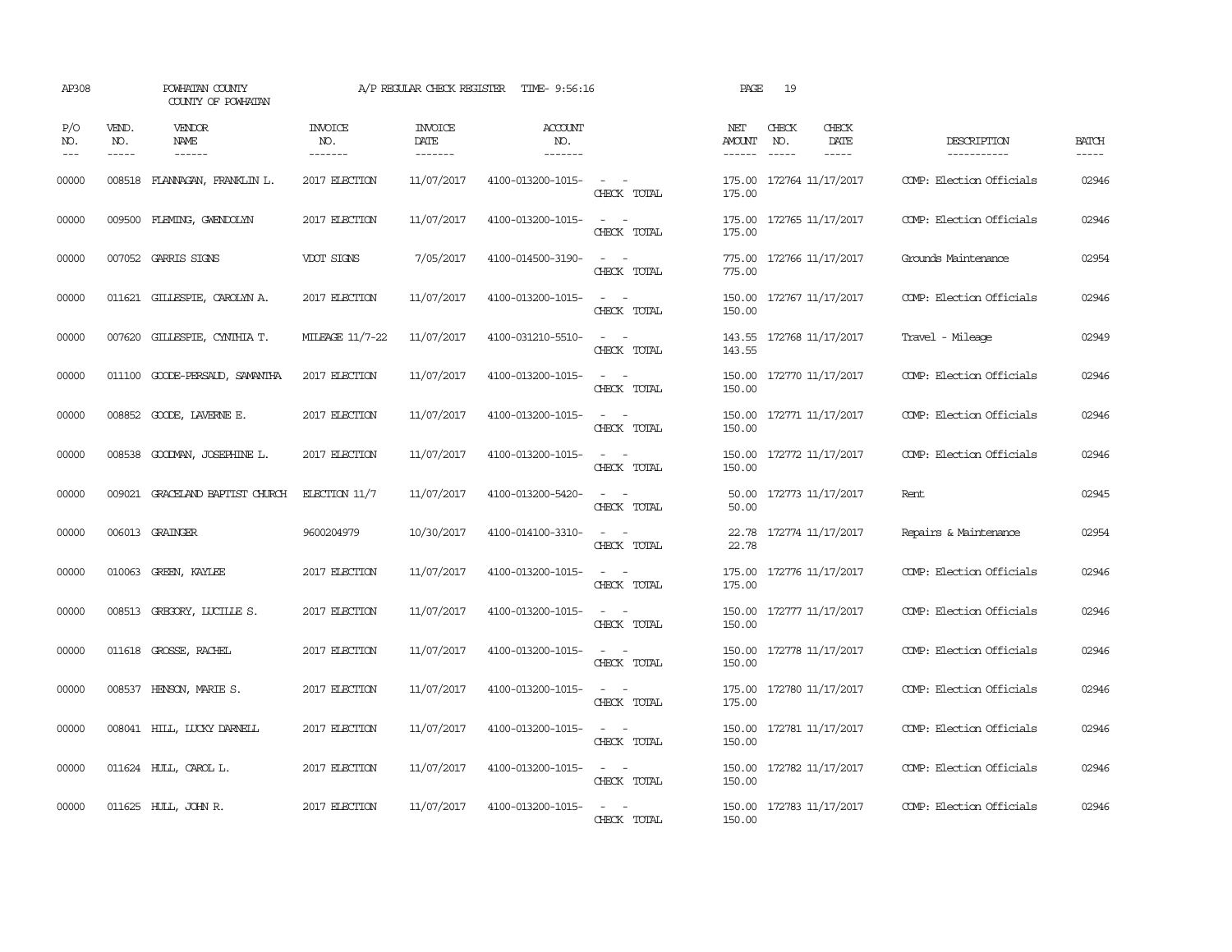| AP308              |                               | POWHATAN COUNTY<br>COUNTY OF POWHATAN |                            | A/P REGULAR CHECK REGISTER        | TIME- 9:56:16                    |                                                                                                                             | PAGE                           | 19           |                           |                            |                       |
|--------------------|-------------------------------|---------------------------------------|----------------------------|-----------------------------------|----------------------------------|-----------------------------------------------------------------------------------------------------------------------------|--------------------------------|--------------|---------------------------|----------------------------|-----------------------|
| P/O<br>NO.<br>$ -$ | VEND.<br>NO.<br>$\frac{1}{2}$ | VENDOR<br>NAME<br>------              | INVOICE<br>NO.<br>-------- | <b>INVOICE</b><br>DATE<br>------- | <b>ACCOUNT</b><br>NO.<br>------- |                                                                                                                             | NET<br>AMOUNT<br>$- - - - - -$ | CHECK<br>NO. | CHECK<br>DATE<br>$\cdots$ | DESCRIPTION<br>----------- | <b>BATCH</b><br>----- |
| 00000              | 008518                        | FLANAGAN, FRANKLIN L.                 | 2017 ELECTION              | 11/07/2017                        | 4100-013200-1015-                | $\frac{1}{2} \left( \frac{1}{2} \right) \left( \frac{1}{2} \right) = \frac{1}{2} \left( \frac{1}{2} \right)$<br>CHECK TOTAL | 175.00<br>175.00               |              | 172764 11/17/2017         | COMP: Election Officials   | 02946                 |
| 00000              | 009500                        | FLEMING, GWENDOLYN                    | 2017 ELECTION              | 11/07/2017                        | 4100-013200-1015-                | $\sim$ $\sim$<br>CHECK TOTAL                                                                                                | 175.00<br>175.00               |              | 172765 11/17/2017         | COMP: Election Officials   | 02946                 |
| 00000              |                               | 007052 GARRIS SIGNS                   | VDOT SIGNS                 | 7/05/2017                         | 4100-014500-3190-                | $\sim$ 100 $\sim$<br>CHECK TOTAL                                                                                            | 775.00<br>775.00               |              | 172766 11/17/2017         | Grounds Maintenance        | 02954                 |
| 00000              |                               | 011621 GILLESPIE, CAROLYN A.          | 2017 ELECTION              | 11/07/2017                        | 4100-013200-1015-                | $\sim$ $\sim$<br>CHECK TOTAL                                                                                                | 150.00                         |              | 150.00 172767 11/17/2017  | COMP: Election Officials   | 02946                 |
| 00000              |                               | 007620 GILLESPIE, CYNTHIA T.          | MILEAGE 11/7-22            | 11/07/2017                        | 4100-031210-5510-                | $\omega_{\rm{max}}$ and $\omega_{\rm{max}}$<br>CHECK TOTAL                                                                  | 143.55                         |              | 143.55 172768 11/17/2017  | Travel - Mileage           | 02949                 |
| 00000              |                               | 011100 GOODE-PERSAUD, SAMANTHA        | 2017 ELECTION              | 11/07/2017                        | 4100-013200-1015-                | $\omega_{\rm{max}}$ and $\omega_{\rm{max}}$<br>CHECK TOTAL                                                                  | 150.00                         |              | 150.00 172770 11/17/2017  | COMP: Election Officials   | 02946                 |
| 00000              |                               | 008852 GOODE, LAVERNE E.              | 2017 ELECTION              | 11/07/2017                        | 4100-013200-1015-                | $\sim$ $ \sim$<br>CHECK TOTAL                                                                                               | 150.00                         |              | 150.00 172771 11/17/2017  | COMP: Election Officials   | 02946                 |
| 00000              |                               | 008538 GOODMAN, JOSEPHINE L.          | 2017 ELECTION              | 11/07/2017                        | 4100-013200-1015-                | $\sim$ $\sim$<br>CHECK TOTAL                                                                                                | 150.00                         |              | 150.00 172772 11/17/2017  | COMP: Election Officials   | 02946                 |
| 00000              |                               | 009021 GRACELAND BAPTIST CHURCH       | ELECTION 11/7              | 11/07/2017                        | 4100-013200-5420-                | $\sim$ $  -$<br>CHECK TOTAL                                                                                                 | 50.00<br>50.00                 |              | 172773 11/17/2017         | Rent                       | 02945                 |
| 00000              |                               | 006013 GRAINGER                       | 9600204979                 | 10/30/2017                        | 4100-014100-3310-                | $\frac{1}{2} \left( \frac{1}{2} \right) \left( \frac{1}{2} \right) = \frac{1}{2} \left( \frac{1}{2} \right)$<br>CHECK TOTAL | 22.78                          |              | 22.78 172774 11/17/2017   | Repairs & Maintenance      | 02954                 |
| 00000              |                               | 010063 GREEN, KAYLEE                  | 2017 ELECTION              | 11/07/2017                        | 4100-013200-1015-                | $\frac{1}{2} \left( \frac{1}{2} \right) \left( \frac{1}{2} \right) = \frac{1}{2} \left( \frac{1}{2} \right)$<br>CHECK TOTAL | 175.00<br>175.00               |              | 172776 11/17/2017         | COMP: Election Officials   | 02946                 |
| 00000              |                               | 008513 GREGORY, LUCILLE S.            | 2017 ELECTION              | 11/07/2017                        | 4100-013200-1015-                | $\sim$<br>$\sim$<br>CHECK TOTAL                                                                                             | 150.00<br>150.00               |              | 172777 11/17/2017         | COMP: Election Officials   | 02946                 |
| 00000              |                               | 011618 GROSSE, RACHEL                 | 2017 ELECTION              | 11/07/2017                        | 4100-013200-1015-                | $\sim$ $  -$<br>CHECK TOTAL                                                                                                 | 150.00<br>150.00               |              | 172778 11/17/2017         | COMP: Election Officials   | 02946                 |
| 00000              |                               | 008537 HENSON, MARIE S.               | 2017 ELECTION              | 11/07/2017                        | 4100-013200-1015-                | $\sim$ $ \sim$<br>CHECK TOTAL                                                                                               | 175.00<br>175.00               |              | 172780 11/17/2017         | COMP: Election Officials   | 02946                 |
| 00000              |                               | 008041 HILL, LUCKY DARNELL            | 2017 ELECTION              | 11/07/2017                        | 4100-013200-1015-                | $\sim$ $ -$<br>CHECK TOTAL                                                                                                  | 150.00<br>150.00               |              | 172781 11/17/2017         | COMP: Election Officials   | 02946                 |
| 00000              |                               | 011624 HULL, CAROL L.                 | 2017 ELECTION              | 11/07/2017                        | 4100-013200-1015-                | $\sim$ $ \sim$<br>CHECK TOTAL                                                                                               | 150.00                         |              | 150.00 172782 11/17/2017  | COMP: Election Officials   | 02946                 |
| 00000              |                               | 011625 HULL, JOHN R.                  | 2017 ELECTION              | 11/07/2017                        | 4100-013200-1015-                | $\sim$ $ \sim$<br>CHECK TOTAL                                                                                               | 150.00                         |              | 150.00 172783 11/17/2017  | COMP: Election Officials   | 02946                 |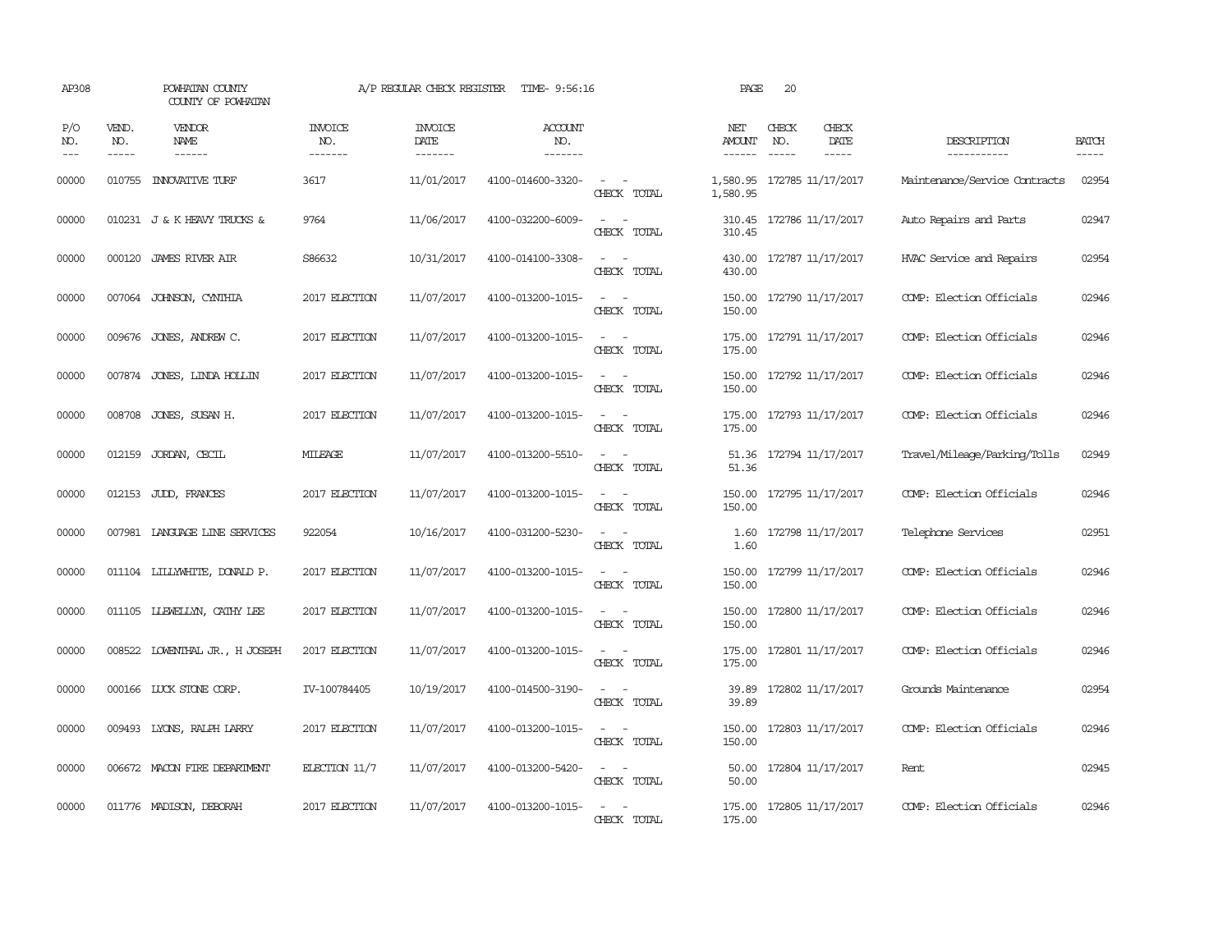| AP308                 |                               | POWHATAN COUNTY<br>COUNTY OF POWHATAN |                           | A/P REGULAR CHECK REGISTER        | TIME- 9:56:16                    |                                                                                                                             | PAGE                 | 20           |                              |                               |                             |
|-----------------------|-------------------------------|---------------------------------------|---------------------------|-----------------------------------|----------------------------------|-----------------------------------------------------------------------------------------------------------------------------|----------------------|--------------|------------------------------|-------------------------------|-----------------------------|
| P/O<br>NO.<br>$- - -$ | VEND.<br>NO.<br>$\frac{1}{2}$ | VENDOR<br><b>NAME</b>                 | INVOICE<br>NO.<br>------- | <b>INVOICE</b><br>DATE<br>------- | <b>ACCOUNT</b><br>NO.<br>------- |                                                                                                                             | NET<br>AMOUNT        | CHECK<br>NO. | CHECK<br>DATE<br>$- - - - -$ | DESCRIPTION<br>-----------    | <b>BATCH</b><br>$- - - - -$ |
| 00000                 | 010755                        | <b>INOVATIVE TURF</b>                 | 3617                      | 11/01/2017                        | 4100-014600-3320-                | $\overline{\phantom{a}}$<br>CHECK TOTAL                                                                                     | 1,580.95<br>1,580.95 |              | 172785 11/17/2017            | Maintenance/Service Contracts | 02954                       |
| 00000                 |                               | 010231 J & K HEAVY TRUCKS &           | 9764                      | 11/06/2017                        | 4100-032200-6009-                | $\sim$<br>$\sim$<br>CHECK TOTAL                                                                                             | 310.45<br>310.45     |              | 172786 11/17/2017            | Auto Repairs and Parts        | 02947                       |
| 00000                 |                               | 000120 JAMES RIVER AIR                | S86632                    | 10/31/2017                        | 4100-014100-3308-                | $\sim$<br>$\sim$<br>CHECK TOTAL                                                                                             | 430.00<br>430.00     |              | 172787 11/17/2017            | HVAC Service and Repairs      | 02954                       |
| 00000                 |                               | 007064 JOHNSON, CYNTHIA               | 2017 ELECTION             | 11/07/2017                        | 4100-013200-1015-                | $\sim$ $\sim$<br>CHECK TOTAL                                                                                                | 150.00               |              | 150.00 172790 11/17/2017     | COMP: Election Officials      | 02946                       |
| 00000                 |                               | 009676 JONES, ANDREW C.               | 2017 ELECTION             | 11/07/2017                        | 4100-013200-1015-                | $ -$<br>CHECK TOTAL                                                                                                         | 175.00               |              | 175.00 172791 11/17/2017     | COMP: Election Officials      | 02946                       |
| 00000                 |                               | 007874 JONES, LINDA HOLLIN            | 2017 ELECTION             | 11/07/2017                        | 4100-013200-1015-                | $\overline{\phantom{a}}$<br>$\sim$<br>CHECK TOTAL                                                                           | 150.00<br>150.00     |              | 172792 11/17/2017            | COMP: Election Officials      | 02946                       |
| 00000                 |                               | 008708 JONES, SUSAN H.                | 2017 ELECTION             | 11/07/2017                        | 4100-013200-1015-                | $\sim$ $\sim$<br>CHECK TOTAL                                                                                                | 175.00<br>175.00     |              | 172793 11/17/2017            | COMP: Election Officials      | 02946                       |
| 00000                 |                               | 012159 JORDAN, CECIL                  | <b>MILEAGE</b>            | 11/07/2017                        | 4100-013200-5510-                | $ -$<br>CHECK TOTAL                                                                                                         | 51.36                |              | 51.36 172794 11/17/2017      | Travel/Mileage/Parking/Tolls  | 02949                       |
| 00000                 |                               | 012153 JUDD, FRANCES                  | 2017 ELECTION             | 11/07/2017                        | 4100-013200-1015-                | $\sim$ $ -$<br>CHECK TOTAL                                                                                                  | 150.00<br>150.00     |              | 172795 11/17/2017            | COMP: Election Officials      | 02946                       |
| 00000                 |                               | 007981 LANGUAGE LINE SERVICES         | 922054                    | 10/16/2017                        | 4100-031200-5230-                | $ -$<br>CHECK TOTAL                                                                                                         | 1.60<br>1.60         |              | 172798 11/17/2017            | Telephone Services            | 02951                       |
| 00000                 |                               | 011104 LILLYWHITE, DONALD P.          | 2017 ELECTION             | 11/07/2017                        | 4100-013200-1015-                | $\sim$<br>CHECK TOTAL                                                                                                       | 150.00<br>150.00     |              | 172799 11/17/2017            | COMP: Election Officials      | 02946                       |
| 00000                 |                               | 011105 LIEWELLYN, CATHY LEE           | 2017 ELECTION             | 11/07/2017                        | 4100-013200-1015-                | $\overline{\phantom{a}}$<br>$\sim$<br>CHECK TOTAL                                                                           | 150.00<br>150.00     |              | 172800 11/17/2017            | COMP: Election Officials      | 02946                       |
| 00000                 |                               | 008522 LOWENTHAL JR., H JOSEPH        | 2017 ELECTION             | 11/07/2017                        | 4100-013200-1015-                | $\sim$ $ -$<br>CHECK TOTAL                                                                                                  | 175.00<br>175.00     |              | 172801 11/17/2017            | COMP: Election Officials      | 02946                       |
| 00000                 |                               | 000166 LUCK STONE CORP.               | IV-100784405              | 10/19/2017                        | 4100-014500-3190-                | $\sim$<br>$\sim$<br>CHECK TOTAL                                                                                             | 39.89<br>39.89       |              | 172802 11/17/2017            | Grounds Maintenance           | 02954                       |
| 00000                 |                               | 009493 LYONS, RALPH LARRY             | 2017 ELECTION             | 11/07/2017                        | 4100-013200-1015-                | $\frac{1}{2} \left( \frac{1}{2} \right) \left( \frac{1}{2} \right) = \frac{1}{2} \left( \frac{1}{2} \right)$<br>CHECK TOTAL | 150.00<br>150.00     |              | 172803 11/17/2017            | COMP: Election Officials      | 02946                       |
| 00000                 |                               | 006672 MACON FIRE DEPARTMENT          | ELECTION $11/7$           | 11/07/2017                        | 4100-013200-5420-                | $ -$<br>CHECK TOTAL                                                                                                         | 50.00<br>50.00       |              | 172804 11/17/2017            | Rent                          | 02945                       |
| 00000                 |                               | 011776 MADISON, DEBORAH               | 2017 ELECTION             | 11/07/2017                        | 4100-013200-1015-                | $\overline{\phantom{a}}$<br>CHECK TOTAL                                                                                     | 175.00<br>175.00     |              | 172805 11/17/2017            | COMP: Election Officials      | 02946                       |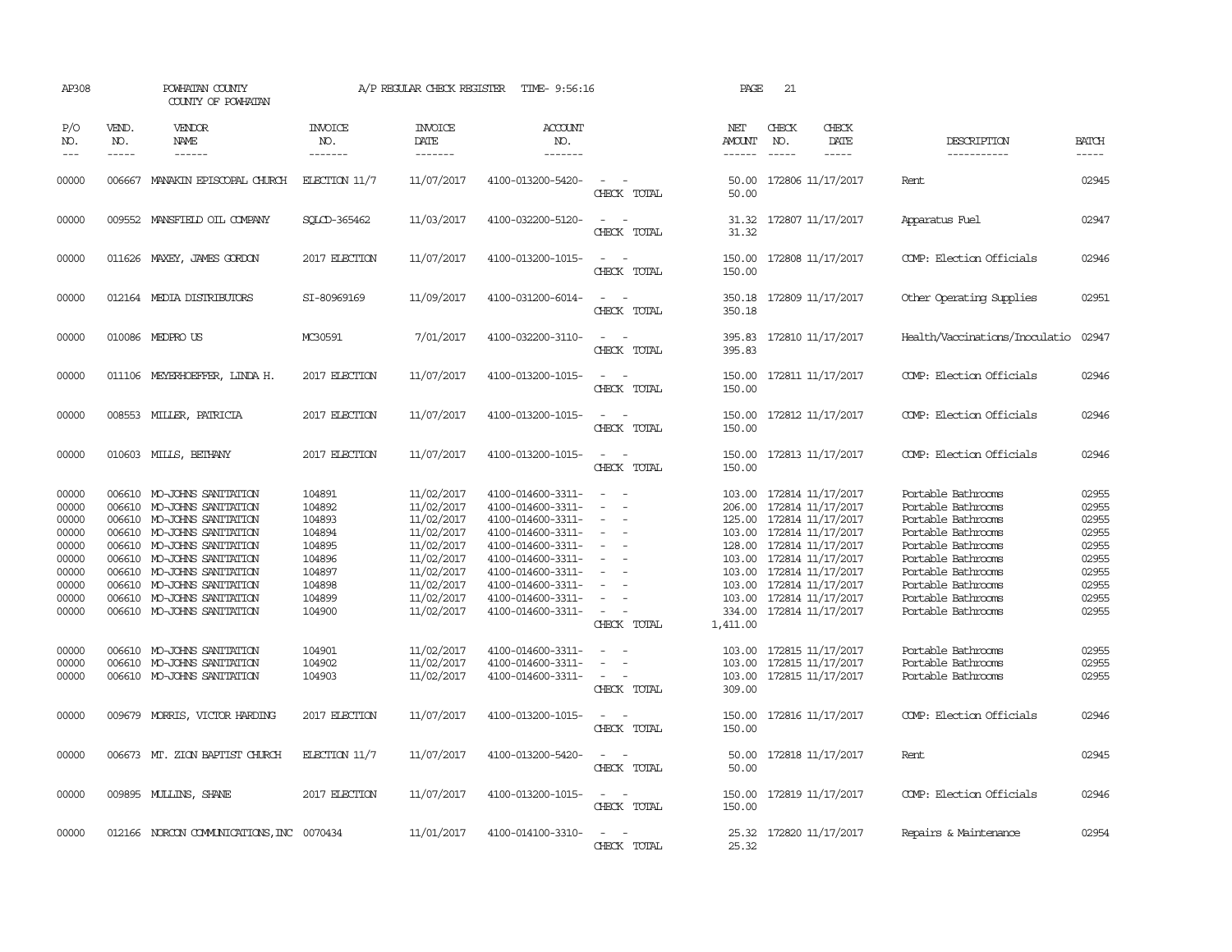| AP308                                                                                                                      |                             | POWHATAN COUNTY<br>COUNTY OF POWHATAN                                                                                                                                                                                                                                                                                                                                                                                        |                                                                                                                                                 | A/P REGULAR CHECK REGISTER                                                                                                                                                                       | TIME- 9:56:16                                                                                                                                                                                                                                                                                      |                                                                                                                                                               | PAGE                                                                                                                                       | 21           |                                                                                                                                                                                                                                                                                                                         |                                                                                                                                                                                                                                                                                                                        |                                                                                                                            |
|----------------------------------------------------------------------------------------------------------------------------|-----------------------------|------------------------------------------------------------------------------------------------------------------------------------------------------------------------------------------------------------------------------------------------------------------------------------------------------------------------------------------------------------------------------------------------------------------------------|-------------------------------------------------------------------------------------------------------------------------------------------------|--------------------------------------------------------------------------------------------------------------------------------------------------------------------------------------------------|----------------------------------------------------------------------------------------------------------------------------------------------------------------------------------------------------------------------------------------------------------------------------------------------------|---------------------------------------------------------------------------------------------------------------------------------------------------------------|--------------------------------------------------------------------------------------------------------------------------------------------|--------------|-------------------------------------------------------------------------------------------------------------------------------------------------------------------------------------------------------------------------------------------------------------------------------------------------------------------------|------------------------------------------------------------------------------------------------------------------------------------------------------------------------------------------------------------------------------------------------------------------------------------------------------------------------|----------------------------------------------------------------------------------------------------------------------------|
| P/O<br>NO.<br>$---$                                                                                                        | VEND.<br>NO.<br>$- - - - -$ | VENDOR<br><b>NAME</b><br>$- - - - - -$                                                                                                                                                                                                                                                                                                                                                                                       | <b>INVOICE</b><br>NO.<br>-------                                                                                                                | <b>INVOICE</b><br><b>DATE</b><br>-------                                                                                                                                                         | ACCOUNT<br>NO.<br>-------                                                                                                                                                                                                                                                                          |                                                                                                                                                               | NET<br>AMOUNT<br>$- - - - - -$                                                                                                             | CHECK<br>NO. | CHECK<br>DATE<br>$- - - - -$                                                                                                                                                                                                                                                                                            | DESCRIPTION<br>-----------                                                                                                                                                                                                                                                                                             | <b>BATCH</b><br>-----                                                                                                      |
| 00000                                                                                                                      |                             | 006667 MANAKIN EPISCOPAL CHURCH                                                                                                                                                                                                                                                                                                                                                                                              | $EECTION$ 11/7                                                                                                                                  | 11/07/2017                                                                                                                                                                                       | 4100-013200-5420-                                                                                                                                                                                                                                                                                  | CHECK TOTAL                                                                                                                                                   | 50.00                                                                                                                                      |              | 50.00 172806 11/17/2017                                                                                                                                                                                                                                                                                                 | Rent.                                                                                                                                                                                                                                                                                                                  | 02945                                                                                                                      |
| 00000                                                                                                                      |                             | 009552 MANSFIELD OIL COMPANY                                                                                                                                                                                                                                                                                                                                                                                                 | SOLCD-365462                                                                                                                                    | 11/03/2017                                                                                                                                                                                       | 4100-032200-5120-                                                                                                                                                                                                                                                                                  | CHECK TOTAL                                                                                                                                                   | 31.32<br>31.32                                                                                                                             |              | 172807 11/17/2017                                                                                                                                                                                                                                                                                                       | Apparatus Fuel                                                                                                                                                                                                                                                                                                         | 02947                                                                                                                      |
| 00000                                                                                                                      |                             | 011626 MAXEY, JAMES GORDON                                                                                                                                                                                                                                                                                                                                                                                                   | 2017 ELECTION                                                                                                                                   | 11/07/2017                                                                                                                                                                                       | 4100-013200-1015-                                                                                                                                                                                                                                                                                  | $\overline{\phantom{0}}$<br>CHECK TOTAL                                                                                                                       | 150.00<br>150.00                                                                                                                           |              | 172808 11/17/2017                                                                                                                                                                                                                                                                                                       | COMP: Election Officials                                                                                                                                                                                                                                                                                               | 02946                                                                                                                      |
| 00000                                                                                                                      |                             | 012164 MEDIA DISTRIBUTORS                                                                                                                                                                                                                                                                                                                                                                                                    | SI-80969169                                                                                                                                     | 11/09/2017                                                                                                                                                                                       | 4100-031200-6014-                                                                                                                                                                                                                                                                                  | $\overline{\phantom{a}}$<br>CHECK TOTAL                                                                                                                       | 350.18<br>350.18                                                                                                                           |              | 172809 11/17/2017                                                                                                                                                                                                                                                                                                       | Other Operating Supplies                                                                                                                                                                                                                                                                                               | 02951                                                                                                                      |
| 00000                                                                                                                      |                             | 010086 MEDPROUS                                                                                                                                                                                                                                                                                                                                                                                                              | MC30591                                                                                                                                         | 7/01/2017                                                                                                                                                                                        | 4100-032200-3110-                                                                                                                                                                                                                                                                                  | $\equiv$<br>CHECK TOTAL                                                                                                                                       | 395.83<br>395.83                                                                                                                           |              | 172810 11/17/2017                                                                                                                                                                                                                                                                                                       | Health/Vaccinations/Inoculatio                                                                                                                                                                                                                                                                                         | 02947                                                                                                                      |
| 00000                                                                                                                      |                             | 011106 MEYERHOEFFER, LINDA H.                                                                                                                                                                                                                                                                                                                                                                                                | 2017 ELECTION                                                                                                                                   | 11/07/2017                                                                                                                                                                                       | 4100-013200-1015-                                                                                                                                                                                                                                                                                  | $\overline{\phantom{a}}$<br>$\overline{\phantom{a}}$<br>CHECK TOTAL                                                                                           | 150.00<br>150.00                                                                                                                           |              | 172811 11/17/2017                                                                                                                                                                                                                                                                                                       | COMP: Election Officials                                                                                                                                                                                                                                                                                               | 02946                                                                                                                      |
| 00000                                                                                                                      | 008553                      | MILLER, PATRICIA                                                                                                                                                                                                                                                                                                                                                                                                             | 2017 ELECTION                                                                                                                                   | 11/07/2017                                                                                                                                                                                       | 4100-013200-1015-                                                                                                                                                                                                                                                                                  | CHECK TOTAL                                                                                                                                                   | 150.00<br>150.00                                                                                                                           |              | 172812 11/17/2017                                                                                                                                                                                                                                                                                                       | COMP: Election Officials                                                                                                                                                                                                                                                                                               | 02946                                                                                                                      |
| 00000                                                                                                                      | 010603                      | MILLS, BETHANY                                                                                                                                                                                                                                                                                                                                                                                                               | 2017 ELECTION                                                                                                                                   | 11/07/2017                                                                                                                                                                                       | 4100-013200-1015-                                                                                                                                                                                                                                                                                  | CHECK TOTAL                                                                                                                                                   | 150.00<br>150.00                                                                                                                           |              | 172813 11/17/2017                                                                                                                                                                                                                                                                                                       | COMP: Election Officials                                                                                                                                                                                                                                                                                               | 02946                                                                                                                      |
| 00000<br>00000<br>00000<br>00000<br>00000<br>00000<br>00000<br>00000<br>00000<br>00000<br>00000<br>00000<br>00000<br>00000 | 006610                      | 006610 MO-JOHNS SANITATION<br>MO-JOHNS SANITATION<br>006610 MO-JOHNS SANITATION<br>006610 MO-JOHNS SANITATION<br>006610 MO-JOHNS SANITATION<br>006610 MO-JOHNS SANITATION<br>006610 MO-JOHNS SANITATION<br>006610 MO-JOHNS SANITATION<br>006610 MO-JOHNS SANITATION<br>006610 MO-JOHNS SANITATION<br>006610 MO-JOHNS SANITATION<br>006610 MO-JOHNS SANITATION<br>006610 MO-JOHNS SANITATION<br>009679 MORRIS, VICTOR HARDING | 104891<br>104892<br>104893<br>104894<br>104895<br>104896<br>104897<br>104898<br>104899<br>104900<br>104901<br>104902<br>104903<br>2017 ELECTION | 11/02/2017<br>11/02/2017<br>11/02/2017<br>11/02/2017<br>11/02/2017<br>11/02/2017<br>11/02/2017<br>11/02/2017<br>11/02/2017<br>11/02/2017<br>11/02/2017<br>11/02/2017<br>11/02/2017<br>11/07/2017 | 4100-014600-3311-<br>4100-014600-3311-<br>4100-014600-3311-<br>4100-014600-3311-<br>4100-014600-3311-<br>4100-014600-3311-<br>4100-014600-3311-<br>4100-014600-3311-<br>4100-014600-3311-<br>4100-014600-3311-<br>4100-014600-3311-<br>4100-014600-3311-<br>4100-014600-3311-<br>4100-013200-1015- | $\overline{\phantom{a}}$<br>$\overline{\phantom{a}}$<br>$\sim$<br>CHECK TOTAL<br>$\overline{\phantom{a}}$<br>CHECK TOTAL<br>$\equiv$<br>$\sim$<br>CHECK TOTAL | 103.00<br>206.00<br>128.00<br>103.00<br>103.00<br>103.00<br>334.00<br>1,411.00<br>103.00<br>103.00<br>103.00<br>309.00<br>150.00<br>150.00 |              | 172814 11/17/2017<br>172814 11/17/2017<br>125.00 172814 11/17/2017<br>103.00 172814 11/17/2017<br>172814 11/17/2017<br>172814 11/17/2017<br>172814 11/17/2017<br>103.00 172814 11/17/2017<br>172814 11/17/2017<br>172814 11/17/2017<br>172815 11/17/2017<br>172815 11/17/2017<br>172815 11/17/2017<br>172816 11/17/2017 | Portable Bathrooms<br>Portable Bathrooms<br>Portable Bathrooms<br>Portable Bathrooms<br>Portable Bathrooms<br>Portable Bathrooms<br>Portable Bathrooms<br>Portable Bathrooms<br>Portable Bathrooms<br>Portable Bathrooms<br>Portable Bathrooms<br>Portable Bathrooms<br>Portable Bathrooms<br>COMP: Election Officials | 02955<br>02955<br>02955<br>02955<br>02955<br>02955<br>02955<br>02955<br>02955<br>02955<br>02955<br>02955<br>02955<br>02946 |
| 00000                                                                                                                      |                             | 006673 MT. ZION BAPTIST CHURCH                                                                                                                                                                                                                                                                                                                                                                                               | ELECTION $11/7$                                                                                                                                 | 11/07/2017                                                                                                                                                                                       | 4100-013200-5420-                                                                                                                                                                                                                                                                                  | $\overline{\phantom{a}}$<br>CHECK TOTAL                                                                                                                       | 50.00<br>50.00                                                                                                                             |              | 172818 11/17/2017                                                                                                                                                                                                                                                                                                       | Rent                                                                                                                                                                                                                                                                                                                   | 02945                                                                                                                      |
| 00000                                                                                                                      |                             | 009895 MULLINS, SHANE                                                                                                                                                                                                                                                                                                                                                                                                        | 2017 ELECTION                                                                                                                                   | 11/07/2017                                                                                                                                                                                       | 4100-013200-1015-                                                                                                                                                                                                                                                                                  | $\equiv$<br>CHECK TOTAL                                                                                                                                       | 150.00<br>150.00                                                                                                                           |              | 172819 11/17/2017                                                                                                                                                                                                                                                                                                       | COMP: Election Officials                                                                                                                                                                                                                                                                                               | 02946                                                                                                                      |
| 00000                                                                                                                      |                             | 012166 NORCON COMMUNICATIONS, INC 0070434                                                                                                                                                                                                                                                                                                                                                                                    |                                                                                                                                                 | 11/01/2017                                                                                                                                                                                       | 4100-014100-3310-                                                                                                                                                                                                                                                                                  | CHECK TOTAL                                                                                                                                                   | 25.32                                                                                                                                      |              | 25.32 172820 11/17/2017                                                                                                                                                                                                                                                                                                 | Repairs & Maintenance                                                                                                                                                                                                                                                                                                  | 02954                                                                                                                      |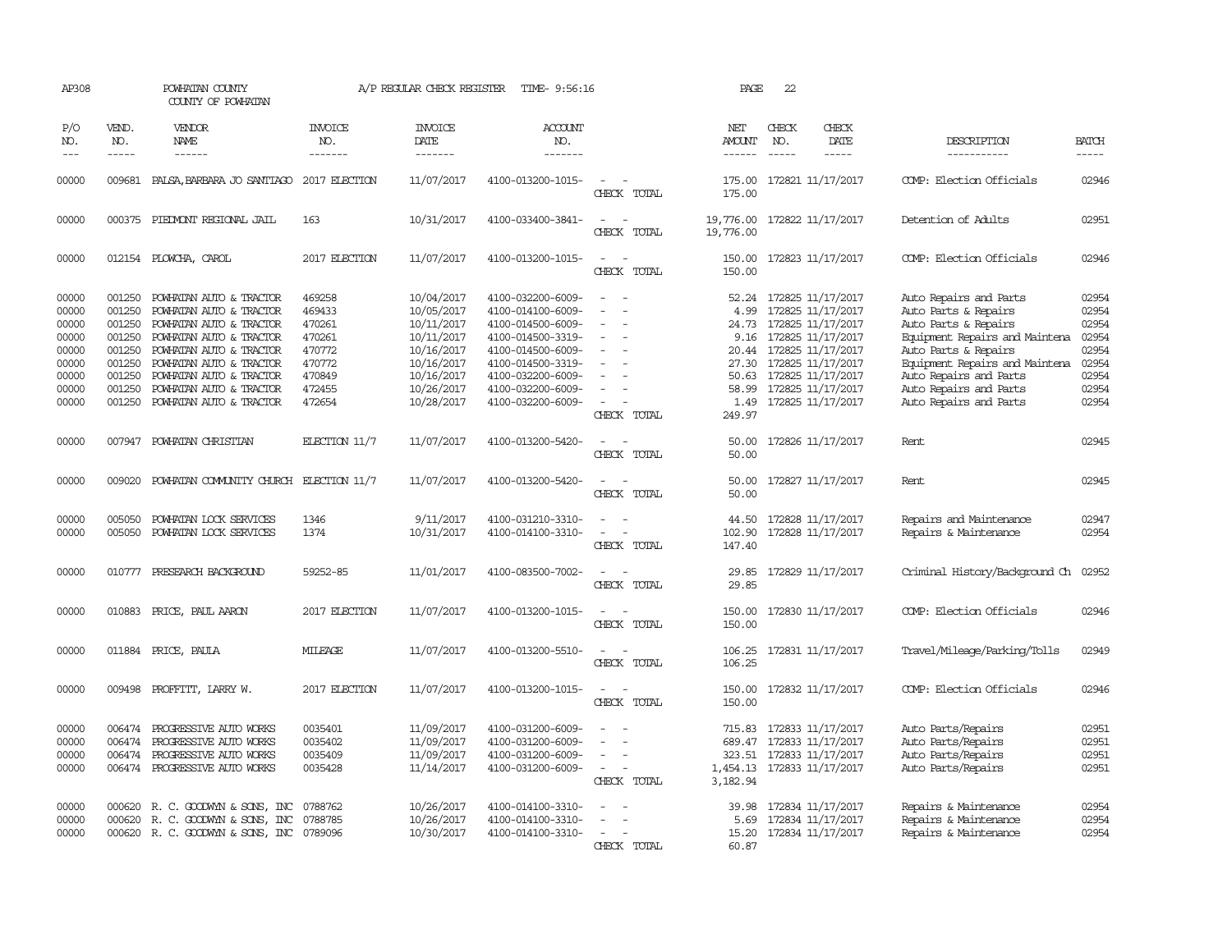| AP308                                                                         |                                                                                        | POWHATAN COUNTY<br>COUNTY OF POWHATAN                                                                                                                                                                                                           |                                                                                        | A/P REGULAR CHECK REGISTER                                                                                                 | TIME- 9:56:16                                                                                                                                                                             |                                                     | PAGE                                            | 22            |                                                                                                                                                                                                             |                                                                                                                                                                                                                                                  |                                                                               |
|-------------------------------------------------------------------------------|----------------------------------------------------------------------------------------|-------------------------------------------------------------------------------------------------------------------------------------------------------------------------------------------------------------------------------------------------|----------------------------------------------------------------------------------------|----------------------------------------------------------------------------------------------------------------------------|-------------------------------------------------------------------------------------------------------------------------------------------------------------------------------------------|-----------------------------------------------------|-------------------------------------------------|---------------|-------------------------------------------------------------------------------------------------------------------------------------------------------------------------------------------------------------|--------------------------------------------------------------------------------------------------------------------------------------------------------------------------------------------------------------------------------------------------|-------------------------------------------------------------------------------|
| P/O<br>NO.                                                                    | VEND.<br>NO.                                                                           | VENDOR<br>NAME                                                                                                                                                                                                                                  | <b>INVOICE</b><br>NO.                                                                  | <b>INVOICE</b><br>DATE                                                                                                     | <b>ACCOUNT</b><br>NO.                                                                                                                                                                     |                                                     | NET<br>AMOUNT                                   | CHECK<br>NO.  | CHECK<br>DATE                                                                                                                                                                                               | DESCRIPTION                                                                                                                                                                                                                                      | <b>BATCH</b>                                                                  |
| $- - -$                                                                       | $\frac{1}{2}$                                                                          |                                                                                                                                                                                                                                                 | -------                                                                                | -------                                                                                                                    | -------                                                                                                                                                                                   |                                                     | $- - - - - -$                                   | $\frac{1}{2}$ | $\frac{1}{2}$                                                                                                                                                                                               | -----------                                                                                                                                                                                                                                      | -----                                                                         |
| 00000                                                                         | 009681                                                                                 | PALSA, BARBARA JO SANTIAGO 2017 ELECTION                                                                                                                                                                                                        |                                                                                        | 11/07/2017                                                                                                                 | 4100-013200-1015-                                                                                                                                                                         | $\sim$<br>CHECK TOTAL                               | 175.00                                          |               | 175.00 172821 11/17/2017                                                                                                                                                                                    | COMP: Election Officials                                                                                                                                                                                                                         | 02946                                                                         |
| 00000                                                                         |                                                                                        | 000375 PIEDWONT REGIONAL JAIL                                                                                                                                                                                                                   | 163                                                                                    | 10/31/2017                                                                                                                 | 4100-033400-3841-                                                                                                                                                                         | CHECK TOTAL                                         | 19,776.00                                       |               | 19,776.00 172822 11/17/2017                                                                                                                                                                                 | Detention of Adults                                                                                                                                                                                                                              | 02951                                                                         |
| 00000                                                                         |                                                                                        | 012154 PLOWCHA, CAROL                                                                                                                                                                                                                           | 2017 ELECTION                                                                          | 11/07/2017                                                                                                                 | 4100-013200-1015-                                                                                                                                                                         | $\sim$ $\sim$<br>CHECK TOTAL                        | 150.00<br>150.00                                |               | 172823 11/17/2017                                                                                                                                                                                           | COMP: Election Officials                                                                                                                                                                                                                         | 02946                                                                         |
| 00000<br>00000<br>00000<br>00000<br>00000<br>00000<br>00000<br>00000<br>00000 | 001250<br>001250<br>001250<br>001250<br>001250<br>001250<br>001250<br>001250<br>001250 | POWHATAN AUTO & TRACTOR<br>POWHATAN AUTO & TRACTOR<br>POWHATAN AUTO & TRACTOR<br>POWHATAN AUTO & TRACTOR<br>POWHATAN AUTO & TRACTOR<br>POWHATAN AUTO & TRACTOR<br>POWHATAN AUTO & TRACTOR<br>POWHATAN AUTO & TRACTOR<br>POWHATAN AUTO & TRACTOR | 469258<br>469433<br>470261<br>470261<br>470772<br>470772<br>470849<br>472455<br>472654 | 10/04/2017<br>10/05/2017<br>10/11/2017<br>10/11/2017<br>10/16/2017<br>10/16/2017<br>10/16/2017<br>10/26/2017<br>10/28/2017 | 4100-032200-6009-<br>4100-014100-6009-<br>4100-014500-6009-<br>4100-014500-3319-<br>4100-014500-6009-<br>4100-014500-3319-<br>4100-032200-6009-<br>4100-032200-6009-<br>4100-032200-6009- | $\overline{\phantom{a}}$<br>$\equiv$<br>$\sim$ $-$  | 4.99<br>24.73<br>9.16<br>50.63<br>58.99<br>1.49 |               | 52.24 172825 11/17/2017<br>172825 11/17/2017<br>172825 11/17/2017<br>172825 11/17/2017<br>20.44 172825 11/17/2017<br>27.30 172825 11/17/2017<br>172825 11/17/2017<br>172825 11/17/2017<br>172825 11/17/2017 | Auto Repairs and Parts<br>Auto Parts & Repairs<br>Auto Parts & Repairs<br>Equipment Repairs and Maintena<br>Auto Parts & Repairs<br>Equipment Repairs and Maintena<br>Auto Repairs and Parts<br>Auto Repairs and Parts<br>Auto Repairs and Parts | 02954<br>02954<br>02954<br>02954<br>02954<br>02954<br>02954<br>02954<br>02954 |
| 00000                                                                         | 007947                                                                                 | POWHATAN CHRISTIAN                                                                                                                                                                                                                              | ELECTION $11/7$                                                                        | 11/07/2017                                                                                                                 | 4100-013200-5420-                                                                                                                                                                         | CHECK TOTAL<br>$\sim$<br>$\sim$<br>CHECK TOTAL      | 249.97<br>50.00<br>50.00                        |               | 172826 11/17/2017                                                                                                                                                                                           | Rent                                                                                                                                                                                                                                             | 02945                                                                         |
| 00000                                                                         | 009020                                                                                 | POWHATAN COMMUNITY CHURCH ELECTION 11/7                                                                                                                                                                                                         |                                                                                        | 11/07/2017                                                                                                                 | 4100-013200-5420-                                                                                                                                                                         | $\overline{\phantom{a}}$<br>CHECK TOTAL             | 50.00<br>50.00                                  |               | 172827 11/17/2017                                                                                                                                                                                           | Rent                                                                                                                                                                                                                                             | 02945                                                                         |
| 00000<br>00000                                                                | 005050<br>005050                                                                       | POWHATAN LOCK SERVICES<br>POWHATAN LOCK SERVICES                                                                                                                                                                                                | 1346<br>1374                                                                           | 9/11/2017<br>10/31/2017                                                                                                    | 4100-031210-3310-<br>4100-014100-3310-                                                                                                                                                    | CHECK TOTAL                                         | 44.50<br>102.90<br>147.40                       |               | 172828 11/17/2017<br>172828 11/17/2017                                                                                                                                                                      | Repairs and Maintenance<br>Repairs & Maintenance                                                                                                                                                                                                 | 02947<br>02954                                                                |
| 00000                                                                         | 010777                                                                                 | PRESEARCH BACKGROUND                                                                                                                                                                                                                            | 59252-85                                                                               | 11/01/2017                                                                                                                 | 4100-083500-7002-                                                                                                                                                                         | CHECK TOTAL                                         | 29.85<br>29.85                                  |               | 172829 11/17/2017                                                                                                                                                                                           | Criminal History/Background Ch                                                                                                                                                                                                                   | 02952                                                                         |
| 00000                                                                         | 010883                                                                                 | PRICE, PAUL AARON                                                                                                                                                                                                                               | 2017 ELECTION                                                                          | 11/07/2017                                                                                                                 | 4100-013200-1015-                                                                                                                                                                         | $\equiv$<br>CHECK TOTAL                             | 150.00<br>150.00                                |               | 172830 11/17/2017                                                                                                                                                                                           | COMP: Election Officials                                                                                                                                                                                                                         | 02946                                                                         |
| 00000                                                                         |                                                                                        | 011884 PRICE, PAULA                                                                                                                                                                                                                             | <b>MILEAGE</b>                                                                         | 11/07/2017                                                                                                                 | 4100-013200-5510-                                                                                                                                                                         | CHECK TOTAL                                         | 106.25                                          |               | 106.25 172831 11/17/2017                                                                                                                                                                                    | Travel/Mileage/Parking/Tolls                                                                                                                                                                                                                     | 02949                                                                         |
| 00000                                                                         |                                                                                        | 009498 PROFFITT, LARRY W.                                                                                                                                                                                                                       | 2017 ELECTION                                                                          | 11/07/2017                                                                                                                 | 4100-013200-1015-                                                                                                                                                                         | CHECK TOTAL                                         | 150.00                                          |               | 150.00 172832 11/17/2017                                                                                                                                                                                    | COMP: Election Officials                                                                                                                                                                                                                         | 02946                                                                         |
| 00000<br>00000<br>00000<br>00000                                              | 006474<br>006474<br>006474                                                             | PROGRESSIVE AUTO WORKS<br>PROGRESSIVE AUTO WORKS<br>PROGRESSIVE AUTO WORKS<br>006474 PROGRESSIVE AUTO WORKS                                                                                                                                     | 0035401<br>0035402<br>0035409<br>0035428                                               | 11/09/2017<br>11/09/2017<br>11/09/2017<br>11/14/2017                                                                       | 4100-031200-6009-<br>4100-031200-6009-<br>4100-031200-6009-<br>4100-031200-6009-                                                                                                          | $\equiv$<br>$\overline{\phantom{a}}$<br>CHECK TOTAL | 689.47<br>3,182.94                              |               | 715.83 172833 11/17/2017<br>172833 11/17/2017<br>323.51 172833 11/17/2017<br>1,454.13 172833 11/17/2017                                                                                                     | Auto Parts/Repairs<br>Auto Parts/Repairs<br>Auto Parts/Repairs<br>Auto Parts/Repairs                                                                                                                                                             | 02951<br>02951<br>02951<br>02951                                              |
| 00000<br>00000<br>00000                                                       | 000620                                                                                 | 000620 R. C. GOODWYN & SONS, INC<br>R. C. GOODWYN & SONS, INC<br>000620 R. C. GOODWYN & SONS, INC 0789096                                                                                                                                       | 0788762<br>0788785                                                                     | 10/26/2017<br>10/26/2017<br>10/30/2017                                                                                     | 4100-014100-3310-<br>4100-014100-3310-<br>4100-014100-3310-                                                                                                                               | CHECK TOTAL                                         | 39.98<br>60.87                                  |               | 172834 11/17/2017<br>5.69 172834 11/17/2017<br>15.20 172834 11/17/2017                                                                                                                                      | Repairs & Maintenance<br>Repairs & Maintenance<br>Repairs & Maintenance                                                                                                                                                                          | 02954<br>02954<br>02954                                                       |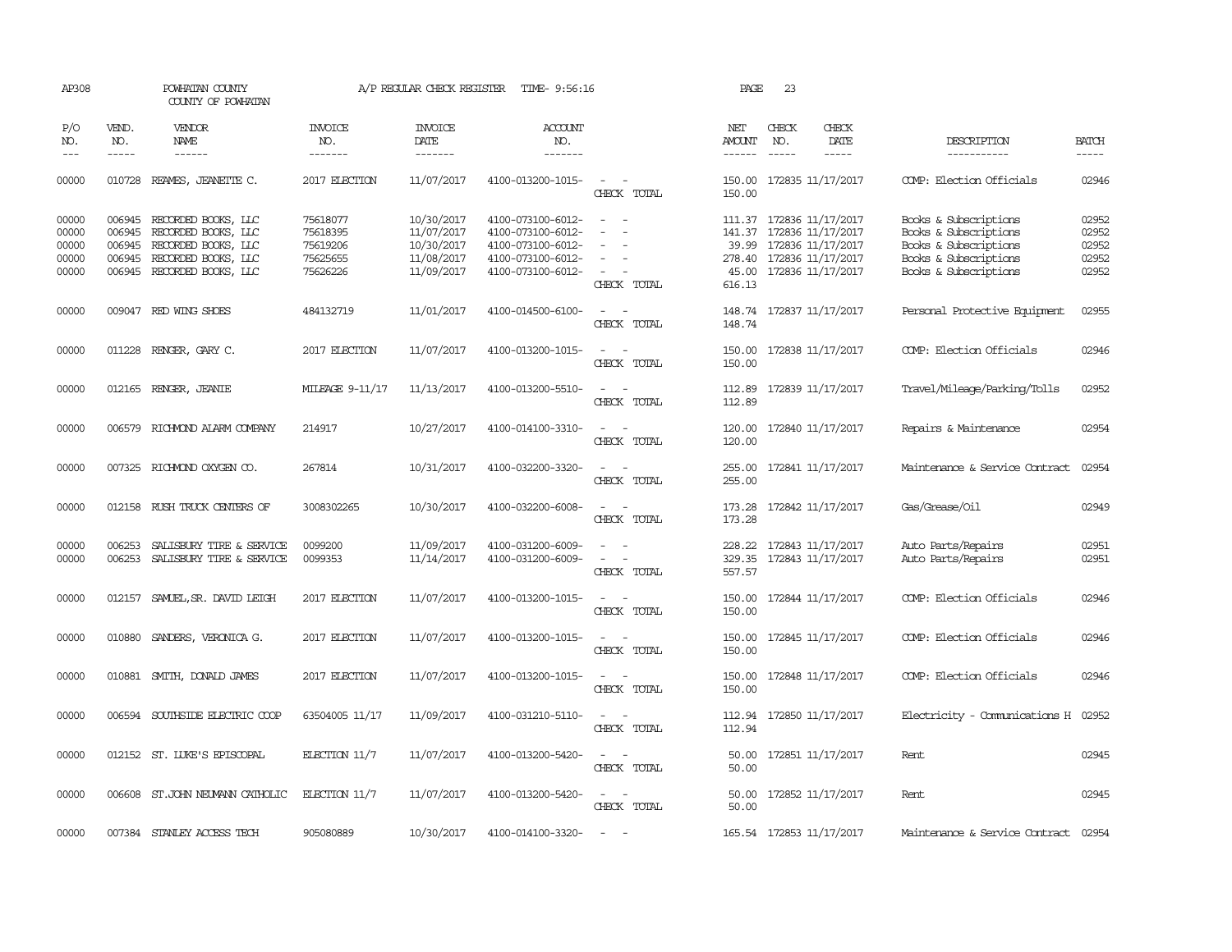| AP308                                                                                                                                                                                                                                                                                                                                                                                                      |                               | POWHATAN COUNTY<br>COUNTY OF POWHATAN                                                                                         |                                                          | A/P REGULAR CHECK REGISTER                                         | TIME- 9:56:16                                                                                         |                                                                                                                             | PAGE                               | 23                            |                                                                                                                     |                                                                                                                           |                                           |
|------------------------------------------------------------------------------------------------------------------------------------------------------------------------------------------------------------------------------------------------------------------------------------------------------------------------------------------------------------------------------------------------------------|-------------------------------|-------------------------------------------------------------------------------------------------------------------------------|----------------------------------------------------------|--------------------------------------------------------------------|-------------------------------------------------------------------------------------------------------|-----------------------------------------------------------------------------------------------------------------------------|------------------------------------|-------------------------------|---------------------------------------------------------------------------------------------------------------------|---------------------------------------------------------------------------------------------------------------------------|-------------------------------------------|
| P/O<br>NO.<br>$\frac{1}{2} \frac{1}{2} \frac{1}{2} \frac{1}{2} \frac{1}{2} \frac{1}{2} \frac{1}{2} \frac{1}{2} \frac{1}{2} \frac{1}{2} \frac{1}{2} \frac{1}{2} \frac{1}{2} \frac{1}{2} \frac{1}{2} \frac{1}{2} \frac{1}{2} \frac{1}{2} \frac{1}{2} \frac{1}{2} \frac{1}{2} \frac{1}{2} \frac{1}{2} \frac{1}{2} \frac{1}{2} \frac{1}{2} \frac{1}{2} \frac{1}{2} \frac{1}{2} \frac{1}{2} \frac{1}{2} \frac{$ | VEND.<br>NO.<br>$\frac{1}{2}$ | <b>VENDOR</b><br>NAME<br>$- - - - - -$                                                                                        | <b>INVOICE</b><br>NO.<br>-------                         | <b>INVOICE</b><br>DATE<br>-------                                  | ACCOUNT<br>NO.<br>-------                                                                             |                                                                                                                             | NET<br>AMOUNT<br>------            | CHECK<br>NO.<br>$\frac{1}{2}$ | CHECK<br>DATE<br>-----                                                                                              | DESCRIPTION<br>-----------                                                                                                | <b>BATCH</b><br>-----                     |
| 00000                                                                                                                                                                                                                                                                                                                                                                                                      | 010728                        | REAMES, JEANETTE C.                                                                                                           | 2017 ELECTION                                            | 11/07/2017                                                         | 4100-013200-1015-                                                                                     | $\sim$ 10 $\sim$ $\sim$<br>CHECK TOTAL                                                                                      | 150.00<br>150.00                   |                               | 172835 11/17/2017                                                                                                   | COMP: Election Officials                                                                                                  | 02946                                     |
| 00000<br>00000<br>00000<br>00000<br>00000                                                                                                                                                                                                                                                                                                                                                                  | 006945<br>006945<br>006945    | 006945 RECORDED BOOKS, LLC<br>RECORDED BOOKS, LLC<br>RECORDED BOOKS, LLC<br>RECORDED BOOKS, LLC<br>006945 RECORDED BOOKS, LLC | 75618077<br>75618395<br>75619206<br>75625655<br>75626226 | 10/30/2017<br>11/07/2017<br>10/30/2017<br>11/08/2017<br>11/09/2017 | 4100-073100-6012-<br>4100-073100-6012-<br>4100-073100-6012-<br>4100-073100-6012-<br>4100-073100-6012- | $\sim$<br>$\sim$<br>$\sim$<br>$\overline{\phantom{a}}$<br>$\overline{\phantom{a}}$<br>CHECK TOTAL                           | 141.37<br>39.99<br>45.00<br>616.13 |                               | 111.37 172836 11/17/2017<br>172836 11/17/2017<br>172836 11/17/2017<br>278.40 172836 11/17/2017<br>172836 11/17/2017 | Books & Subscriptions<br>Books & Subscriptions<br>Books & Subscriptions<br>Books & Subscriptions<br>Books & Subscriptions | 02952<br>02952<br>02952<br>02952<br>02952 |
| 00000                                                                                                                                                                                                                                                                                                                                                                                                      |                               | 009047 RED WING SHOES                                                                                                         | 484132719                                                | 11/01/2017                                                         | 4100-014500-6100-                                                                                     | $\frac{1}{2} \left( \frac{1}{2} \right) \left( \frac{1}{2} \right) = \frac{1}{2} \left( \frac{1}{2} \right)$<br>CHECK TOTAL | 148.74                             |                               | 148.74 172837 11/17/2017                                                                                            | Personal Protective Equipment                                                                                             | 02955                                     |
| 00000                                                                                                                                                                                                                                                                                                                                                                                                      |                               | 011228 RENGER, GARY C.                                                                                                        | 2017 ELECTION                                            | 11/07/2017                                                         | 4100-013200-1015-                                                                                     | $\sim$<br>$\sim$<br>CHECK TOTAL                                                                                             | 150.00<br>150.00                   |                               | 172838 11/17/2017                                                                                                   | COMP: Election Officials                                                                                                  | 02946                                     |
| 00000                                                                                                                                                                                                                                                                                                                                                                                                      |                               | 012165 RENGER, JEANIE                                                                                                         | MILEAGE 9-11/17                                          | 11/13/2017                                                         | 4100-013200-5510-                                                                                     | $\sim$ 100 $\sim$<br>CHECK TOTAL                                                                                            | 112.89<br>112.89                   |                               | 172839 11/17/2017                                                                                                   | Travel/Mileage/Parking/Tolls                                                                                              | 02952                                     |
| 00000                                                                                                                                                                                                                                                                                                                                                                                                      | 006579                        | RICHMOND ALARM COMPANY                                                                                                        | 214917                                                   | 10/27/2017                                                         | 4100-014100-3310-                                                                                     | $\frac{1}{2} \left( \frac{1}{2} \right) \left( \frac{1}{2} \right) = \frac{1}{2} \left( \frac{1}{2} \right)$<br>CHECK TOTAL | 120.00<br>120.00                   |                               | 172840 11/17/2017                                                                                                   | Repairs & Maintenance                                                                                                     | 02954                                     |
| 00000                                                                                                                                                                                                                                                                                                                                                                                                      |                               | 007325 RICHMOND OXYGEN CO.                                                                                                    | 267814                                                   | 10/31/2017                                                         | 4100-032200-3320-                                                                                     | CHECK TOTAL                                                                                                                 | 255.00<br>255.00                   |                               | 172841 11/17/2017                                                                                                   | Maintenance & Service Contract                                                                                            | 02954                                     |
| 00000                                                                                                                                                                                                                                                                                                                                                                                                      | 012158                        | RUSH TRUCK CENTERS OF                                                                                                         | 3008302265                                               | 10/30/2017                                                         | 4100-032200-6008-                                                                                     | CHECK TOTAL                                                                                                                 | 173.28<br>173.28                   |                               | 172842 11/17/2017                                                                                                   | Gas/Grease/Oil                                                                                                            | 02949                                     |
| 00000<br>00000                                                                                                                                                                                                                                                                                                                                                                                             | 006253<br>006253              | SALISBURY TIRE & SERVICE<br>SALISBURY TIRE & SERVICE                                                                          | 0099200<br>0099353                                       | 11/09/2017<br>11/14/2017                                           | 4100-031200-6009-<br>4100-031200-6009-                                                                | $\sim$<br>$\sim$<br>$\sim$<br>$\sim$<br>CHECK TOTAL                                                                         | 228.22<br>329.35<br>557.57         |                               | 172843 11/17/2017<br>172843 11/17/2017                                                                              | Auto Parts/Repairs<br>Auto Parts/Repairs                                                                                  | 02951<br>02951                            |
| 00000                                                                                                                                                                                                                                                                                                                                                                                                      |                               | 012157 SAMUEL, SR. DAVID LEIGH                                                                                                | 2017 ELECTION                                            | 11/07/2017                                                         | 4100-013200-1015-                                                                                     | CHECK TOTAL                                                                                                                 | 150.00<br>150.00                   |                               | 172844 11/17/2017                                                                                                   | COMP: Election Officials                                                                                                  | 02946                                     |
| 00000                                                                                                                                                                                                                                                                                                                                                                                                      | 010880                        | SANDERS, VERONICA G.                                                                                                          | 2017 ELECTION                                            | 11/07/2017                                                         | 4100-013200-1015-                                                                                     | $\sim$<br>$\sim$<br>CHECK TOTAL                                                                                             | 150.00<br>150.00                   |                               | 172845 11/17/2017                                                                                                   | COMP: Election Officials                                                                                                  | 02946                                     |
| 00000                                                                                                                                                                                                                                                                                                                                                                                                      | 010881                        | SMITH, DONALD JAMES                                                                                                           | 2017 ELECTION                                            | 11/07/2017                                                         | 4100-013200-1015-                                                                                     | $\sim$ $ -$<br>CHECK TOTAL                                                                                                  | 150.00<br>150.00                   |                               | 172848 11/17/2017                                                                                                   | COMP: Election Officials                                                                                                  | 02946                                     |
| 00000                                                                                                                                                                                                                                                                                                                                                                                                      |                               | 006594 SOUTHSIDE ELECTRIC COOP                                                                                                | 63504005 11/17                                           | 11/09/2017                                                         | 4100-031210-5110-                                                                                     | $\sim$<br>$\sim$<br>CHECK TOTAL                                                                                             | 112.94                             |                               | 112.94 172850 11/17/2017                                                                                            | Electricity - Comunications H 02952                                                                                       |                                           |
| 00000                                                                                                                                                                                                                                                                                                                                                                                                      |                               | 012152 ST. LUKE'S EPISCOPAL                                                                                                   | ELECTION $11/7$                                          | 11/07/2017                                                         | 4100-013200-5420-                                                                                     | $\sim$<br>$\sim$<br>CHECK TOTAL                                                                                             | 50.00<br>50.00                     |                               | 172851 11/17/2017                                                                                                   | Rent                                                                                                                      | 02945                                     |
| 00000                                                                                                                                                                                                                                                                                                                                                                                                      |                               | 006608 ST.JOHN NEUMANN CATHOLIC                                                                                               | ELECTION $11/7$                                          | 11/07/2017                                                         | 4100-013200-5420-                                                                                     | $\sim$ $\sim$<br>CHECK TOTAL                                                                                                | 50.00<br>50.00                     |                               | 172852 11/17/2017                                                                                                   | Rent                                                                                                                      | 02945                                     |
| 00000                                                                                                                                                                                                                                                                                                                                                                                                      |                               | 007384 STANLEY ACCESS TECH                                                                                                    | 905080889                                                | 10/30/2017                                                         | 4100-014100-3320-                                                                                     | $\sim$<br>- -                                                                                                               |                                    |                               | 165.54 172853 11/17/2017                                                                                            | Maintenance & Service Contract 02954                                                                                      |                                           |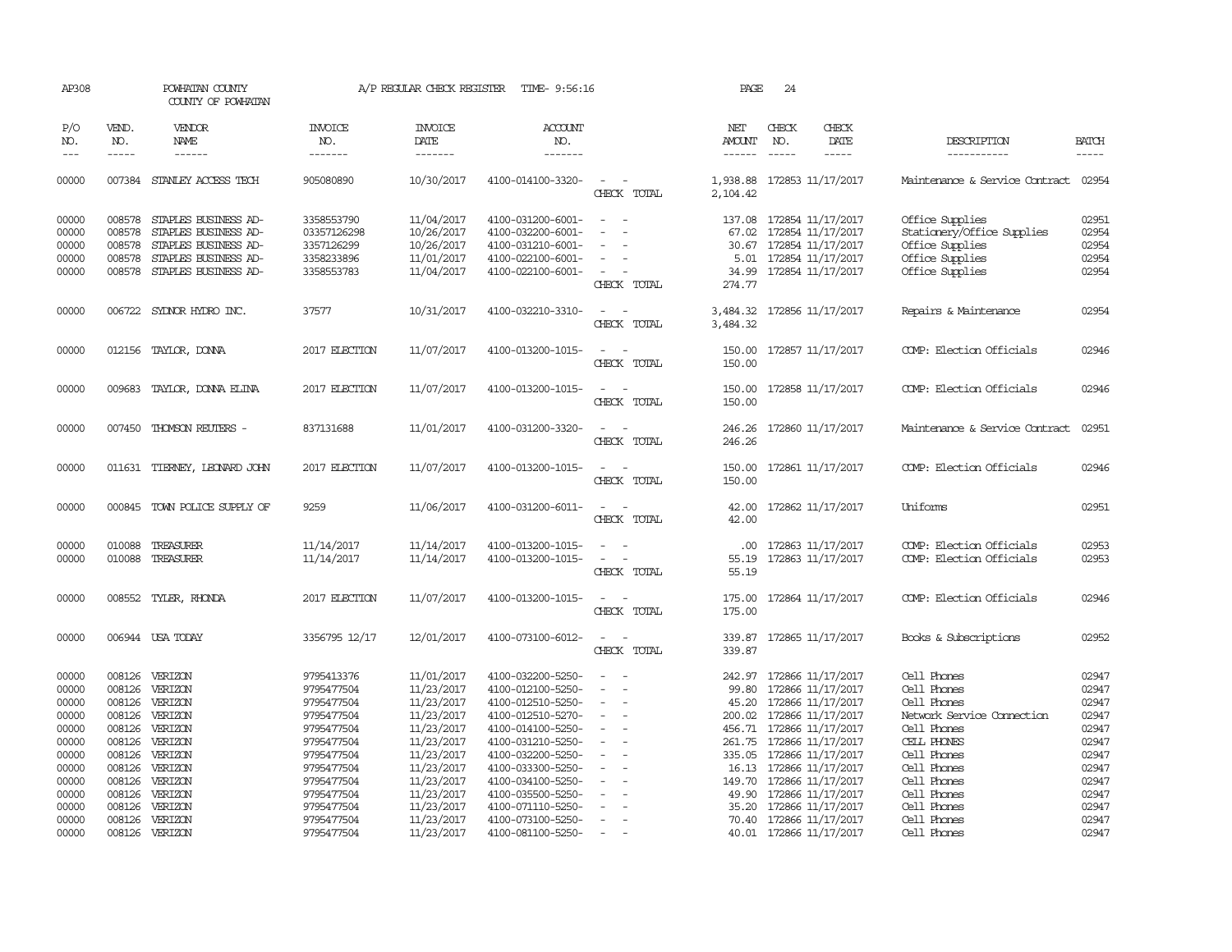| AP308                                     |                                                                                                                                                                                                                                                                                                                                                                                                                                                                         | POWHATAN COUNTY<br>COUNTY OF POWHATAN                                                                                |                                                                     | A/P REGULAR CHECK REGISTER                                         | TIME- 9:56:16                                                                                         |                                                                                                                                                                   | PAGE                                  | 24                            |                                                                                                                           |                                                                                                        |                                           |
|-------------------------------------------|-------------------------------------------------------------------------------------------------------------------------------------------------------------------------------------------------------------------------------------------------------------------------------------------------------------------------------------------------------------------------------------------------------------------------------------------------------------------------|----------------------------------------------------------------------------------------------------------------------|---------------------------------------------------------------------|--------------------------------------------------------------------|-------------------------------------------------------------------------------------------------------|-------------------------------------------------------------------------------------------------------------------------------------------------------------------|---------------------------------------|-------------------------------|---------------------------------------------------------------------------------------------------------------------------|--------------------------------------------------------------------------------------------------------|-------------------------------------------|
| P/O<br>NO.<br>$---$                       | VEND.<br>NO.<br>$\begin{tabular}{ccccc} \multicolumn{2}{c }{\multicolumn{2}{c }{\multicolumn{2}{c }{\multicolumn{2}{c}}{\hspace{-2.2cm}}}} \multicolumn{2}{c }{\multicolumn{2}{c }{\hspace{-2.2cm}}\hline} \multicolumn{2}{c }{\hspace{-2.2cm}}\hline \multicolumn{2}{c }{\hspace{-2.2cm}}\hline \multicolumn{2}{c }{\hspace{-2.2cm}}\hline \multicolumn{2}{c }{\hspace{-2.2cm}}\hline \multicolumn{2}{c }{\hspace{-2.2cm}}\hline \multicolumn{2}{c }{\hspace{-2.2cm}}$ | <b>VENDOR</b><br>NAME<br>------                                                                                      | <b>INVOICE</b><br>NO.<br>-------                                    | <b>INVOICE</b><br>DATE<br>-------                                  | <b>ACCOUNT</b><br>NO.<br>-------                                                                      |                                                                                                                                                                   | NET<br><b>AMOUNT</b><br>$- - - - - -$ | CHECK<br>NO.<br>$\frac{1}{2}$ | CHECK<br>DATE<br>-----                                                                                                    | DESCRIPTION<br>-----------                                                                             | <b>BATCH</b><br>-----                     |
| 00000                                     |                                                                                                                                                                                                                                                                                                                                                                                                                                                                         | 007384 STANLEY ACCESS TECH                                                                                           | 905080890                                                           | 10/30/2017                                                         | 4100-014100-3320-                                                                                     | $\sim$<br>CHECK TOTAL                                                                                                                                             | 1,938.88<br>2,104.42                  |                               | 172853 11/17/2017                                                                                                         | Maintenance & Service Contract                                                                         | 02954                                     |
| 00000<br>00000<br>00000<br>00000<br>00000 | 008578<br>008578<br>008578<br>008578<br>008578                                                                                                                                                                                                                                                                                                                                                                                                                          | STAPLES BUSINESS AD-<br>STAPLES BUSINESS AD-<br>STAPLES BUSINESS AD-<br>STAPLES BUSINESS AD-<br>STAPLES BUSINESS AD- | 3358553790<br>03357126298<br>3357126299<br>3358233896<br>3358553783 | 11/04/2017<br>10/26/2017<br>10/26/2017<br>11/01/2017<br>11/04/2017 | 4100-031200-6001-<br>4100-032200-6001-<br>4100-031210-6001-<br>4100-022100-6001-<br>4100-022100-6001- | $\frac{1}{2} \left( \frac{1}{2} \right) \left( \frac{1}{2} \right) = \frac{1}{2} \left( \frac{1}{2} \right)$<br>$\overline{\phantom{a}}$<br>$\sim$<br>CHECK TOTAL | 67.02<br>34.99<br>274.77              |                               | 137.08 172854 11/17/2017<br>172854 11/17/2017<br>30.67 172854 11/17/2017<br>5.01 172854 11/17/2017<br>172854 11/17/2017   | Office Supplies<br>Stationery/Office Supplies<br>Office Supplies<br>Office Supplies<br>Office Supplies | 02951<br>02954<br>02954<br>02954<br>02954 |
| 00000                                     |                                                                                                                                                                                                                                                                                                                                                                                                                                                                         | 006722 SYDNOR HYDRO INC.                                                                                             | 37577                                                               | 10/31/2017                                                         | 4100-032210-3310-                                                                                     | $\overline{\phantom{a}}$<br>- -<br>CHECK TOTAL                                                                                                                    | 3,484.32<br>3,484.32                  |                               | 172856 11/17/2017                                                                                                         | Repairs & Maintenance                                                                                  | 02954                                     |
| 00000                                     |                                                                                                                                                                                                                                                                                                                                                                                                                                                                         | 012156 TAYLOR, DONNA                                                                                                 | 2017 ELECTION                                                       | 11/07/2017                                                         | 4100-013200-1015-                                                                                     | CHECK TOTAL                                                                                                                                                       | 150.00                                |                               | 150.00 172857 11/17/2017                                                                                                  | COMP: Election Officials                                                                               | 02946                                     |
| 00000                                     | 009683                                                                                                                                                                                                                                                                                                                                                                                                                                                                  | TAYLOR, DONNA ELINA                                                                                                  | 2017 ELECTION                                                       | 11/07/2017                                                         | 4100-013200-1015-                                                                                     | $\sim$<br>$\sim$<br>CHECK TOTAL                                                                                                                                   | 150.00<br>150.00                      |                               | 172858 11/17/2017                                                                                                         | COMP: Election Officials                                                                               | 02946                                     |
| 00000                                     | 007450                                                                                                                                                                                                                                                                                                                                                                                                                                                                  | THOMSON REUTERS -                                                                                                    | 837131688                                                           | 11/01/2017                                                         | 4100-031200-3320-                                                                                     | CHECK TOTAL                                                                                                                                                       | 246.26<br>246.26                      |                               | 172860 11/17/2017                                                                                                         | Maintenance & Service Contract                                                                         | 02951                                     |
| 00000                                     |                                                                                                                                                                                                                                                                                                                                                                                                                                                                         | 011631 TIERNEY, LEONARD JOHN                                                                                         | 2017 ELECTION                                                       | 11/07/2017                                                         | 4100-013200-1015-                                                                                     | CHECK TOTAL                                                                                                                                                       | 150.00<br>150.00                      |                               | 172861 11/17/2017                                                                                                         | COMP: Election Officials                                                                               | 02946                                     |
| 00000                                     |                                                                                                                                                                                                                                                                                                                                                                                                                                                                         | 000845 TOWN POLICE SUPPLY OF                                                                                         | 9259                                                                | 11/06/2017                                                         | 4100-031200-6011-                                                                                     | CHECK TOTAL                                                                                                                                                       | 42.00<br>42.00                        |                               | 172862 11/17/2017                                                                                                         | Uniforms                                                                                               | 02951                                     |
| 00000<br>00000                            | 010088                                                                                                                                                                                                                                                                                                                                                                                                                                                                  | TREASURER<br>010088 TREASURER                                                                                        | 11/14/2017<br>11/14/2017                                            | 11/14/2017<br>11/14/2017                                           | 4100-013200-1015-<br>4100-013200-1015-                                                                | $\overline{\phantom{a}}$<br>CHECK TOTAL                                                                                                                           | .00.<br>55.19<br>55.19                |                               | 172863 11/17/2017<br>172863 11/17/2017                                                                                    | COMP: Election Officials<br>COMP: Election Officials                                                   | 02953<br>02953                            |
| 00000                                     |                                                                                                                                                                                                                                                                                                                                                                                                                                                                         | 008552 TYLER, RHONDA                                                                                                 | 2017 ELECTION                                                       | 11/07/2017                                                         | 4100-013200-1015-                                                                                     | $\sim$ 100 $\sim$ 100 $\sim$<br>CHECK TOTAL                                                                                                                       | 175.00                                |                               | 175.00 172864 11/17/2017                                                                                                  | COMP: Election Officials                                                                               | 02946                                     |
| 00000                                     |                                                                                                                                                                                                                                                                                                                                                                                                                                                                         | 006944 USA TODAY                                                                                                     | 3356795 12/17                                                       | 12/01/2017                                                         | 4100-073100-6012-                                                                                     | CHECK TOTAL                                                                                                                                                       | 339.87<br>339.87                      |                               | 172865 11/17/2017                                                                                                         | Books & Subscriptions                                                                                  | 02952                                     |
| 00000<br>00000<br>00000<br>00000<br>00000 |                                                                                                                                                                                                                                                                                                                                                                                                                                                                         | 008126 VERIZON<br>008126 VERIZON<br>008126 VERIZON<br>008126 VERIZON<br>008126 VERIZON                               | 9795413376<br>9795477504<br>9795477504<br>9795477504<br>9795477504  | 11/01/2017<br>11/23/2017<br>11/23/2017<br>11/23/2017<br>11/23/2017 | 4100-032200-5250-<br>4100-012100-5250-<br>4100-012510-5250-<br>4100-012510-5270-<br>4100-014100-5250- | $\overline{\phantom{a}}$<br>$\overline{\phantom{a}}$                                                                                                              | 242.97<br>45.20                       |                               | 172866 11/17/2017<br>99.80 172866 11/17/2017<br>172866 11/17/2017<br>200.02 172866 11/17/2017<br>456.71 172866 11/17/2017 | Cell Phones<br>Cell Phones<br>Cell Phones<br>Network Service Connection<br>Cell Phones                 | 02947<br>02947<br>02947<br>02947<br>02947 |
| 00000<br>00000<br>00000<br>00000          | 008126                                                                                                                                                                                                                                                                                                                                                                                                                                                                  | 008126 VERIZON<br>008126 VERIZON<br>008126 VERIZON<br>VERIZON                                                        | 9795477504<br>9795477504<br>9795477504<br>9795477504                | 11/23/2017<br>11/23/2017<br>11/23/2017<br>11/23/2017               | 4100-031210-5250-<br>4100-032200-5250-<br>4100-033300-5250-<br>4100-034100-5250-                      |                                                                                                                                                                   | 16.13<br>149.70                       |                               | 261.75 172866 11/17/2017<br>335.05 172866 11/17/2017<br>172866 11/17/2017<br>172866 11/17/2017                            | CELL PHONES<br>Cell Phones<br>Cell Phones<br>Cell Phones                                               | 02947<br>02947<br>02947<br>02947          |
| 00000<br>00000<br>00000<br>00000          | 008126<br>008126                                                                                                                                                                                                                                                                                                                                                                                                                                                        | VERIZON<br>VERIZON<br>008126 VERIZON<br>008126 VERIZON                                                               | 9795477504<br>9795477504<br>9795477504<br>9795477504                | 11/23/2017<br>11/23/2017<br>11/23/2017<br>11/23/2017               | 4100-035500-5250-<br>4100-071110-5250-<br>4100-073100-5250-<br>4100-081100-5250-                      | $\sim$                                                                                                                                                            | 49.90<br>35.20                        |                               | 172866 11/17/2017<br>172866 11/17/2017<br>70.40 172866 11/17/2017<br>40.01 172866 11/17/2017                              | Cell Phones<br>Cell Phones<br>Cell Phones<br>Cell Phones                                               | 02947<br>02947<br>02947<br>02947          |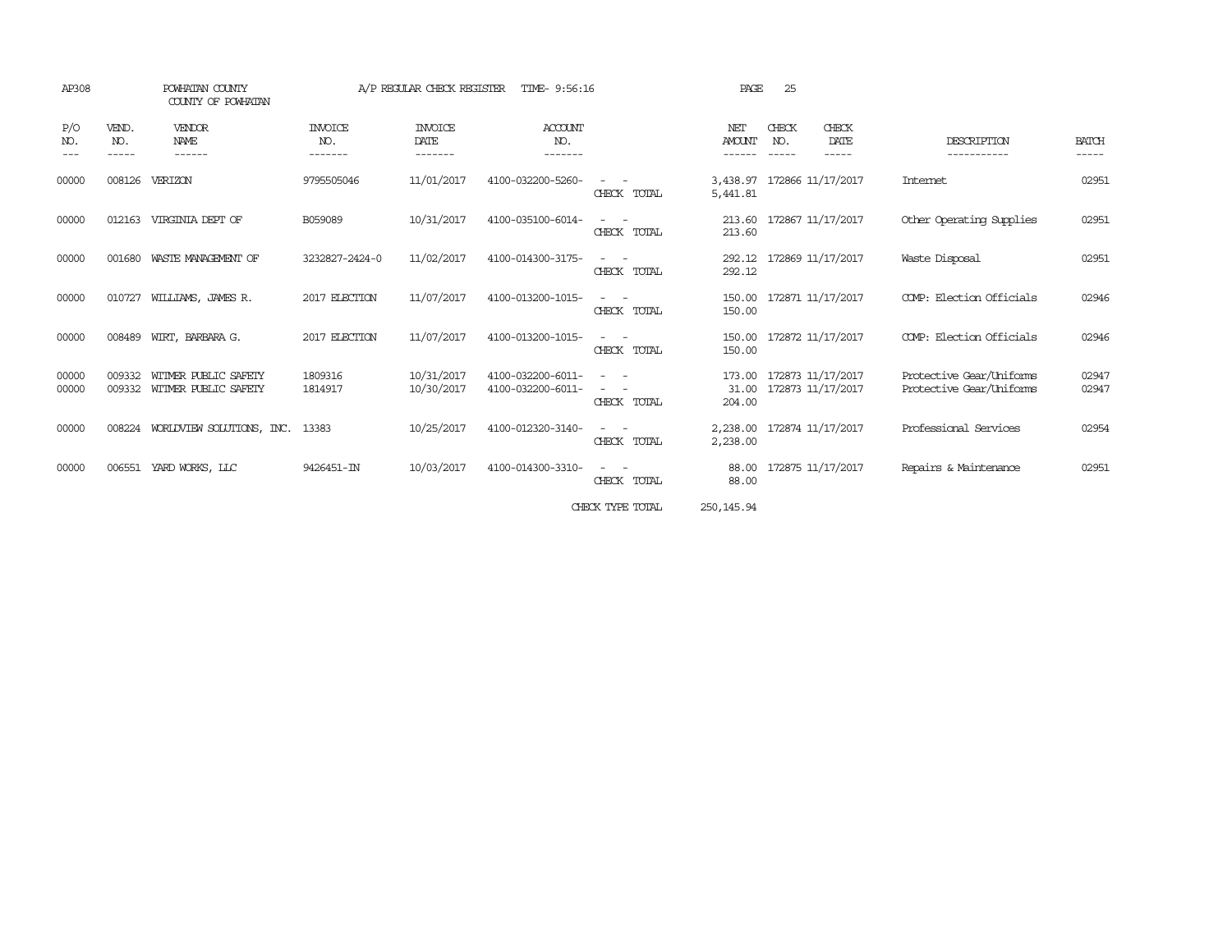| AP308               |                             | POWHATAN COUNTY<br>COUNTY OF POWHATAN        |                           | A/P REGULAR CHECK REGISTER                | TIME- 9:56:16                          |                                                                                                                             | PAGE                           | 25                          |                                        |                                                      |                             |
|---------------------|-----------------------------|----------------------------------------------|---------------------------|-------------------------------------------|----------------------------------------|-----------------------------------------------------------------------------------------------------------------------------|--------------------------------|-----------------------------|----------------------------------------|------------------------------------------------------|-----------------------------|
| P/O<br>NO.<br>$---$ | VEND.<br>NO.<br>$- - - - -$ | VENDOR<br><b>NAME</b><br>------              | INVOICE<br>NO.<br>------- | <b>INVOICE</b><br><b>DATE</b><br>-------- | ACCOUNT<br>NO.<br>-------              |                                                                                                                             | NET<br><b>AMOUNT</b><br>------ | CHECK<br>NO.<br>$- - - - -$ | CHECK<br>DATE<br>$- - - - -$           | DESCRIPTION<br>-----------                           | <b>BATCH</b><br>$- - - - -$ |
| 00000               | 008126                      | VERIZON                                      | 9795505046                | 11/01/2017                                | 4100-032200-5260-                      | CHECK TOTAL                                                                                                                 | 3,438.97<br>5,441.81           |                             | 172866 11/17/2017                      | Internet                                             | 02951                       |
| 00000               | 012163                      | VIRGINIA DEPT OF                             | B059089                   | 10/31/2017                                | 4100-035100-6014-                      | CHECK TOTAL                                                                                                                 | 213.60                         |                             | 213.60 172867 11/17/2017               | Other Operating Supplies                             | 02951                       |
| 00000               | 001680                      | WASTE MANAGEMENT OF                          | 3232827-2424-0            | 11/02/2017                                | 4100-014300-3175-                      | $\frac{1}{2} \left( \frac{1}{2} \right) \left( \frac{1}{2} \right) = \frac{1}{2} \left( \frac{1}{2} \right)$<br>CHECK TOTAL | 292.12                         |                             | 292.12 172869 11/17/2017               | Waste Disposal                                       | 02951                       |
| 00000               | 010727                      | WILLIAMS, JAMES R.                           | 2017 ELECTION             | 11/07/2017                                | 4100-013200-1015-                      | CHECK TOTAL                                                                                                                 | 150.00                         |                             | 150.00 172871 11/17/2017               | COMP: Election Officials                             | 02946                       |
| 00000               | 008489                      | WIRT, BARBARA G.                             | 2017 ELECTION             | 11/07/2017                                | 4100-013200-1015-                      | CHECK TOTAL                                                                                                                 | 150.00<br>150.00               |                             | 172872 11/17/2017                      | COMP: Election Officials                             | 02946                       |
| 00000<br>00000      | 009332<br>009332            | WITMER PUBLIC SAFETY<br>WITMER PUBLIC SAFETY | 1809316<br>1814917        | 10/31/2017<br>10/30/2017                  | 4100-032200-6011-<br>4100-032200-6011- | CHECK TOTAL                                                                                                                 | 173.00<br>31.00<br>204.00      |                             | 172873 11/17/2017<br>172873 11/17/2017 | Protective Gear/Uniforms<br>Protective Gear/Uniforms | 02947<br>02947              |
| 00000               |                             | 008224 WORLDVIEW SOLUTIONS, INC.             | 13383                     | 10/25/2017                                | 4100-012320-3140-                      | $\sim$ $\sim$<br>CHECK TOTAL                                                                                                | 2,238.00                       |                             | 2,238.00 172874 11/17/2017             | Professional Services                                | 02954                       |
| 00000               | 006551                      | YARD WORKS, LLC                              | 9426451-IN                | 10/03/2017                                | 4100-014300-3310-                      | $\overline{\phantom{0}}$<br>CHECK TOTAL                                                                                     | 88.00<br>88.00                 |                             | 172875 11/17/2017                      | Repairs & Maintenance                                | 02951                       |
|                     |                             |                                              |                           |                                           |                                        | CHECK TYPE TOTAL                                                                                                            | 250, 145.94                    |                             |                                        |                                                      |                             |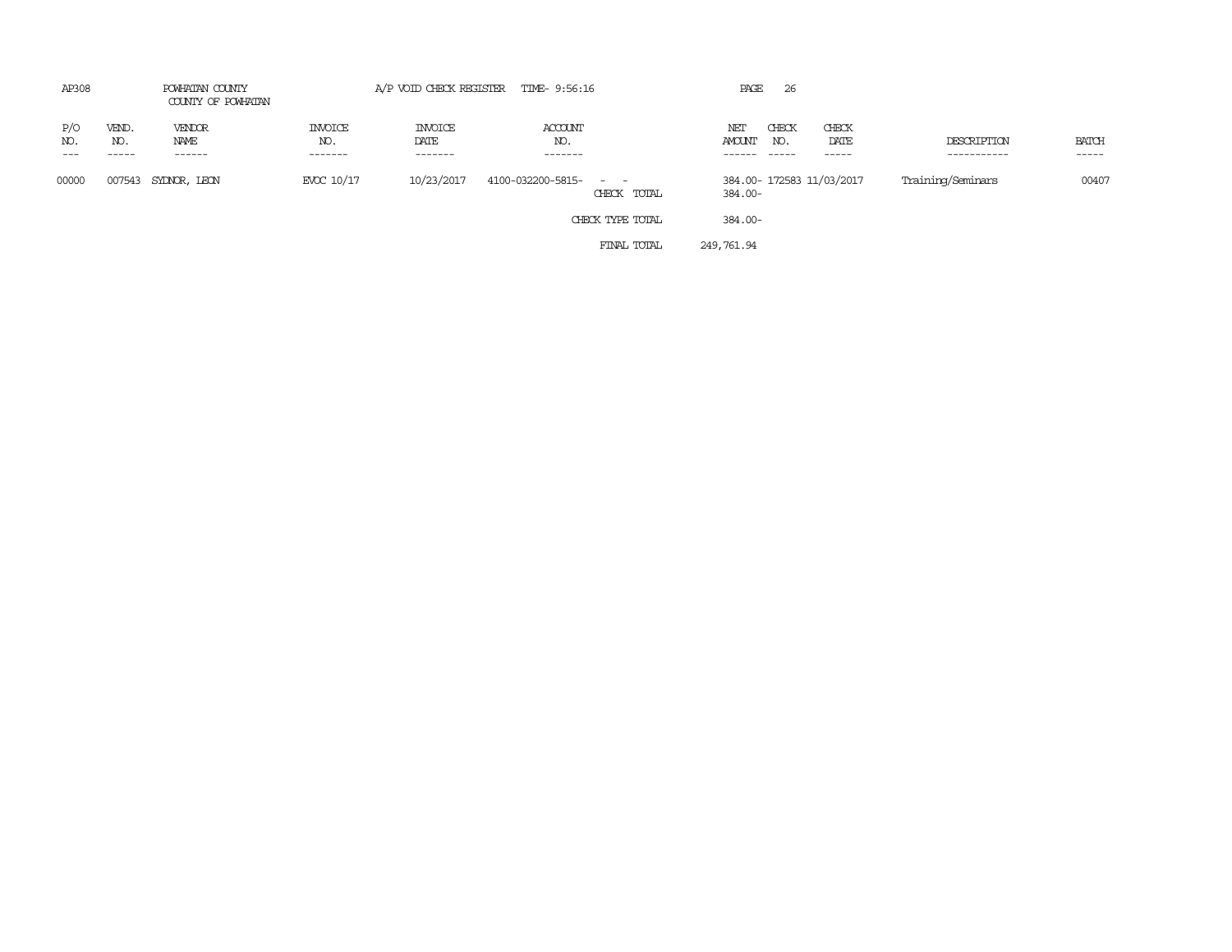| AP308               |                       | POWHATAN COUNTY<br>COUNTY OF POWHATAN |                           | A/P VOID CHECK REGISTER           | TIME- 9:56:16                                      |             | PAGE          | 26                       |                           |                            |                 |
|---------------------|-----------------------|---------------------------------------|---------------------------|-----------------------------------|----------------------------------------------------|-------------|---------------|--------------------------|---------------------------|----------------------------|-----------------|
| P/O<br>NO.<br>$---$ | VEND.<br>NO.<br>----- | VENDOR<br>NAME<br>------              | INVOICE<br>NO.<br>------- | <b>INVOICE</b><br>DATE<br>------- | ACCOUNT<br>NO.<br>-------                          |             | NET<br>AMOUNT | CHECK<br>NO.<br>$------$ | CHECK<br>DATE<br>-----    | DESCRIPTION<br>----------- | BATCH<br>------ |
| 00000               | 007543                | SYDNOR, LEON                          | EVCC 10/17                | 10/23/2017                        | 4100-032200-5815-<br>$\sim$ $ \sim$<br>CHECK TOTAL |             | 384.00-       |                          | 384.00- 172583 11/03/2017 | Training/Seminars          | 00407           |
|                     |                       |                                       |                           |                                   | CHECK TYPE TOTAL                                   |             | 384.00-       |                          |                           |                            |                 |
|                     |                       |                                       |                           |                                   |                                                    | FINAL TOTAL | 249,761.94    |                          |                           |                            |                 |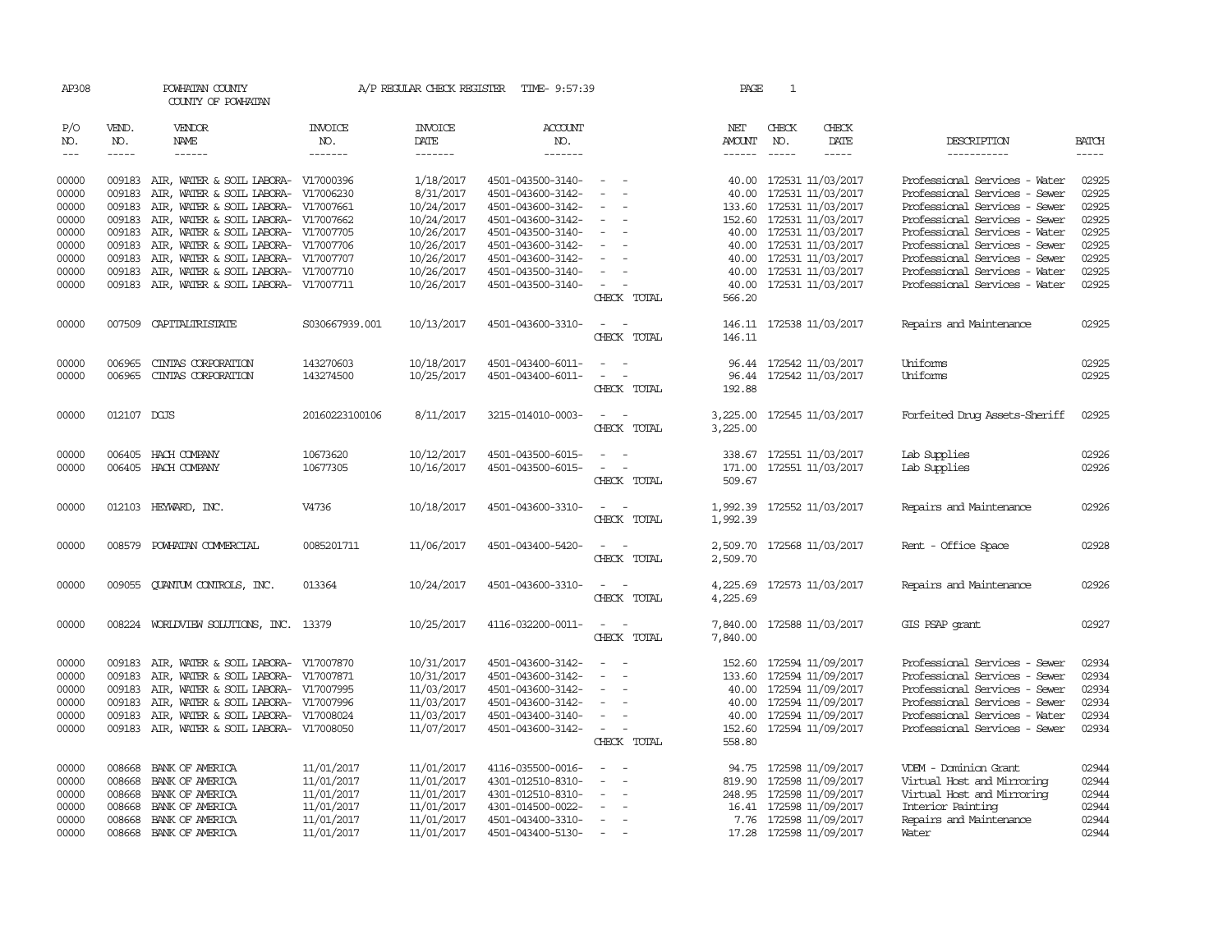| AP308               |                             | POWHATAN COUNTY<br>COUNTY OF POWHATAN                                             |                                  |                        | A/P REGULAR CHECK REGISTER TIME- 9:57:39 |                                                                                                              | PAGE                    | 1                           |                                              |                                                                |                             |
|---------------------|-----------------------------|-----------------------------------------------------------------------------------|----------------------------------|------------------------|------------------------------------------|--------------------------------------------------------------------------------------------------------------|-------------------------|-----------------------------|----------------------------------------------|----------------------------------------------------------------|-----------------------------|
| P/O<br>NO.          | VEND.<br>NO.<br>$- - - - -$ | <b>VENDOR</b><br>NAME<br>$- - - - - -$                                            | <b>INVOICE</b><br>NO.<br>------- | <b>INVOICE</b><br>DATE | <b>ACCOUNT</b><br>NO.<br>$- - - - - - -$ |                                                                                                              | NET<br>AMOUNT<br>------ | CHECK<br>NO.<br>$- - - - -$ | CHECK<br>DATE<br>$- - - - -$                 | DESCRIPTION                                                    | <b>BATCH</b><br>$- - - - -$ |
| $\qquad \qquad - -$ |                             |                                                                                   |                                  | -------                |                                          |                                                                                                              |                         |                             |                                              | -----------                                                    |                             |
| 00000<br>00000      | 009183                      | 009183 AIR, WATER & SOIL LABORA- V17000396<br>AIR, WATER & SOIL LABORA- V17006230 |                                  | 1/18/2017<br>8/31/2017 | 4501-043500-3140-<br>4501-043600-3142-   | $\sim$<br>$\sim$                                                                                             | 40.00                   |                             | 40.00 172531 11/03/2017<br>172531 11/03/2017 | Professional Services - Water<br>Professional Services - Sewer | 02925<br>02925              |
| 00000               |                             | 009183 AIR, WATER & SOIL LABORA- V17007661                                        |                                  | 10/24/2017             | 4501-043600-3142-                        |                                                                                                              |                         |                             | 133.60 172531 11/03/2017                     | Professional Services - Sewer                                  | 02925                       |
| 00000               | 009183                      | AIR, WATER & SOIL LABORA- V17007662                                               |                                  | 10/24/2017             | 4501-043600-3142-                        | $\equiv$                                                                                                     |                         |                             | 152.60 172531 11/03/2017                     | Professional Services - Sewer                                  | 02925                       |
| 00000               |                             | 009183 AIR, WATER & SOIL LABORA- V17007705                                        |                                  | 10/26/2017             | 4501-043500-3140-                        | $\overline{\phantom{a}}$                                                                                     |                         |                             | 40.00 172531 11/03/2017                      | Professional Services - Water                                  | 02925                       |
| 00000               | 009183                      | AIR, WATER & SOIL LABORA- V17007706                                               |                                  | 10/26/2017             | 4501-043600-3142-                        |                                                                                                              | 40.00                   |                             | 172531 11/03/2017                            | Professional Services - Sewer                                  | 02925                       |
| 00000               | 009183                      | AIR, WATER & SOIL LABORA- V17007707                                               |                                  | 10/26/2017             | 4501-043600-3142-                        |                                                                                                              | 40.00                   |                             | 172531 11/03/2017                            | Professional Services - Sewer                                  | 02925                       |
| 00000               | 009183                      | AIR, WATER & SOIL LABORA- V17007710                                               |                                  | 10/26/2017             | 4501-043500-3140-                        | $\equiv$                                                                                                     |                         |                             | 40.00 172531 11/03/2017                      | Professional Services - Water                                  | 02925                       |
| 00000               |                             | 009183 AIR, WATER & SOIL LABORA- V17007711                                        |                                  | 10/26/2017             | 4501-043500-3140-                        | $\sim$<br>CHECK TOTAL                                                                                        | 40.00<br>566.20         |                             | 172531 11/03/2017                            | Professional Services - Water                                  | 02925                       |
| 00000               |                             | 007509 CAPITALIRISTATE                                                            | S030667939.001                   | 10/13/2017             | 4501-043600-3310-                        | $\sim$<br>- -<br>CHECK TOTAL                                                                                 | 146.11                  |                             | 146.11 172538 11/03/2017                     | Repairs and Maintenance                                        | 02925                       |
| 00000               | 006965                      | CINIAS CORPORATION                                                                | 143270603                        | 10/18/2017             | 4501-043400-6011-                        | $\frac{1}{2} \left( \frac{1}{2} \right) \left( \frac{1}{2} \right) = \frac{1}{2} \left( \frac{1}{2} \right)$ |                         |                             | 96.44 172542 11/03/2017                      | <b>Uniforms</b>                                                | 02925                       |
| 00000               | 006965                      | CINIAS CORPORATION                                                                | 143274500                        | 10/25/2017             | 4501-043400-6011-                        | $\equiv$<br>$\sim$                                                                                           | 96.44                   |                             | 172542 11/03/2017                            | Uniforms                                                       | 02925                       |
|                     |                             |                                                                                   |                                  |                        |                                          | CHECK TOTAL                                                                                                  | 192.88                  |                             |                                              |                                                                |                             |
| 00000               | 012107 DCUS                 |                                                                                   | 20160223100106                   | 8/11/2017              | 3215-014010-0003-                        | CHECK TOTAL                                                                                                  | 3,225.00<br>3,225.00    |                             | 172545 11/03/2017                            | Forfeited Drug Assets-Sheriff                                  | 02925                       |
| 00000               |                             | 006405 HACH COMPANY                                                               | 10673620                         | 10/12/2017             | 4501-043500-6015-                        |                                                                                                              | 338.67                  |                             | 172551 11/03/2017                            | Lab Supplies                                                   | 02926                       |
| 00000               |                             | 006405 HACH COMPANY                                                               | 10677305                         | 10/16/2017             | 4501-043500-6015-                        | $\overline{\phantom{a}}$<br>$\sim$                                                                           | 171.00                  |                             | 172551 11/03/2017                            | Lab Supplies                                                   | 02926                       |
|                     |                             |                                                                                   |                                  |                        |                                          | CHECK TOTAL                                                                                                  | 509.67                  |                             |                                              |                                                                |                             |
| 00000               |                             | 012103 HEYWARD, INC.                                                              | V4736                            | 10/18/2017             | 4501-043600-3310-                        | $\sim$<br>CHECK TOTAL                                                                                        | 1,992.39<br>1,992.39    |                             | 172552 11/03/2017                            | Repairs and Maintenance                                        | 02926                       |
| 00000               |                             | 008579 POWHATAN COMMERCIAL                                                        | 0085201711                       | 11/06/2017             | 4501-043400-5420-                        | $\overline{\phantom{a}}$<br>CHECK TOTAL                                                                      | 2,509.70                |                             | 2,509.70 172568 11/03/2017                   | Rent - Office Space                                            | 02928                       |
| 00000               |                             | 009055 QUANTUM CONTROLS, INC.                                                     | 013364                           | 10/24/2017             | 4501-043600-3310-                        |                                                                                                              |                         |                             | 4,225.69 172573 11/03/2017                   | Repairs and Maintenance                                        | 02926                       |
|                     |                             |                                                                                   |                                  |                        |                                          | CHECK TOTAL                                                                                                  | 4,225.69                |                             |                                              |                                                                |                             |
| 00000               |                             | 008224 WORLDVIEW SOLUTIONS, INC. 13379                                            |                                  | 10/25/2017             | 4116-032200-0011-                        | $\omega_{\rm{max}}$ and $\omega_{\rm{max}}$                                                                  | 7,840.00                |                             | 172588 11/03/2017                            | GIS PSAP grant                                                 | 02927                       |
|                     |                             |                                                                                   |                                  |                        |                                          | CHECK TOTAL                                                                                                  | 7,840.00                |                             |                                              |                                                                |                             |
| 00000               | 009183                      | AIR, WATER & SOIL LABORA- V17007870                                               |                                  | 10/31/2017             | 4501-043600-3142-                        |                                                                                                              | 152.60                  |                             | 172594 11/09/2017                            | Professional Services - Sewer                                  | 02934                       |
| 00000               | 009183                      | AIR, WATER & SOIL LABORA- V17007871                                               |                                  | 10/31/2017             | 4501-043600-3142-                        | $\equiv$<br>$\sim$                                                                                           |                         |                             | 133.60 172594 11/09/2017                     | Professional Services - Sewer                                  | 02934                       |
| 00000               |                             | 009183 AIR, WATER & SOIL LABORA- V17007995                                        |                                  | 11/03/2017             | 4501-043600-3142-                        | $\sim$                                                                                                       | 40.00                   |                             | 172594 11/09/2017                            | Professional Services - Sewer                                  | 02934                       |
| 00000               | 009183                      | AIR, WATER & SOIL LABORA- V17007996                                               |                                  | 11/03/2017             | 4501-043600-3142-                        |                                                                                                              | 40.00                   |                             | 172594 11/09/2017                            | Professional Services - Sewer                                  | 02934                       |
| 00000               | 009183                      | AIR, WATER & SOIL LABORA- V17008024                                               |                                  | 11/03/2017             | 4501-043400-3140-                        | $\overline{\phantom{a}}$                                                                                     | 40.00                   |                             | 172594 11/09/2017                            | Professional Services - Water                                  | 02934                       |
| 00000               |                             | 009183 AIR, WATER & SOIL LABORA- V17008050                                        |                                  | 11/07/2017             | 4501-043600-3142-                        | $\overline{\phantom{a}}$<br>CHECK TOTAL                                                                      | 152.60<br>558.80        |                             | 172594 11/09/2017                            | Professional Services - Sewer                                  | 02934                       |
|                     |                             |                                                                                   |                                  |                        |                                          |                                                                                                              |                         |                             |                                              |                                                                |                             |
| 00000               | 008668                      | BANK OF AMERICA                                                                   | 11/01/2017                       | 11/01/2017             | 4116-035500-0016-                        | $\sim$<br>$\sim$                                                                                             |                         |                             | 94.75 172598 11/09/2017                      | VDEM - Dominion Grant                                          | 02944                       |
| 00000               | 008668                      | BANK OF AMERICA                                                                   | 11/01/2017                       | 11/01/2017             | 4301-012510-8310-                        | $\equiv$                                                                                                     | 819.90                  |                             | 172598 11/09/2017                            | Virtual Host and Mirroring                                     | 02944                       |
| 00000               | 008668                      | BANK OF AMERICA                                                                   | 11/01/2017                       | 11/01/2017             | 4301-012510-8310-                        |                                                                                                              |                         |                             | 248.95 172598 11/09/2017                     | Virtual Host and Mirroring                                     | 02944                       |
| 00000               | 008668                      | BANK OF AMERICA                                                                   | 11/01/2017                       | 11/01/2017             | 4301-014500-0022-                        |                                                                                                              |                         |                             | 16.41 172598 11/09/2017                      | Interior Painting                                              | 02944                       |
| 00000               |                             | 008668 BANK OF AMERICA                                                            | 11/01/2017                       | 11/01/2017             | 4501-043400-3310-                        | $\overline{\phantom{a}}$                                                                                     |                         |                             | 7.76 172598 11/09/2017                       | Repairs and Maintenance                                        | 02944                       |
| 00000               |                             | 008668 BANK OF AMERICA                                                            | 11/01/2017                       | 11/01/2017             | 4501-043400-5130-                        | $\sim$                                                                                                       |                         |                             | 17.28 172598 11/09/2017                      | Water                                                          | 02944                       |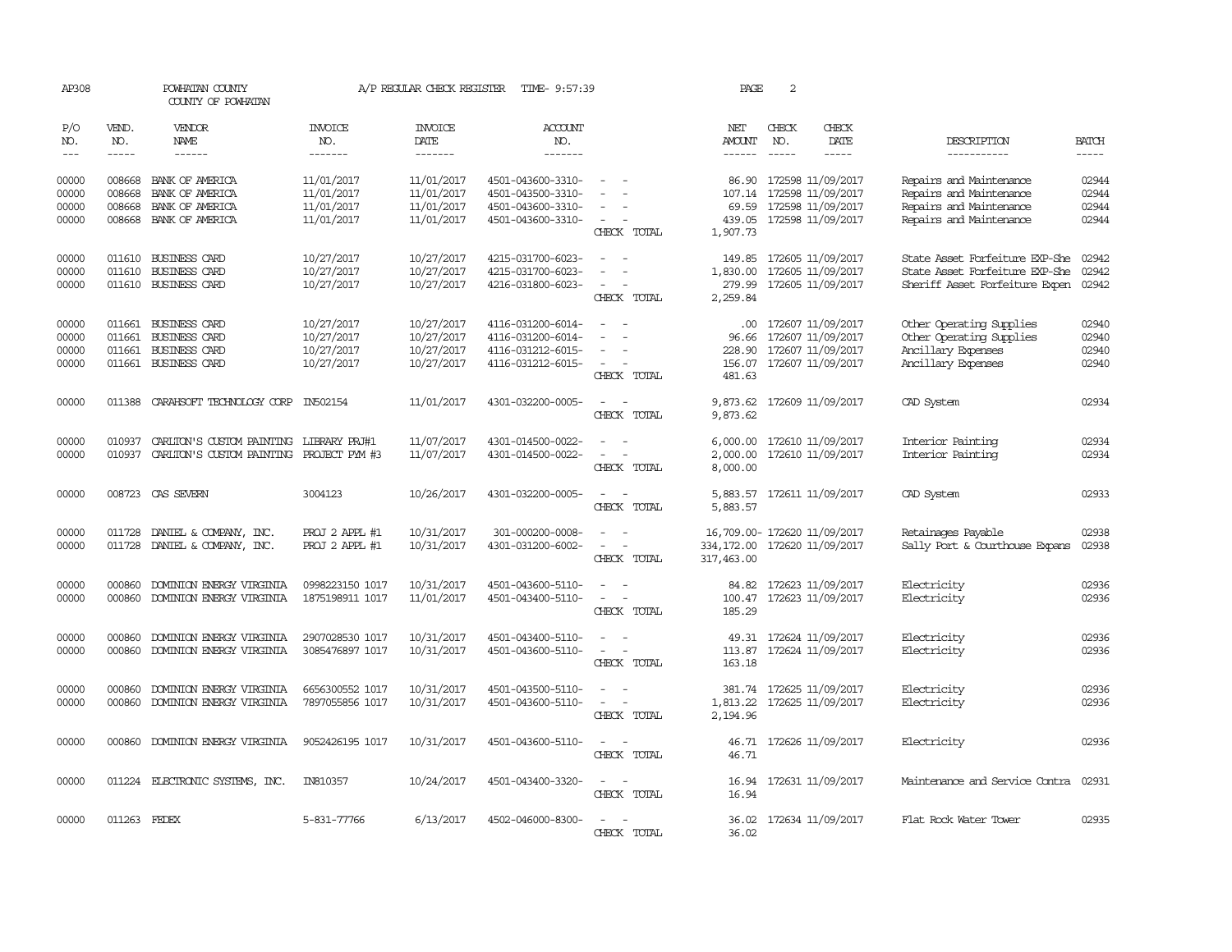| AP308                            | POWHATAN COUNTY<br>COUNTY OF POWHATAN |                                                                                                                                                                                                                                                                                                                                                                                                                                                                            | A/P REGULAR CHECK REGISTER                           | TIME- 9:57:39                                        | PAGE                                                                             | 2                                                                                                                           |                                                                             |               |                                                                                               |                                                                                                          |                                  |
|----------------------------------|---------------------------------------|----------------------------------------------------------------------------------------------------------------------------------------------------------------------------------------------------------------------------------------------------------------------------------------------------------------------------------------------------------------------------------------------------------------------------------------------------------------------------|------------------------------------------------------|------------------------------------------------------|----------------------------------------------------------------------------------|-----------------------------------------------------------------------------------------------------------------------------|-----------------------------------------------------------------------------|---------------|-----------------------------------------------------------------------------------------------|----------------------------------------------------------------------------------------------------------|----------------------------------|
| P/O<br>NO.                       | VEND.<br>NO.                          | VENDOR<br>NAME                                                                                                                                                                                                                                                                                                                                                                                                                                                             | <b>INVOICE</b><br>NO.                                | <b>INVOICE</b><br>DATE                               | <b>ACCOUNT</b><br>NO.                                                            |                                                                                                                             | NET<br>AMOUNT                                                               | CHECK<br>NO.  | CHECK<br>DATE                                                                                 | DESCRIPTION                                                                                              | <b>BATCH</b>                     |
| $---$                            | $\frac{1}{2}$                         | $\frac{1}{2} \left( \frac{1}{2} \right) \left( \frac{1}{2} \right) \left( \frac{1}{2} \right) \left( \frac{1}{2} \right) \left( \frac{1}{2} \right) \left( \frac{1}{2} \right) \left( \frac{1}{2} \right) \left( \frac{1}{2} \right) \left( \frac{1}{2} \right) \left( \frac{1}{2} \right) \left( \frac{1}{2} \right) \left( \frac{1}{2} \right) \left( \frac{1}{2} \right) \left( \frac{1}{2} \right) \left( \frac{1}{2} \right) \left( \frac{1}{2} \right) \left( \frac$ | -------                                              | --------                                             | -------                                                                          |                                                                                                                             | $- - - - - -$                                                               | $\frac{1}{2}$ | $\frac{1}{2}$                                                                                 | -----------                                                                                              | $\frac{1}{2}$                    |
| 00000<br>00000<br>00000<br>00000 | 008668<br>008668<br>008668            | BANK OF AMERICA<br>BANK OF AMERICA<br>BANK OF AMERICA<br>008668 BANK OF AMERICA                                                                                                                                                                                                                                                                                                                                                                                            | 11/01/2017<br>11/01/2017<br>11/01/2017<br>11/01/2017 | 11/01/2017<br>11/01/2017<br>11/01/2017<br>11/01/2017 | 4501-043600-3310-<br>4501-043500-3310-<br>4501-043600-3310-<br>4501-043600-3310- | $\overline{\phantom{a}}$<br>$\equiv$<br>CHECK TOTAL                                                                         | 86.90<br>107.14<br>1,907.73                                                 |               | 172598 11/09/2017<br>172598 11/09/2017<br>69.59 172598 11/09/2017<br>439.05 172598 11/09/2017 | Repairs and Maintenance<br>Repairs and Maintenance<br>Repairs and Maintenance<br>Repairs and Maintenance | 02944<br>02944<br>02944<br>02944 |
| 00000<br>00000<br>00000          | 011610<br>011610                      | 011610 BUSINESS CARD<br><b>BUSINESS CARD</b><br><b>BUSINESS CARD</b>                                                                                                                                                                                                                                                                                                                                                                                                       | 10/27/2017<br>10/27/2017<br>10/27/2017               | 10/27/2017<br>10/27/2017<br>10/27/2017               | 4215-031700-6023-<br>4215-031700-6023-<br>4216-031800-6023-                      | $\equiv$<br>$\overline{\phantom{a}}$<br>CHECK TOTAL                                                                         | 149.85<br>1,830.00<br>279.99<br>2,259.84                                    |               | 172605 11/09/2017<br>172605 11/09/2017<br>172605 11/09/2017                                   | State Asset Forfeiture EXP-She<br>State Asset Forfeiture EXP-She<br>Sheriff Asset Forfeiture Expen       | 02942<br>02942<br>02942          |
| 00000<br>00000<br>00000<br>00000 | 011661<br>011661                      | 011661 BUSINESS CARD<br><b>BUSINESS CARD</b><br><b>BUSINESS CARD</b><br>011661 BUSINESS CARD                                                                                                                                                                                                                                                                                                                                                                               | 10/27/2017<br>10/27/2017<br>10/27/2017<br>10/27/2017 | 10/27/2017<br>10/27/2017<br>10/27/2017<br>10/27/2017 | 4116-031200-6014-<br>4116-031200-6014-<br>4116-031212-6015-<br>4116-031212-6015- | $\sim$<br>CHECK TOTAL                                                                                                       | $.00 \,$<br>96.66<br>228.90<br>481.63                                       |               | 172607 11/09/2017<br>172607 11/09/2017<br>172607 11/09/2017<br>156.07 172607 11/09/2017       | Other Operating Supplies<br>Other Operating Supplies<br>Ancillary Expenses<br>Ancillary Expenses         | 02940<br>02940<br>02940<br>02940 |
| 00000                            |                                       | 011388 CARAHSOFT TECHNOLOGY CORP                                                                                                                                                                                                                                                                                                                                                                                                                                           | IN502154                                             | 11/01/2017                                           | 4301-032200-0005-                                                                | $\overline{\phantom{a}}$<br>$\sim$<br>CHECK TOTAL                                                                           | 9,873.62                                                                    |               | 9,873.62 172609 11/09/2017                                                                    | CAD System                                                                                               | 02934                            |
| 00000<br>00000                   | 010937<br>010937                      | CARLITON'S CUSTOM PAINTING<br>CARLITON'S CUSTOM PAINTING PROJECT PYM #3                                                                                                                                                                                                                                                                                                                                                                                                    | LIBRARY PRJ#1                                        | 11/07/2017<br>11/07/2017                             | 4301-014500-0022-<br>4301-014500-0022-                                           | $\equiv$<br>CHECK TOTAL                                                                                                     | 6,000.00<br>2,000.00<br>8,000.00                                            |               | 172610 11/09/2017<br>172610 11/09/2017                                                        | Interior Painting<br>Interior Painting                                                                   | 02934<br>02934                   |
| 00000                            |                                       | 008723 CAS SEVERN                                                                                                                                                                                                                                                                                                                                                                                                                                                          | 3004123                                              | 10/26/2017                                           | 4301-032200-0005-                                                                | $\sim$<br>CHECK TOTAL                                                                                                       | 5,883.57                                                                    |               | 5,883.57 172611 11/09/2017                                                                    | CAD System                                                                                               | 02933                            |
| 00000<br>00000                   | 011728                                | DANIEL & COMPANY, INC.<br>011728 DANIEL & COMPANY, INC.                                                                                                                                                                                                                                                                                                                                                                                                                    | PROJ 2 APPL #1<br>PROJ 2 APPL #1                     | 10/31/2017<br>10/31/2017                             | 301-000200-0008-<br>4301-031200-6002-                                            | $\sim$<br>$\overline{\phantom{a}}$<br>CHECK TOTAL                                                                           | 16,709.00- 172620 11/09/2017<br>334, 172.00 172620 11/09/2017<br>317,463.00 |               |                                                                                               | Retainages Payable<br>Sally Port & Courthouse Expans                                                     | 02938<br>02938                   |
| 00000<br>00000                   | 000860<br>000860                      | DOMINION ENERGY VIRGINIA<br>DOMINION ENERGY VIRGINIA                                                                                                                                                                                                                                                                                                                                                                                                                       | 0998223150 1017<br>1875198911 1017                   | 10/31/2017<br>11/01/2017                             | 4501-043600-5110-<br>4501-043400-5110-                                           | $\sim$<br>$\overline{\phantom{a}}$<br>CHECK TOTAL                                                                           | 84.82<br>100.47<br>185.29                                                   |               | 172623 11/09/2017<br>172623 11/09/2017                                                        | Electricity<br>Electricity                                                                               | 02936<br>02936                   |
| 00000<br>00000                   | 000860<br>000860                      | DOMINION ENERGY VIRGINIA<br>DOMINION ENERGY VIRGINIA                                                                                                                                                                                                                                                                                                                                                                                                                       | 2907028530 1017<br>3085476897 1017                   | 10/31/2017<br>10/31/2017                             | 4501-043400-5110-<br>4501-043600-5110-                                           | $\equiv$<br>CHECK TOTAL                                                                                                     | 49.31<br>113.87<br>163.18                                                   |               | 172624 11/09/2017<br>172624 11/09/2017                                                        | Electricity<br>Electricity                                                                               | 02936<br>02936                   |
| 00000<br>00000                   | 000860<br>000860                      | DOMINION ENERGY VIRGINIA<br>DOMINION ENERGY VIRGINIA                                                                                                                                                                                                                                                                                                                                                                                                                       | 6656300552 1017<br>7897055856 1017                   | 10/31/2017<br>10/31/2017                             | 4501-043500-5110-<br>4501-043600-5110-                                           | $\sim$<br>$\overline{\phantom{a}}$<br>$\overline{\phantom{a}}$<br>CHECK TOTAL                                               | 1,813.22<br>2,194.96                                                        |               | 381.74 172625 11/09/2017<br>172625 11/09/2017                                                 | Electricity<br>Electricity                                                                               | 02936<br>02936                   |
| 00000                            |                                       | 000860 DOMINION ENERGY VIRGINIA                                                                                                                                                                                                                                                                                                                                                                                                                                            | 9052426195 1017                                      | 10/31/2017                                           | 4501-043600-5110-                                                                | $\overline{\phantom{a}}$<br>CHECK TOTAL                                                                                     | 46.71<br>46.71                                                              |               | 172626 11/09/2017                                                                             | Electricity                                                                                              | 02936                            |
| 00000                            |                                       | 011224 ELECTRONIC SYSTEMS, INC.                                                                                                                                                                                                                                                                                                                                                                                                                                            | IN810357                                             | 10/24/2017                                           | 4501-043400-3320-                                                                | $\sim$ $\sim$<br>CHECK TOTAL                                                                                                | 16.94                                                                       |               | 16.94 172631 11/09/2017                                                                       | Maintenance and Service Contra                                                                           | 02931                            |
| 00000                            | 011263 FEDEX                          |                                                                                                                                                                                                                                                                                                                                                                                                                                                                            | 5-831-77766                                          | 6/13/2017                                            | 4502-046000-8300-                                                                | $\frac{1}{2} \left( \frac{1}{2} \right) \left( \frac{1}{2} \right) = \frac{1}{2} \left( \frac{1}{2} \right)$<br>CHECK TOTAL | 36.02<br>36.02                                                              |               | 172634 11/09/2017                                                                             | Flat Rock Water Tower                                                                                    | 02935                            |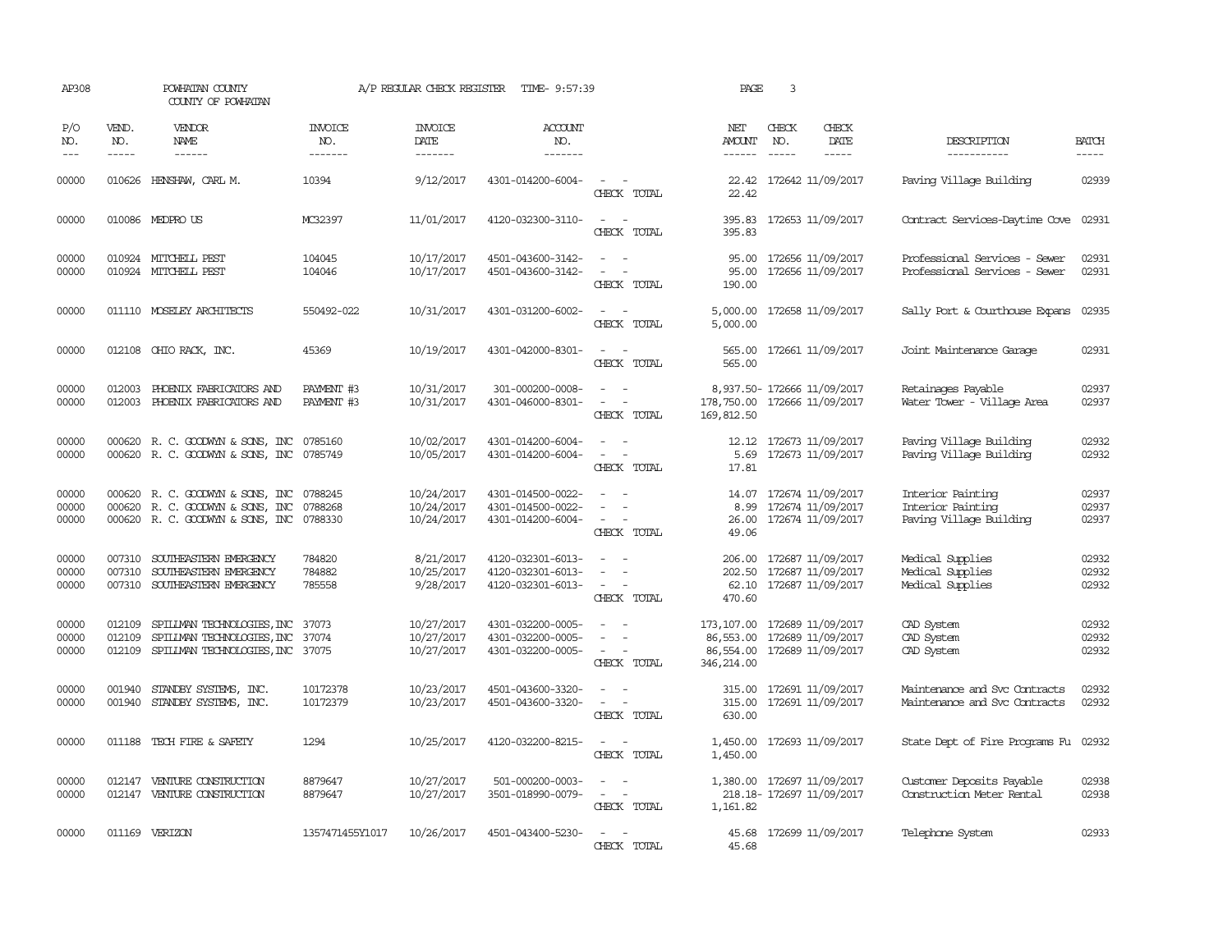| AP308                   | POWHATAN COUNTY<br>COUNTY OF POWHATAN |                                                                                                                                                                                                                                                                                                                                                                                                                                                                                              | A/P REGULAR CHECK REGISTER       | TIME- 9:57:39                          | PAGE                                                        | 3                                                                                                          |                                                     |                               |                                                                   |                                                                   |                         |
|-------------------------|---------------------------------------|----------------------------------------------------------------------------------------------------------------------------------------------------------------------------------------------------------------------------------------------------------------------------------------------------------------------------------------------------------------------------------------------------------------------------------------------------------------------------------------------|----------------------------------|----------------------------------------|-------------------------------------------------------------|------------------------------------------------------------------------------------------------------------|-----------------------------------------------------|-------------------------------|-------------------------------------------------------------------|-------------------------------------------------------------------|-------------------------|
| P/O<br>NO.<br>$---$     | VEND.<br>NO.<br>$\frac{1}{2}$         | VENDOR<br>NAME<br>$\frac{1}{2} \left( \frac{1}{2} \right) \left( \frac{1}{2} \right) \left( \frac{1}{2} \right) \left( \frac{1}{2} \right) \left( \frac{1}{2} \right) \left( \frac{1}{2} \right) \left( \frac{1}{2} \right) \left( \frac{1}{2} \right) \left( \frac{1}{2} \right) \left( \frac{1}{2} \right) \left( \frac{1}{2} \right) \left( \frac{1}{2} \right) \left( \frac{1}{2} \right) \left( \frac{1}{2} \right) \left( \frac{1}{2} \right) \left( \frac{1}{2} \right) \left( \frac$ | <b>INVOICE</b><br>NO.<br>------- | <b>INVOICE</b><br>DATE<br>-------      | <b>ACCOUNT</b><br>NO.<br>-------                            |                                                                                                            | NET<br>AMOUNT<br>$- - - - - -$                      | CHECK<br>NO.<br>$\frac{1}{2}$ | CHECK<br>DATE<br>$\frac{1}{2}$                                    | DESCRIPTION<br>-----------                                        | <b>BATCH</b><br>-----   |
| 00000                   |                                       | 010626 HENSHAW, CARL M.                                                                                                                                                                                                                                                                                                                                                                                                                                                                      | 10394                            | 9/12/2017                              | 4301-014200-6004-                                           | $\sim$ $ \sim$<br>CHECK TOTAL                                                                              | 22.42                                               |                               | 22.42 172642 11/09/2017                                           | Paving Village Building                                           | 02939                   |
| 00000                   |                                       | 010086 MEDPROUS                                                                                                                                                                                                                                                                                                                                                                                                                                                                              | MC32397                          | 11/01/2017                             | 4120-032300-3110-                                           | $\equiv$<br>$\sim$<br>CHECK TOTAL                                                                          | 395.83                                              |                               | 395.83 172653 11/09/2017                                          | Contract Services-Daytime Cove 02931                              |                         |
| 00000<br>00000          |                                       | 010924 MITCHELL PEST<br>010924 MITCHELL PEST                                                                                                                                                                                                                                                                                                                                                                                                                                                 | 104045<br>104046                 | 10/17/2017<br>10/17/2017               | 4501-043600-3142-<br>4501-043600-3142-                      | $\equiv$<br>CHECK TOTAL                                                                                    | 95.00<br>95.00<br>190.00                            |                               | 172656 11/09/2017<br>172656 11/09/2017                            | Professional Services - Sewer<br>Professional Services - Sewer    | 02931<br>02931          |
| 00000                   |                                       | 011110 MOSELEY ARCHITECTS                                                                                                                                                                                                                                                                                                                                                                                                                                                                    | 550492-022                       | 10/31/2017                             | 4301-031200-6002-                                           | $\sim$ $ \sim$<br>CHECK TOTAL                                                                              | 5,000.00<br>5,000.00                                |                               | 172658 11/09/2017                                                 | Sally Port & Courthouse Expans                                    | 02935                   |
| 00000                   |                                       | 012108 OHIO RACK, INC.                                                                                                                                                                                                                                                                                                                                                                                                                                                                       | 45369                            | 10/19/2017                             | 4301-042000-8301-                                           | $\sim$ $ \sim$<br>CHECK TOTAL                                                                              | 565.00<br>565.00                                    |                               | 172661 11/09/2017                                                 | Joint Maintenance Garage                                          | 02931                   |
| 00000<br>00000          | 012003<br>012003                      | PHOENIX FABRICATORS AND<br>PHOENIX FABRICATORS AND                                                                                                                                                                                                                                                                                                                                                                                                                                           | PAYMENT #3<br>PAYMENT #3         | 10/31/2017<br>10/31/2017               | 301-000200-0008-<br>4301-046000-8301-                       | $\sim$ 100 $\sim$<br>CHECK TOTAL                                                                           | 178,750.00<br>169,812.50                            |                               | 8,937.50- 172666 11/09/2017<br>172666 11/09/2017                  | Retainages Payable<br>Water Tower - Village Area                  | 02937<br>02937          |
| 00000<br>00000          |                                       | 000620 R.C. GOODWYN & SONS, INC<br>000620 R. C. GOODWYN & SONS, INC                                                                                                                                                                                                                                                                                                                                                                                                                          | 0785160<br>0785749               | 10/02/2017<br>10/05/2017               | 4301-014200-6004-<br>4301-014200-6004-                      | $\sim$<br>CHECK TOTAL                                                                                      | 5.69<br>17.81                                       |                               | 12.12 172673 11/09/2017<br>172673 11/09/2017                      | Paving Village Building<br>Paving Village Building                | 02932<br>02932          |
| 00000<br>00000<br>00000 |                                       | 000620 R.C. GOODWYN & SONS, INC<br>000620 R.C. GOODWYN & SONS, INC<br>000620 R.C. GOODWYN & SONS, INC                                                                                                                                                                                                                                                                                                                                                                                        | 0788245<br>0788268<br>0788330    | 10/24/2017<br>10/24/2017<br>10/24/2017 | 4301-014500-0022-<br>4301-014500-0022-<br>4301-014200-6004- | $\equiv$<br>$\overline{\phantom{a}}$<br>CHECK TOTAL                                                        | 14.07<br>8.99<br>26.00<br>49.06                     |                               | 172674 11/09/2017<br>172674 11/09/2017<br>172674 11/09/2017       | Interior Painting<br>Interior Painting<br>Paving Village Building | 02937<br>02937<br>02937 |
| 00000<br>00000<br>00000 | 007310<br>007310                      | SOUTHEASTERN EMERGENCY<br>SOUTHEASTERN EMERGENCY<br>007310 SOUTHEASTERN EMERGENCY                                                                                                                                                                                                                                                                                                                                                                                                            | 784820<br>784882<br>785558       | 8/21/2017<br>10/25/2017<br>9/28/2017   | 4120-032301-6013-<br>4120-032301-6013-<br>4120-032301-6013- | $\overline{\phantom{a}}$<br>$\sim$<br>$\sim$<br>$\omega_{\rm{max}}$ and $\omega_{\rm{max}}$<br>CHECK TOTAL | 206.00<br>202.50<br>470.60                          |                               | 172687 11/09/2017<br>172687 11/09/2017<br>62.10 172687 11/09/2017 | Medical Supplies<br>Medical Supplies<br>Medical Supplies          | 02932<br>02932<br>02932 |
| 00000<br>00000<br>00000 | 012109                                | SPILLMAN TECHNOLOGIES, INC<br>012109 SPILLMAN TECHNOLOGIES, INC<br>012109 SPILLMAN TECHNOLOGIES, INC 37075                                                                                                                                                                                                                                                                                                                                                                                   | 37073<br>37074                   | 10/27/2017<br>10/27/2017<br>10/27/2017 | 4301-032200-0005-<br>4301-032200-0005-<br>4301-032200-0005- | $\overline{\phantom{a}}$<br>$\overline{\phantom{a}}$<br>CHECK TOTAL                                        | 173, 107.00<br>86,553.00<br>86,554.00<br>346,214.00 |                               | 172689 11/09/2017<br>172689 11/09/2017<br>172689 11/09/2017       | CAD System<br>CAD System<br>CAD System                            | 02932<br>02932<br>02932 |
| 00000<br>00000          |                                       | 001940 STANDBY SYSTEMS, INC.<br>001940 STANDBY SYSTEMS, INC.                                                                                                                                                                                                                                                                                                                                                                                                                                 | 10172378<br>10172379             | 10/23/2017<br>10/23/2017               | 4501-043600-3320-<br>4501-043600-3320-                      | $\overline{\phantom{a}}$<br>$\overline{\phantom{a}}$<br>CHECK TOTAL                                        | 315.00<br>315.00<br>630.00                          |                               | 172691 11/09/2017<br>172691 11/09/2017                            | Maintenance and Svc Contracts<br>Maintenance and Svc Contracts    | 02932<br>02932          |
| 00000                   |                                       | 011188 TECH FIRE & SAFETY                                                                                                                                                                                                                                                                                                                                                                                                                                                                    | 1294                             | 10/25/2017                             | 4120-032200-8215-                                           | $\sim$ $-$<br>CHECK TOTAL                                                                                  | 1,450.00<br>1,450.00                                |                               | 172693 11/09/2017                                                 | State Dept of Fire Programs Fu                                    | 02932                   |
| 00000<br>00000          | 012147                                | VENTURE CONSTRUCTION<br>012147 VENTURE CONSTRUCTION                                                                                                                                                                                                                                                                                                                                                                                                                                          | 8879647<br>8879647               | 10/27/2017<br>10/27/2017               | 501-000200-0003-<br>3501-018990-0079-                       | $\overline{\phantom{a}}$<br>$\sim$<br>$\sim$<br>CHECK TOTAL                                                | 1,161.82                                            |                               | 1,380.00 172697 11/09/2017<br>218.18-172697 11/09/2017            | Customer Deposits Payable<br>Construction Meter Rental            | 02938<br>02938          |
| 00000                   |                                       | 011169 VERIZON                                                                                                                                                                                                                                                                                                                                                                                                                                                                               | 1357471455Y1017                  | 10/26/2017                             | 4501-043400-5230-                                           | CHECK TOTAL                                                                                                | 45.68                                               |                               | 45.68 172699 11/09/2017                                           | Telephone System                                                  | 02933                   |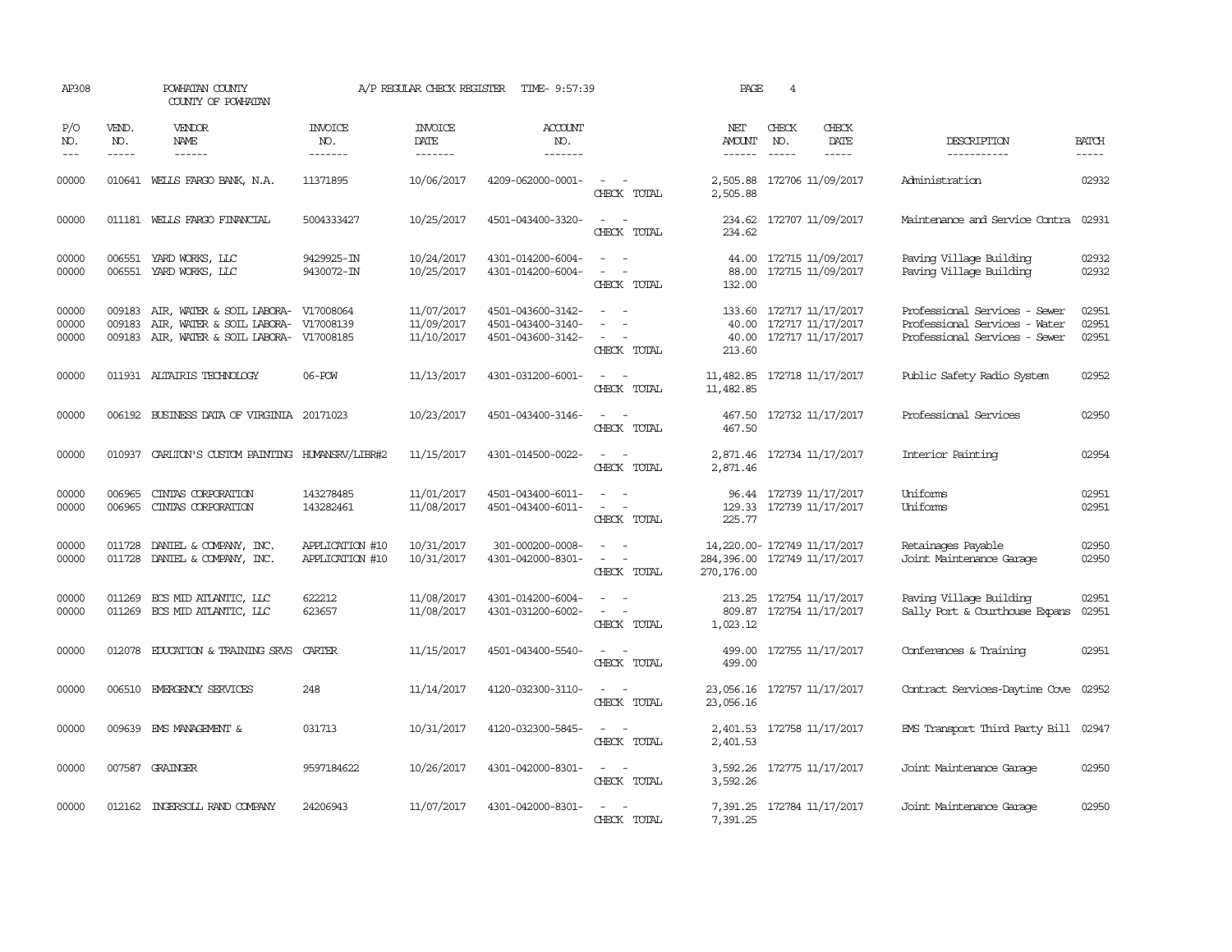| AP308                   |                               | POWHATAN COUNTY<br>COUNTY OF POWHATAN                                                                          |                                    | A/P REGULAR CHECK REGISTER                | TIME- 9:57:39                                               |                                                                                                                                                                                     | PAGE                                                                        | $\overline{4}$ |                                                                         |                                                                                                 |                         |
|-------------------------|-------------------------------|----------------------------------------------------------------------------------------------------------------|------------------------------------|-------------------------------------------|-------------------------------------------------------------|-------------------------------------------------------------------------------------------------------------------------------------------------------------------------------------|-----------------------------------------------------------------------------|----------------|-------------------------------------------------------------------------|-------------------------------------------------------------------------------------------------|-------------------------|
| P/O<br>NO.<br>$ -$      | VEND.<br>NO.<br>$\frac{1}{2}$ | VENDOR<br>NAME<br>$\frac{1}{2}$                                                                                | INVOICE<br>NO.<br>-------          | <b>INVOICE</b><br>DATE<br>$- - - - - - -$ | <b>ACCOUNT</b><br>NO.<br>-------                            |                                                                                                                                                                                     | NET<br><b>AMOUNT</b>                                                        | CHECK<br>NO.   | CHECK<br>DATE<br>-----                                                  | DESCRIPTION<br>-----------                                                                      | <b>BATCH</b><br>-----   |
| 00000                   |                               | 010641 WELLS FARGO BANK, N.A.                                                                                  | 11371895                           | 10/06/2017                                | 4209-062000-0001-                                           | CHECK TOTAL                                                                                                                                                                         | 2,505.88                                                                    |                | 2,505.88 172706 11/09/2017                                              | Administration                                                                                  | 02932                   |
| 00000                   |                               | 011181 WELLS FARGO FINANCIAL                                                                                   | 5004333427                         | 10/25/2017                                | 4501-043400-3320-                                           | $\sim$<br>$\overline{\phantom{0}}$<br>CHECK TOTAL                                                                                                                                   | 234.62<br>234.62                                                            |                | 172707 11/09/2017                                                       | Maintenance and Service Contra                                                                  | 02931                   |
| 00000<br>00000          |                               | 006551 YARD WORKS, LLC<br>006551 YARD WORKS, LLC                                                               | 9429925-IN<br>9430072-IN           | 10/24/2017<br>10/25/2017                  | 4301-014200-6004-<br>4301-014200-6004-                      | $\overline{\phantom{a}}$<br>$\sim$<br>$\sim$<br>$\sim$ $-$<br>CHECK TOTAL                                                                                                           | 88.00<br>132.00                                                             |                | 44.00 172715 11/09/2017<br>172715 11/09/2017                            | Paving Village Building<br>Paving Village Building                                              | 02932<br>02932          |
| 00000<br>00000<br>00000 | 009183<br>009183              | AIR, WATER & SOIL LABORA-<br>AIR, WATER & SOIL LABORA- V17008139<br>009183 AIR, WATER & SOIL LABORA- V17008185 | V17008064                          | 11/07/2017<br>11/09/2017<br>11/10/2017    | 4501-043600-3142-<br>4501-043400-3140-<br>4501-043600-3142- | $\sim$<br>$\overline{a}$<br>CHECK TOTAL                                                                                                                                             | 133.60<br>213.60                                                            |                | 172717 11/17/2017<br>40.00 172717 11/17/2017<br>40.00 172717 11/17/2017 | Professional Services - Sewer<br>Professional Services - Water<br>Professional Services - Sewer | 02951<br>02951<br>02951 |
| 00000                   |                               | 011931 ALTAIRIS TECHNOLOGY                                                                                     | 06-POW                             | 11/13/2017                                | 4301-031200-6001-                                           | $\overline{\phantom{a}}$<br>$\sim$<br>CHECK TOTAL                                                                                                                                   | 11,482.85 172718 11/17/2017<br>11,482.85                                    |                |                                                                         | Public Safety Radio System                                                                      | 02952                   |
| 00000                   |                               | 006192 BUSINESS DATA OF VIRGINIA 20171023                                                                      |                                    | 10/23/2017                                | 4501-043400-3146-                                           | $\sim$ $\sim$<br>CHECK TOTAL                                                                                                                                                        | 467.50                                                                      |                | 467.50 172732 11/17/2017                                                | Professional Services                                                                           | 02950                   |
| 00000                   |                               | 010937 CARLITON'S CUSTOM PAINTING HUMANSRV/LIBR#2                                                              |                                    | 11/15/2017                                | 4301-014500-0022-                                           | $\sim$ $\sim$<br>CHECK TOTAL                                                                                                                                                        | 2,871.46                                                                    |                | 2,871.46 172734 11/17/2017                                              | Interior Painting                                                                               | 02954                   |
| 00000<br>00000          | 006965                        | CINIAS CORPORATION<br>006965 CINIAS CORPORATION                                                                | 143278485<br>143282461             | 11/01/2017<br>11/08/2017                  | 4501-043400-6011-<br>4501-043400-6011-                      | $\overline{\phantom{a}}$<br>$\sim$<br>$\overline{\phantom{a}}$<br>CHECK TOTAL                                                                                                       | 225.77                                                                      |                | 96.44 172739 11/17/2017<br>129.33 172739 11/17/2017                     | Uniforms<br><b>Uniforms</b>                                                                     | 02951<br>02951          |
| 00000<br>00000          | 011728<br>011728              | DANIEL & COMPANY, INC.<br>DANIEL & COMPANY, INC.                                                               | APPLICATION #10<br>APPLICATION #10 | 10/31/2017<br>10/31/2017                  | 301-000200-0008-<br>4301-042000-8301-                       | $\overline{\phantom{a}}$<br>$\overline{\phantom{a}}$<br>CHECK TOTAL                                                                                                                 | 14, 220.00- 172749 11/17/2017<br>284,396.00 172749 11/17/2017<br>270,176.00 |                |                                                                         | Retainages Payable<br>Joint Maintenance Garage                                                  | 02950<br>02950          |
| 00000<br>00000          |                               | 011269 ECS MID ATLANTIC, LLC<br>011269 ECS MID ATLANTIC, LLC                                                   | 622212<br>623657                   | 11/08/2017<br>11/08/2017                  | 4301-014200-6004-<br>4301-031200-6002-                      | $\frac{1}{2} \left( \frac{1}{2} \right) \left( \frac{1}{2} \right) = \frac{1}{2} \left( \frac{1}{2} \right)$<br>$\overline{\phantom{a}}$<br>$\overline{\phantom{a}}$<br>CHECK TOTAL | 809.87<br>1,023.12                                                          |                | 213.25 172754 11/17/2017<br>172754 11/17/2017                           | Paving Village Building<br>Sally Port & Courthouse Expans                                       | 02951<br>02951          |
| 00000                   | 012078                        | EDUCATION & TRAINING SRVS                                                                                      | CARTER                             | 11/15/2017                                | 4501-043400-5540-                                           | $\sim$ $ \sim$<br>CHECK TOTAL                                                                                                                                                       | 499.00<br>499.00                                                            |                | 172755 11/17/2017                                                       | Conferences & Training                                                                          | 02951                   |
| 00000                   |                               | 006510 EMERGENCY SERVICES                                                                                      | 248                                | 11/14/2017                                | 4120-032300-3110-                                           | $\overline{\phantom{a}}$<br>$\sim$<br>CHECK TOTAL                                                                                                                                   | 23,056.16<br>23,056.16                                                      |                | 172757 11/17/2017                                                       | Contract Services-Daytime Cove                                                                  | 02952                   |
| 00000                   |                               | 009639 EMS MANAGEMENT &                                                                                        | 031713                             | 10/31/2017                                | 4120-032300-5845-                                           | $\frac{1}{2} \left( \frac{1}{2} \right) \left( \frac{1}{2} \right) = \frac{1}{2} \left( \frac{1}{2} \right)$<br>CHECK TOTAL                                                         | 2,401.53<br>2,401.53                                                        |                | 172758 11/17/2017                                                       | EMS Transport Third Party Bill                                                                  | 02947                   |
| 00000                   |                               | 007587 GRAINGER                                                                                                | 9597184622                         | 10/26/2017                                | 4301-042000-8301-                                           | $\sim$ $\sim$<br>CHECK TOTAL                                                                                                                                                        | 3,592.26                                                                    |                | 3,592.26 172775 11/17/2017                                              | Joint Maintenance Garage                                                                        | 02950                   |
| 00000                   |                               | 012162 INGERSOLL RAND COMPANY                                                                                  | 24206943                           | 11/07/2017                                | 4301-042000-8301-                                           | CHECK TOTAL                                                                                                                                                                         | 7,391.25                                                                    |                | 7,391.25 172784 11/17/2017                                              | Joint Maintenance Garage                                                                        | 02950                   |